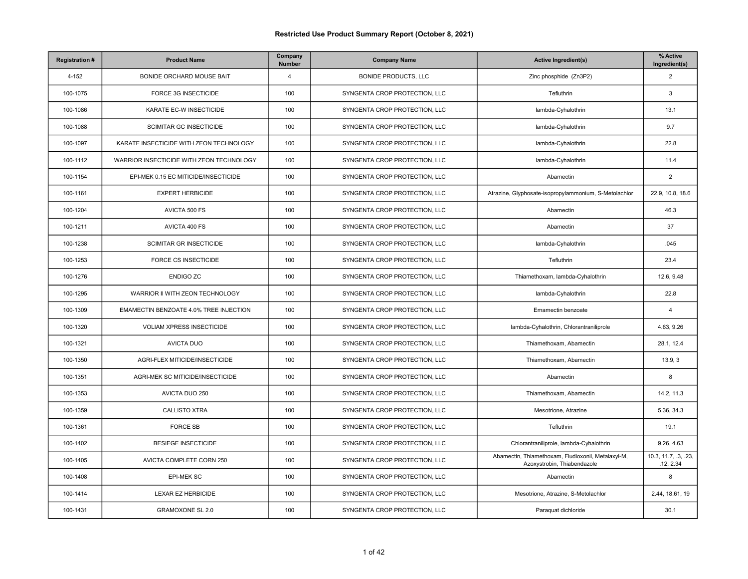| <b>Registration#</b> | <b>Product Name</b>                      | Company<br>Number | <b>Company Name</b>           | <b>Active Ingredient(s)</b>                                                       | % Active<br>Ingredient(s)         |
|----------------------|------------------------------------------|-------------------|-------------------------------|-----------------------------------------------------------------------------------|-----------------------------------|
| 4-152                | <b>BONIDE ORCHARD MOUSE BAIT</b>         | $\overline{4}$    | <b>BONIDE PRODUCTS, LLC</b>   | Zinc phosphide (Zn3P2)                                                            | $\overline{2}$                    |
| 100-1075             | FORCE 3G INSECTICIDE                     | 100               | SYNGENTA CROP PROTECTION, LLC | Tefluthrin                                                                        | 3                                 |
| 100-1086             | KARATE EC-W INSECTICIDE                  | 100               | SYNGENTA CROP PROTECTION, LLC | lambda-Cyhalothrin                                                                | 13.1                              |
| 100-1088             | <b>SCIMITAR GC INSECTICIDE</b>           | 100               | SYNGENTA CROP PROTECTION, LLC | lambda-Cyhalothrin                                                                | 9.7                               |
| 100-1097             | KARATE INSECTICIDE WITH ZEON TECHNOLOGY  | 100               | SYNGENTA CROP PROTECTION, LLC | lambda-Cyhalothrin                                                                | 22.8                              |
| 100-1112             | WARRIOR INSECTICIDE WITH ZEON TECHNOLOGY | 100               | SYNGENTA CROP PROTECTION, LLC | lambda-Cyhalothrin                                                                | 11.4                              |
| 100-1154             | EPI-MEK 0.15 EC MITICIDE/INSECTICIDE     | 100               | SYNGENTA CROP PROTECTION, LLC | Abamectin                                                                         | $\overline{2}$                    |
| 100-1161             | <b>EXPERT HERBICIDE</b>                  | 100               | SYNGENTA CROP PROTECTION, LLC | Atrazine, Glyphosate-isopropylammonium, S-Metolachlor                             | 22.9, 10.8, 18.6                  |
| 100-1204             | AVICTA 500 FS                            | 100               | SYNGENTA CROP PROTECTION, LLC | Abamectin                                                                         | 46.3                              |
| 100-1211             | AVICTA 400 FS                            | 100               | SYNGENTA CROP PROTECTION, LLC | Abamectin                                                                         | 37                                |
| 100-1238             | <b>SCIMITAR GR INSECTICIDE</b>           | 100               | SYNGENTA CROP PROTECTION, LLC | lambda-Cyhalothrin                                                                | .045                              |
| 100-1253             | FORCE CS INSECTICIDE                     | 100               | SYNGENTA CROP PROTECTION, LLC | Tefluthrin                                                                        | 23.4                              |
| 100-1276             | <b>ENDIGO ZC</b>                         | 100               | SYNGENTA CROP PROTECTION, LLC | Thiamethoxam, lambda-Cyhalothrin                                                  | 12.6, 9.48                        |
| 100-1295             | WARRIOR II WITH ZEON TECHNOLOGY          | 100               | SYNGENTA CROP PROTECTION, LLC | lambda-Cyhalothrin                                                                | 22.8                              |
| 100-1309             | EMAMECTIN BENZOATE 4.0% TREE INJECTION   | 100               | SYNGENTA CROP PROTECTION, LLC | Emamectin benzoate                                                                | $\overline{4}$                    |
| 100-1320             | <b>VOLIAM XPRESS INSECTICIDE</b>         | 100               | SYNGENTA CROP PROTECTION, LLC | lambda-Cyhalothrin, Chlorantraniliprole                                           | 4.63, 9.26                        |
| 100-1321             | <b>AVICTA DUO</b>                        | 100               | SYNGENTA CROP PROTECTION, LLC | Thiamethoxam, Abamectin                                                           | 28.1, 12.4                        |
| 100-1350             | AGRI-FLEX MITICIDE/INSECTICIDE           | 100               | SYNGENTA CROP PROTECTION, LLC | Thiamethoxam, Abamectin                                                           | 13.9, 3                           |
| 100-1351             | AGRI-MEK SC MITICIDE/INSECTICIDE         | 100               | SYNGENTA CROP PROTECTION, LLC | Abamectin                                                                         | 8                                 |
| 100-1353             | AVICTA DUO 250                           | 100               | SYNGENTA CROP PROTECTION, LLC | Thiamethoxam, Abamectin                                                           | 14.2, 11.3                        |
| 100-1359             | <b>CALLISTO XTRA</b>                     | 100               | SYNGENTA CROP PROTECTION, LLC | Mesotrione, Atrazine                                                              | 5.36, 34.3                        |
| 100-1361             | <b>FORCE SB</b>                          | 100               | SYNGENTA CROP PROTECTION, LLC | Tefluthrin                                                                        | 19.1                              |
| 100-1402             | <b>BESIEGE INSECTICIDE</b>               | 100               | SYNGENTA CROP PROTECTION, LLC | Chlorantraniliprole, lambda-Cyhalothrin                                           | 9.26, 4.63                        |
| 100-1405             | AVICTA COMPLETE CORN 250                 | 100               | SYNGENTA CROP PROTECTION, LLC | Abamectin, Thiamethoxam, Fludioxonil, Metalaxyl-M,<br>Azoxystrobin, Thiabendazole | 10.3, 11.7, .3, .23,<br>.12, 2.34 |
| 100-1408             | <b>EPI-MEK SC</b>                        | 100               | SYNGENTA CROP PROTECTION, LLC | Abamectin                                                                         | 8                                 |
| 100-1414             | <b>LEXAR EZ HERBICIDE</b>                | 100               | SYNGENTA CROP PROTECTION, LLC | Mesotrione, Atrazine, S-Metolachlor                                               | 2.44, 18.61, 19                   |
| 100-1431             | <b>GRAMOXONE SL 2.0</b>                  | 100               | SYNGENTA CROP PROTECTION, LLC | Paraquat dichloride                                                               | 30.1                              |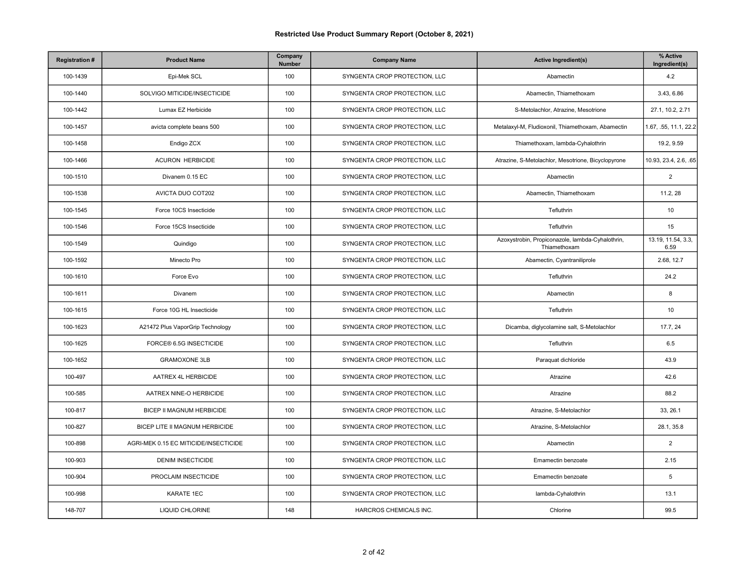| <b>Registration#</b> | <b>Product Name</b>                   | Company<br><b>Number</b> | <b>Company Name</b>           | <b>Active Ingredient(s)</b>                                      | % Active<br>Ingredient(s)  |
|----------------------|---------------------------------------|--------------------------|-------------------------------|------------------------------------------------------------------|----------------------------|
| 100-1439             | Epi-Mek SCL                           | 100                      | SYNGENTA CROP PROTECTION, LLC | Abamectin                                                        | 4.2                        |
| 100-1440             | SOLVIGO MITICIDE/INSECTICIDE          | 100                      | SYNGENTA CROP PROTECTION, LLC | Abamectin, Thiamethoxam                                          | 3.43, 6.86                 |
| 100-1442             | Lumax EZ Herbicide                    | 100                      | SYNGENTA CROP PROTECTION, LLC | S-Metolachlor, Atrazine, Mesotrione                              | 27.1, 10.2, 2.71           |
| 100-1457             | avicta complete beans 500             | 100                      | SYNGENTA CROP PROTECTION, LLC | Metalaxyl-M, Fludioxonil, Thiamethoxam, Abamectin                | 1.67, .55, 11.1, 22.2      |
| 100-1458             | Endigo ZCX                            | 100                      | SYNGENTA CROP PROTECTION, LLC | Thiamethoxam, lambda-Cyhalothrin                                 | 19.2, 9.59                 |
| 100-1466             | <b>ACURON HERBICIDE</b>               | 100                      | SYNGENTA CROP PROTECTION, LLC | Atrazine, S-Metolachlor, Mesotrione, Bicyclopyrone               | 10.93, 23.4, 2.6, .65      |
| 100-1510             | Divanem 0.15 EC                       | 100                      | SYNGENTA CROP PROTECTION, LLC | Abamectin                                                        | $\sqrt{2}$                 |
| 100-1538             | AVICTA DUO COT202                     | 100                      | SYNGENTA CROP PROTECTION, LLC | Abamectin, Thiamethoxam                                          | 11.2, 28                   |
| 100-1545             | Force 10CS Insecticide                | 100                      | SYNGENTA CROP PROTECTION, LLC | Tefluthrin                                                       | 10                         |
| 100-1546             | Force 15CS Insecticide                | 100                      | SYNGENTA CROP PROTECTION, LLC | Tefluthrin                                                       | 15                         |
| 100-1549             | Quindigo                              | 100                      | SYNGENTA CROP PROTECTION, LLC | Azoxystrobin, Propiconazole, lambda-Cyhalothrin,<br>Thiamethoxam | 13.19, 11.54, 3.3,<br>6.59 |
| 100-1592             | Minecto Pro                           | 100                      | SYNGENTA CROP PROTECTION, LLC | Abamectin, Cyantraniliprole                                      | 2.68, 12.7                 |
| 100-1610             | Force Evo                             | 100                      | SYNGENTA CROP PROTECTION, LLC | Tefluthrin                                                       | 24.2                       |
| 100-1611             | Divanem                               | 100                      | SYNGENTA CROP PROTECTION, LLC | Abamectin                                                        | 8                          |
| 100-1615             | Force 10G HL Insecticide              | 100                      | SYNGENTA CROP PROTECTION, LLC | Tefluthrin                                                       | 10                         |
| 100-1623             | A21472 Plus VaporGrip Technology      | 100                      | SYNGENTA CROP PROTECTION, LLC | Dicamba, diglycolamine salt, S-Metolachlor                       | 17.7, 24                   |
| 100-1625             | FORCE® 6.5G INSECTICIDE               | 100                      | SYNGENTA CROP PROTECTION, LLC | Tefluthrin                                                       | 6.5                        |
| 100-1652             | <b>GRAMOXONE 3LB</b>                  | 100                      | SYNGENTA CROP PROTECTION, LLC | Paraquat dichloride                                              | 43.9                       |
| 100-497              | AATREX 4L HERBICIDE                   | 100                      | SYNGENTA CROP PROTECTION, LLC | Atrazine                                                         | 42.6                       |
| 100-585              | AATREX NINE-O HERBICIDE               | 100                      | SYNGENTA CROP PROTECTION, LLC | Atrazine                                                         | 88.2                       |
| 100-817              | BICEP II MAGNUM HERBICIDE             | 100                      | SYNGENTA CROP PROTECTION, LLC | Atrazine, S-Metolachlor                                          | 33, 26.1                   |
| 100-827              | BICEP LITE II MAGNUM HERBICIDE        | 100                      | SYNGENTA CROP PROTECTION, LLC | Atrazine, S-Metolachlor                                          | 28.1, 35.8                 |
| 100-898              | AGRI-MEK 0.15 EC MITICIDE/INSECTICIDE | 100                      | SYNGENTA CROP PROTECTION, LLC | Abamectin                                                        | $\overline{2}$             |
| 100-903              | <b>DENIM INSECTICIDE</b>              | 100                      | SYNGENTA CROP PROTECTION, LLC | Emamectin benzoate                                               | 2.15                       |
| 100-904              | PROCLAIM INSECTICIDE                  | 100                      | SYNGENTA CROP PROTECTION, LLC | Emamectin benzoate                                               | 5                          |
| 100-998              | KARATE 1EC                            | 100                      | SYNGENTA CROP PROTECTION, LLC | lambda-Cyhalothrin                                               | 13.1                       |
| 148-707              | LIQUID CHLORINE                       | 148                      | HARCROS CHEMICALS INC.        | Chlorine                                                         | 99.5                       |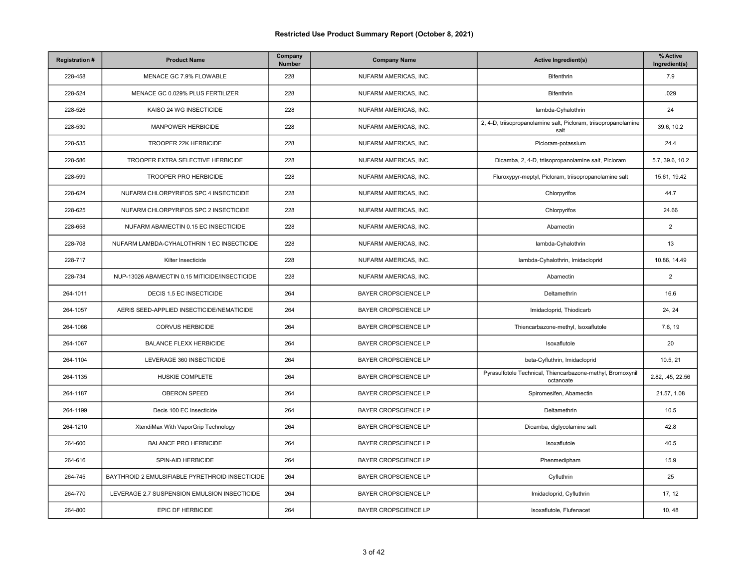| <b>Registration#</b> | <b>Product Name</b>                             | Company<br>Number | <b>Company Name</b>         | <b>Active Ingredient(s)</b>                                             | % Active<br>Ingredient(s) |
|----------------------|-------------------------------------------------|-------------------|-----------------------------|-------------------------------------------------------------------------|---------------------------|
| 228-458              | MENACE GC 7.9% FLOWABLE                         | 228               | NUFARM AMERICAS, INC.       | <b>Bifenthrin</b>                                                       | 7.9                       |
| 228-524              | MENACE GC 0.029% PLUS FERTILIZER                | 228               | NUFARM AMERICAS, INC.       | Bifenthrin                                                              | .029                      |
| 228-526              | KAISO 24 WG INSECTICIDE                         | 228               | NUFARM AMERICAS, INC.       | lambda-Cyhalothrin                                                      | 24                        |
| 228-530              | <b>MANPOWER HERBICIDE</b>                       | 228               | NUFARM AMERICAS, INC.       | 2, 4-D, triisopropanolamine salt, Picloram, triisopropanolamine<br>salt | 39.6, 10.2                |
| 228-535              | TROOPER 22K HERBICIDE                           | 228               | NUFARM AMERICAS, INC.       | Picloram-potassium                                                      | 24.4                      |
| 228-586              | TROOPER EXTRA SELECTIVE HERBICIDE               | 228               | NUFARM AMERICAS, INC.       | Dicamba, 2, 4-D, triisopropanolamine salt, Picloram                     | 5.7, 39.6, 10.2           |
| 228-599              | TROOPER PRO HERBICIDE                           | 228               | NUFARM AMERICAS, INC.       | Fluroxypyr-meptyl, Picloram, triisopropanolamine salt                   | 15.61, 19.42              |
| 228-624              | NUFARM CHLORPYRIFOS SPC 4 INSECTICIDE           | 228               | NUFARM AMERICAS, INC.       | Chlorpyrifos                                                            | 44.7                      |
| 228-625              | NUFARM CHLORPYRIFOS SPC 2 INSECTICIDE           | 228               | NUFARM AMERICAS, INC.       | Chlorpyrifos                                                            | 24.66                     |
| 228-658              | NUFARM ABAMECTIN 0.15 EC INSECTICIDE            | 228               | NUFARM AMERICAS, INC.       | Abamectin                                                               | 2                         |
| 228-708              | NUFARM LAMBDA-CYHALOTHRIN 1 EC INSECTICIDE      | 228               | NUFARM AMERICAS, INC.       | lambda-Cyhalothrin                                                      | 13                        |
| 228-717              | Kilter Insecticide                              | 228               | NUFARM AMERICAS, INC.       | lambda-Cyhalothrin, Imidacloprid                                        | 10.86, 14.49              |
| 228-734              | NUP-13026 ABAMECTIN 0.15 MITICIDE/INSECTICIDE   | 228               | NUFARM AMERICAS, INC.       | Abamectin                                                               | $\overline{2}$            |
| 264-1011             | DECIS 1.5 EC INSECTICIDE                        | 264               | BAYER CROPSCIENCE LP        | Deltamethrin                                                            | 16.6                      |
| 264-1057             | AERIS SEED-APPLIED INSECTICIDE/NEMATICIDE       | 264               | <b>BAYER CROPSCIENCE LP</b> | Imidacloprid, Thiodicarb                                                | 24, 24                    |
| 264-1066             | <b>CORVUS HERBICIDE</b>                         | 264               | <b>BAYER CROPSCIENCE LP</b> | Thiencarbazone-methyl, Isoxaflutole                                     | 7.6, 19                   |
| 264-1067             | <b>BALANCE FLEXX HERBICIDE</b>                  | 264               | BAYER CROPSCIENCE LP        | Isoxaflutole                                                            | 20                        |
| 264-1104             | LEVERAGE 360 INSECTICIDE                        | 264               | <b>BAYER CROPSCIENCE LP</b> | beta-Cyfluthrin, Imidacloprid                                           | 10.5, 21                  |
| 264-1135             | HUSKIE COMPLETE                                 | 264               | <b>BAYER CROPSCIENCE LP</b> | Pyrasulfotole Technical, Thiencarbazone-methyl, Bromoxynil<br>octanoate | 2.82, .45, 22.56          |
| 264-1187             | <b>OBERON SPEED</b>                             | 264               | <b>BAYER CROPSCIENCE LP</b> | Spiromesifen, Abamectin                                                 | 21.57, 1.08               |
| 264-1199             | Decis 100 EC Insecticide                        | 264               | <b>BAYER CROPSCIENCE LP</b> | Deltamethrin                                                            | 10.5                      |
| 264-1210             | XtendiMax With VaporGrip Technology             | 264               | <b>BAYER CROPSCIENCE LP</b> | Dicamba, diglycolamine salt                                             | 42.8                      |
| 264-600              | <b>BALANCE PRO HERBICIDE</b>                    | 264               | BAYER CROPSCIENCE LP        | Isoxaflutole                                                            | 40.5                      |
| 264-616              | SPIN-AID HERBICIDE                              | 264               | <b>BAYER CROPSCIENCE LP</b> | Phenmedipham                                                            | 15.9                      |
| 264-745              | BAYTHROID 2 EMULSIFIABLE PYRETHROID INSECTICIDE | 264               | <b>BAYER CROPSCIENCE LP</b> | Cyfluthrin                                                              | 25                        |
| 264-770              | LEVERAGE 2.7 SUSPENSION EMULSION INSECTICIDE    | 264               | <b>BAYER CROPSCIENCE LP</b> | Imidacloprid, Cyfluthrin                                                | 17, 12                    |
| 264-800              | EPIC DF HERBICIDE                               | 264               | BAYER CROPSCIENCE LP        | Isoxaflutole, Flufenacet                                                | 10, 48                    |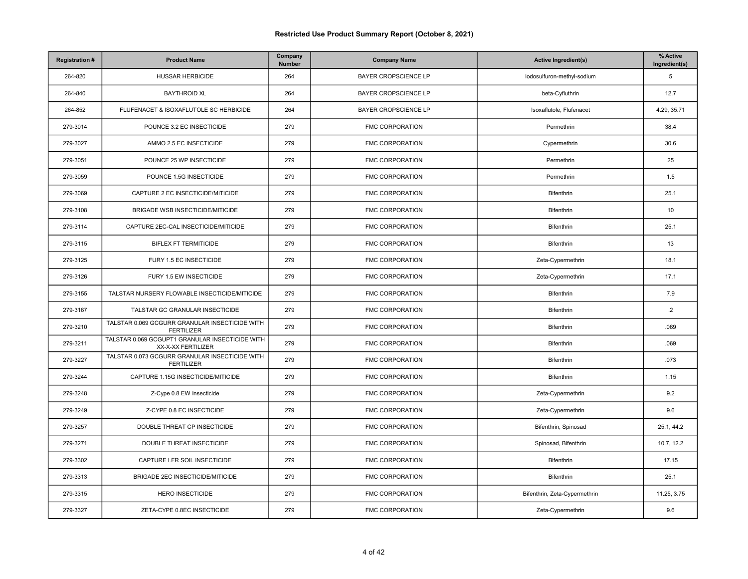| <b>Registration#</b> | <b>Product Name</b>                                                   | Company<br>Number | <b>Company Name</b>         | <b>Active Ingredient(s)</b>   | % Active<br>Ingredient(s) |
|----------------------|-----------------------------------------------------------------------|-------------------|-----------------------------|-------------------------------|---------------------------|
| 264-820              | <b>HUSSAR HERBICIDE</b>                                               | 264               | BAYER CROPSCIENCE LP        | lodosulfuron-methyl-sodium    | 5                         |
| 264-840              | <b>BAYTHROID XL</b>                                                   | 264               | <b>BAYER CROPSCIENCE LP</b> | beta-Cyfluthrin               | 12.7                      |
| 264-852              | FLUFENACET & ISOXAFLUTOLE SC HERBICIDE                                | 264               | <b>BAYER CROPSCIENCE LP</b> | Isoxaflutole, Flufenacet      | 4.29, 35.71               |
| 279-3014             | POUNCE 3.2 EC INSECTICIDE                                             | 279               | <b>FMC CORPORATION</b>      | Permethrin                    | 38.4                      |
| 279-3027             | AMMO 2.5 EC INSECTICIDE                                               | 279               | FMC CORPORATION             | Cypermethrin                  | 30.6                      |
| 279-3051             | POUNCE 25 WP INSECTICIDE                                              | 279               | FMC CORPORATION             | Permethrin                    | 25                        |
| 279-3059             | POUNCE 1.5G INSECTICIDE                                               | 279               | <b>FMC CORPORATION</b>      | Permethrin                    | 1.5                       |
| 279-3069             | CAPTURE 2 EC INSECTICIDE/MITICIDE                                     | 279               | FMC CORPORATION             | Bifenthrin                    | 25.1                      |
| 279-3108             | BRIGADE WSB INSECTICIDE/MITICIDE                                      | 279               | <b>FMC CORPORATION</b>      | Bifenthrin                    | 10                        |
| 279-3114             | CAPTURE 2EC-CAL INSECTICIDE/MITICIDE                                  | 279               | <b>FMC CORPORATION</b>      | Bifenthrin                    | 25.1                      |
| 279-3115             | <b>BIFLEX FT TERMITICIDE</b>                                          | 279               | FMC CORPORATION             | Bifenthrin                    | 13                        |
| 279-3125             | FURY 1.5 EC INSECTICIDE                                               | 279               | <b>FMC CORPORATION</b>      | Zeta-Cypermethrin             | 18.1                      |
| 279-3126             | FURY 1.5 EW INSECTICIDE                                               | 279               | FMC CORPORATION             | Zeta-Cypermethrin             | 17.1                      |
| 279-3155             | TALSTAR NURSERY FLOWABLE INSECTICIDE/MITICIDE                         | 279               | <b>FMC CORPORATION</b>      | Bifenthrin                    | 7.9                       |
| 279-3167             | TALSTAR GC GRANULAR INSECTICIDE                                       | 279               | <b>FMC CORPORATION</b>      | Bifenthrin                    | $\overline{2}$            |
| 279-3210             | TALSTAR 0.069 GCGURR GRANULAR INSECTICIDE WITH<br><b>FERTILIZER</b>   | 279               | FMC CORPORATION             | Bifenthrin                    | .069                      |
| 279-3211             | TALSTAR 0.069 GCGUPT1 GRANULAR INSECTICIDE WITH<br>XX-X-XX FERTILIZER | 279               | FMC CORPORATION             | Bifenthrin                    | .069                      |
| 279-3227             | TALSTAR 0.073 GCGURR GRANULAR INSECTICIDE WITH<br><b>FERTILIZER</b>   | 279               | <b>FMC CORPORATION</b>      | Bifenthrin                    | .073                      |
| 279-3244             | CAPTURE 1.15G INSECTICIDE/MITICIDE                                    | 279               | FMC CORPORATION             | Bifenthrin                    | 1.15                      |
| 279-3248             | Z-Cype 0.8 EW Insecticide                                             | 279               | <b>FMC CORPORATION</b>      | Zeta-Cypermethrin             | 9.2                       |
| 279-3249             | Z-CYPE 0.8 EC INSECTICIDE                                             | 279               | FMC CORPORATION             | Zeta-Cypermethrin             | 9.6                       |
| 279-3257             | DOUBLE THREAT CP INSECTICIDE                                          | 279               | <b>FMC CORPORATION</b>      | Bifenthrin, Spinosad          | 25.1, 44.2                |
| 279-3271             | DOUBLE THREAT INSECTICIDE                                             | 279               | <b>FMC CORPORATION</b>      | Spinosad, Bifenthrin          | 10.7, 12.2                |
| 279-3302             | CAPTURE LFR SOIL INSECTICIDE                                          | 279               | FMC CORPORATION             | Bifenthrin                    | 17.15                     |
| 279-3313             | BRIGADE 2EC INSECTICIDE/MITICIDE                                      | 279               | <b>FMC CORPORATION</b>      | Bifenthrin                    | 25.1                      |
| 279-3315             | <b>HERO INSECTICIDE</b>                                               | 279               | <b>FMC CORPORATION</b>      | Bifenthrin, Zeta-Cypermethrin | 11.25, 3.75               |
| 279-3327             | ZETA-CYPE 0.8EC INSECTICIDE                                           | 279               | FMC CORPORATION             | Zeta-Cypermethrin             | 9.6                       |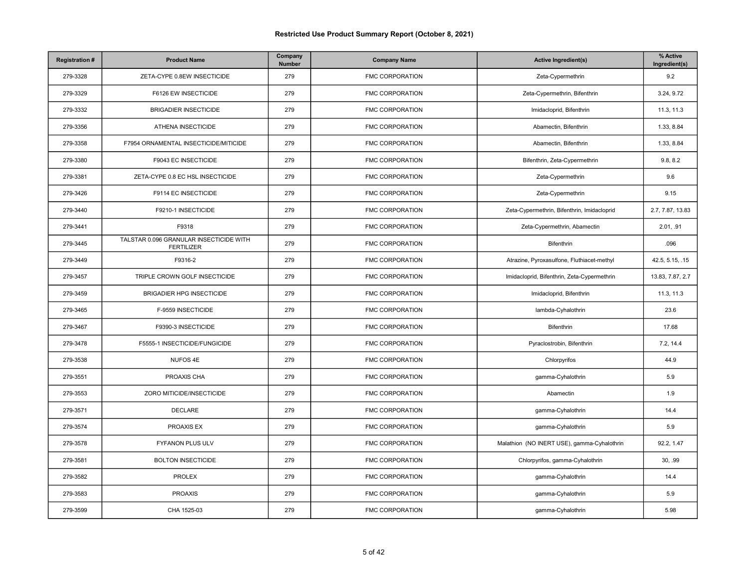| <b>Registration#</b> | <b>Product Name</b>                                          | Company<br><b>Number</b> | <b>Company Name</b>    | <b>Active Ingredient(s)</b>                 | % Active<br>Ingredient(s) |
|----------------------|--------------------------------------------------------------|--------------------------|------------------------|---------------------------------------------|---------------------------|
| 279-3328             | ZETA-CYPE 0.8EW INSECTICIDE                                  | 279                      | <b>FMC CORPORATION</b> | Zeta-Cypermethrin                           | 9.2                       |
| 279-3329             | F6126 EW INSECTICIDE                                         | 279                      | FMC CORPORATION        | Zeta-Cypermethrin, Bifenthrin               | 3.24, 9.72                |
| 279-3332             | <b>BRIGADIER INSECTICIDE</b>                                 | 279                      | <b>FMC CORPORATION</b> | Imidacloprid, Bifenthrin                    | 11.3, 11.3                |
| 279-3356             | ATHENA INSECTICIDE                                           | 279                      | <b>FMC CORPORATION</b> | Abamectin, Bifenthrin                       | 1.33, 8.84                |
| 279-3358             | F7954 ORNAMENTAL INSECTICIDE/MITICIDE                        | 279                      | FMC CORPORATION        | Abamectin, Bifenthrin                       | 1.33, 8.84                |
| 279-3380             | F9043 EC INSECTICIDE                                         | 279                      | FMC CORPORATION        | Bifenthrin, Zeta-Cypermethrin               | 9.8, 8.2                  |
| 279-3381             | ZETA-CYPE 0.8 EC HSL INSECTICIDE                             | 279                      | <b>FMC CORPORATION</b> | Zeta-Cypermethrin                           | 9.6                       |
| 279-3426             | F9114 EC INSECTICIDE                                         | 279                      | <b>FMC CORPORATION</b> | Zeta-Cypermethrin                           | 9.15                      |
| 279-3440             | F9210-1 INSECTICIDE                                          | 279                      | <b>FMC CORPORATION</b> | Zeta-Cypermethrin, Bifenthrin, Imidacloprid | 2.7, 7.87, 13.83          |
| 279-3441             | F9318                                                        | 279                      | <b>FMC CORPORATION</b> | Zeta-Cypermethrin, Abamectin                | 2.01, .91                 |
| 279-3445             | TALSTAR 0.096 GRANULAR INSECTICIDE WITH<br><b>FERTILIZER</b> | 279                      | FMC CORPORATION        | Bifenthrin                                  | .096                      |
| 279-3449             | F9316-2                                                      | 279                      | <b>FMC CORPORATION</b> | Atrazine, Pyroxasulfone, Fluthiacet-methyl  | 42.5, 5.15, .15           |
| 279-3457             | TRIPLE CROWN GOLF INSECTICIDE                                | 279                      | FMC CORPORATION        | Imidacloprid, Bifenthrin, Zeta-Cypermethrin | 13.83, 7.87, 2.7          |
| 279-3459             | BRIGADIER HPG INSECTICIDE                                    | 279                      | <b>FMC CORPORATION</b> | Imidacloprid, Bifenthrin                    | 11.3, 11.3                |
| 279-3465             | F-9559 INSECTICIDE                                           | 279                      | FMC CORPORATION        | lambda-Cyhalothrin                          | 23.6                      |
| 279-3467             | F9390-3 INSECTICIDE                                          | 279                      | FMC CORPORATION        | Bifenthrin                                  | 17.68                     |
| 279-3478             | F5555-1 INSECTICIDE/FUNGICIDE                                | 279                      | <b>FMC CORPORATION</b> | Pyraclostrobin, Bifenthrin                  | 7.2, 14.4                 |
| 279-3538             | NUFOS 4E                                                     | 279                      | FMC CORPORATION        | Chlorpyrifos                                | 44.9                      |
| 279-3551             | PROAXIS CHA                                                  | 279                      | FMC CORPORATION        | gamma-Cyhalothrin                           | 5.9                       |
| 279-3553             | ZORO MITICIDE/INSECTICIDE                                    | 279                      | FMC CORPORATION        | Abamectin                                   | 1.9                       |
| 279-3571             | <b>DECLARE</b>                                               | 279                      | FMC CORPORATION        | gamma-Cyhalothrin                           | 14.4                      |
| 279-3574             | PROAXIS EX                                                   | 279                      | <b>FMC CORPORATION</b> | gamma-Cyhalothrin                           | 5.9                       |
| 279-3578             | <b>FYFANON PLUS ULV</b>                                      | 279                      | <b>FMC CORPORATION</b> | Malathion (NO INERT USE), gamma-Cyhalothrin | 92.2, 1.47                |
| 279-3581             | <b>BOLTON INSECTICIDE</b>                                    | 279                      | <b>FMC CORPORATION</b> | Chlorpyrifos, gamma-Cyhalothrin             | 30, .99                   |
| 279-3582             | <b>PROLEX</b>                                                | 279                      | FMC CORPORATION        | gamma-Cyhalothrin                           | 14.4                      |
| 279-3583             | <b>PROAXIS</b>                                               | 279                      | <b>FMC CORPORATION</b> | gamma-Cyhalothrin                           | 5.9                       |
| 279-3599             | CHA 1525-03                                                  | 279                      | FMC CORPORATION        | gamma-Cyhalothrin                           | 5.98                      |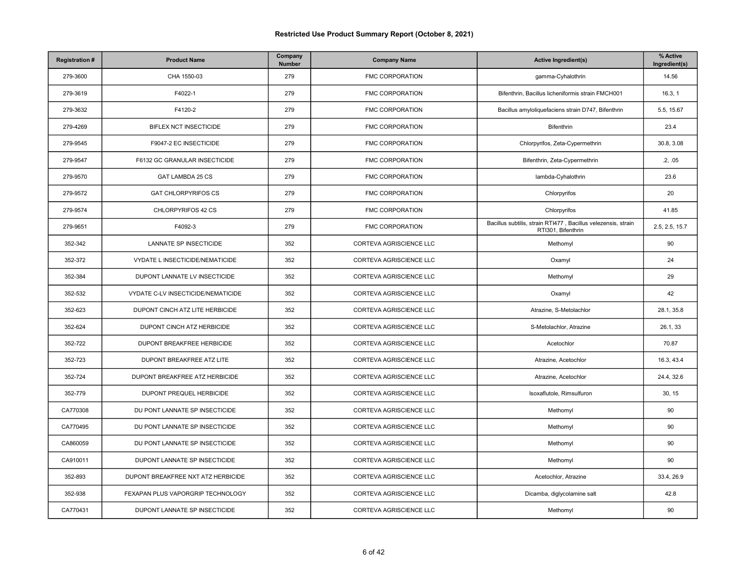| <b>Registration#</b> | <b>Product Name</b>                | Company<br>Number | <b>Company Name</b>     | <b>Active Ingredient(s)</b>                                                         | % Active<br>Ingredient(s) |
|----------------------|------------------------------------|-------------------|-------------------------|-------------------------------------------------------------------------------------|---------------------------|
| 279-3600             | CHA 1550-03                        | 279               | FMC CORPORATION         | gamma-Cyhalothrin                                                                   | 14.56                     |
| 279-3619             | F4022-1                            | 279               | <b>FMC CORPORATION</b>  | Bifenthrin, Bacillus licheniformis strain FMCH001                                   | 16.3, 1                   |
| 279-3632             | F4120-2                            | 279               | <b>FMC CORPORATION</b>  | Bacillus amyloliquefaciens strain D747, Bifenthrin                                  | 5.5, 15.67                |
| 279-4269             | BIFLEX NCT INSECTICIDE             | 279               | <b>FMC CORPORATION</b>  | Bifenthrin                                                                          | 23.4                      |
| 279-9545             | F9047-2 EC INSECTICIDE             | 279               | <b>FMC CORPORATION</b>  | Chlorpyrifos, Zeta-Cypermethrin                                                     | 30.8, 3.08                |
| 279-9547             | F6132 GC GRANULAR INSECTICIDE      | 279               | FMC CORPORATION         | Bifenthrin, Zeta-Cypermethrin                                                       | .2, .05                   |
| 279-9570             | GAT LAMBDA 25 CS                   | 279               | <b>FMC CORPORATION</b>  | lambda-Cyhalothrin                                                                  | 23.6                      |
| 279-9572             | <b>GAT CHLORPYRIFOS CS</b>         | 279               | <b>FMC CORPORATION</b>  | Chlorpyrifos                                                                        | 20                        |
| 279-9574             | CHLORPYRIFOS 42 CS                 | 279               | FMC CORPORATION         | Chlorpyrifos                                                                        | 41.85                     |
| 279-9651             | F4092-3                            | 279               | <b>FMC CORPORATION</b>  | Bacillus subtilis, strain RTI477, Bacillus velezensis, strain<br>RTI301, Bifenthrin | 2.5, 2.5, 15.7            |
| 352-342              | LANNATE SP INSECTICIDE             | 352               | CORTEVA AGRISCIENCE LLC | Methomyl                                                                            | 90                        |
| 352-372              | VYDATE L INSECTICIDE/NEMATICIDE    | 352               | CORTEVA AGRISCIENCE LLC | Oxamyl                                                                              | 24                        |
| 352-384              | DUPONT LANNATE LV INSECTICIDE      | 352               | CORTEVA AGRISCIENCE LLC | Methomyl                                                                            | 29                        |
| 352-532              | VYDATE C-LV INSECTICIDE/NEMATICIDE | 352               | CORTEVA AGRISCIENCE LLC | Oxamyl                                                                              | 42                        |
| 352-623              | DUPONT CINCH ATZ LITE HERBICIDE    | 352               | CORTEVA AGRISCIENCE LLC | Atrazine, S-Metolachlor                                                             | 28.1, 35.8                |
| 352-624              | DUPONT CINCH ATZ HERBICIDE         | 352               | CORTEVA AGRISCIENCE LLC | S-Metolachlor, Atrazine                                                             | 26.1, 33                  |
| 352-722              | DUPONT BREAKFREE HERBICIDE         | 352               | CORTEVA AGRISCIENCE LLC | Acetochlor                                                                          | 70.87                     |
| 352-723              | DUPONT BREAKFREE ATZ LITE          | 352               | CORTEVA AGRISCIENCE LLC | Atrazine, Acetochlor                                                                | 16.3, 43.4                |
| 352-724              | DUPONT BREAKFREE ATZ HERBICIDE     | 352               | CORTEVA AGRISCIENCE LLC | Atrazine, Acetochlor                                                                | 24.4, 32.6                |
| 352-779              | DUPONT PREQUEL HERBICIDE           | 352               | CORTEVA AGRISCIENCE LLC | Isoxaflutole, Rimsulfuron                                                           | 30, 15                    |
| CA770308             | DU PONT LANNATE SP INSECTICIDE     | 352               | CORTEVA AGRISCIENCE LLC | Methomyl                                                                            | 90                        |
| CA770495             | DU PONT LANNATE SP INSECTICIDE     | 352               | CORTEVA AGRISCIENCE LLC | Methomyl                                                                            | 90                        |
| CA860059             | DU PONT LANNATE SP INSECTICIDE     | 352               | CORTEVA AGRISCIENCE LLC | Methomyl                                                                            | 90                        |
| CA910011             | DUPONT LANNATE SP INSECTICIDE      | 352               | CORTEVA AGRISCIENCE LLC | Methomyl                                                                            | 90                        |
| 352-893              | DUPONT BREAKFREE NXT ATZ HERBICIDE | 352               | CORTEVA AGRISCIENCE LLC | Acetochlor, Atrazine                                                                | 33.4, 26.9                |
| 352-938              | FEXAPAN PLUS VAPORGRIP TECHNOLOGY  | 352               | CORTEVA AGRISCIENCE LLC | Dicamba, diglycolamine salt                                                         | 42.8                      |
| CA770431             | DUPONT LANNATE SP INSECTICIDE      | 352               | CORTEVA AGRISCIENCE LLC | Methomyl                                                                            | 90                        |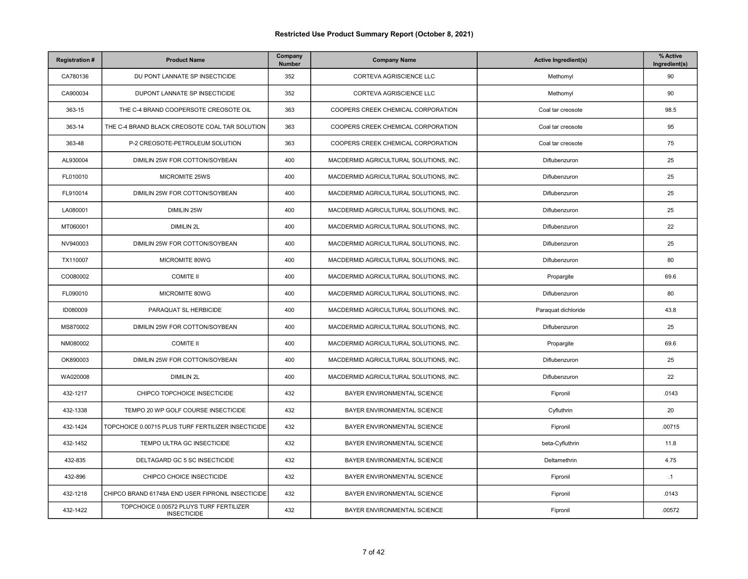| <b>Registration#</b> | <b>Product Name</b>                                           | Company<br>Number | <b>Company Name</b>                    | <b>Active Ingredient(s)</b> | % Active<br>Ingredient(s) |
|----------------------|---------------------------------------------------------------|-------------------|----------------------------------------|-----------------------------|---------------------------|
| CA780136             | DU PONT LANNATE SP INSECTICIDE                                | 352               | CORTEVA AGRISCIENCE LLC                | Methomyl                    | 90                        |
| CA900034             | DUPONT LANNATE SP INSECTICIDE                                 | 352               | CORTEVA AGRISCIENCE LLC                | Methomyl                    | 90                        |
| 363-15               | THE C-4 BRAND COOPERSOTE CREOSOTE OIL                         | 363               | COOPERS CREEK CHEMICAL CORPORATION     | Coal tar creosote           | 98.5                      |
| 363-14               | THE C-4 BRAND BLACK CREOSOTE COAL TAR SOLUTION                | 363               | COOPERS CREEK CHEMICAL CORPORATION     | Coal tar creosote           | 95                        |
| 363-48               | P-2 CREOSOTE-PETROLEUM SOLUTION                               | 363               | COOPERS CREEK CHEMICAL CORPORATION     | Coal tar creosote           | 75                        |
| AL930004             | DIMILIN 25W FOR COTTON/SOYBEAN                                | 400               | MACDERMID AGRICULTURAL SOLUTIONS, INC. | Diflubenzuron               | 25                        |
| FL010010             | MICROMITE 25WS                                                | 400               | MACDERMID AGRICULTURAL SOLUTIONS, INC. | Diflubenzuron               | 25                        |
| FL910014             | DIMILIN 25W FOR COTTON/SOYBEAN                                | 400               | MACDERMID AGRICULTURAL SOLUTIONS, INC. | Diflubenzuron               | 25                        |
| LA080001             | <b>DIMILIN 25W</b>                                            | 400               | MACDERMID AGRICULTURAL SOLUTIONS, INC. | Diflubenzuron               | 25                        |
| MT060001             | <b>DIMILIN 2L</b>                                             | 400               | MACDERMID AGRICULTURAL SOLUTIONS, INC. | Diflubenzuron               | 22                        |
| NV940003             | DIMILIN 25W FOR COTTON/SOYBEAN                                | 400               | MACDERMID AGRICULTURAL SOLUTIONS, INC. | Diflubenzuron               | 25                        |
| TX110007             | MICROMITE 80WG                                                | 400               | MACDERMID AGRICULTURAL SOLUTIONS, INC. | Diflubenzuron               | 80                        |
| CO080002             | <b>COMITE II</b>                                              | 400               | MACDERMID AGRICULTURAL SOLUTIONS, INC. | Propargite                  | 69.6                      |
| FL090010             | MICROMITE 80WG                                                | 400               | MACDERMID AGRICULTURAL SOLUTIONS, INC. | Diflubenzuron               | 80                        |
| ID080009             | PARAQUAT SL HERBICIDE                                         | 400               | MACDERMID AGRICULTURAL SOLUTIONS, INC. | Paraquat dichloride         | 43.8                      |
| MS870002             | DIMILIN 25W FOR COTTON/SOYBEAN                                | 400               | MACDERMID AGRICULTURAL SOLUTIONS, INC. | Diflubenzuron               | 25                        |
| NM080002             | <b>COMITE II</b>                                              | 400               | MACDERMID AGRICULTURAL SOLUTIONS, INC. | Propargite                  | 69.6                      |
| OK890003             | DIMILIN 25W FOR COTTON/SOYBEAN                                | 400               | MACDERMID AGRICULTURAL SOLUTIONS, INC. | Diflubenzuron               | 25                        |
| WA020008             | <b>DIMILIN 2L</b>                                             | 400               | MACDERMID AGRICULTURAL SOLUTIONS, INC. | Diflubenzuron               | 22                        |
| 432-1217             | CHIPCO TOPCHOICE INSECTICIDE                                  | 432               | BAYER ENVIRONMENTAL SCIENCE            | Fipronil                    | .0143                     |
| 432-1338             | TEMPO 20 WP GOLF COURSE INSECTICIDE                           | 432               | BAYER ENVIRONMENTAL SCIENCE            | Cyfluthrin                  | 20                        |
| 432-1424             | TOPCHOICE 0.00715 PLUS TURF FERTILIZER INSECTICIDE            | 432               | BAYER ENVIRONMENTAL SCIENCE            | Fipronil                    | .00715                    |
| 432-1452             | TEMPO ULTRA GC INSECTICIDE                                    | 432               | BAYER ENVIRONMENTAL SCIENCE            | beta-Cyfluthrin             | 11.8                      |
| 432-835              | DELTAGARD GC 5 SC INSECTICIDE                                 | 432               | BAYER ENVIRONMENTAL SCIENCE            | Deltamethrin                | 4.75                      |
| 432-896              | CHIPCO CHOICE INSECTICIDE                                     | 432               | BAYER ENVIRONMENTAL SCIENCE            | Fipronil                    | .1                        |
| 432-1218             | CHIPCO BRAND 61748A END USER FIPRONIL INSECTICIDE             | 432               | BAYER ENVIRONMENTAL SCIENCE            | Fipronil                    | .0143                     |
| 432-1422             | TOPCHOICE 0.00572 PLUYS TURF FERTILIZER<br><b>INSECTICIDE</b> | 432               | BAYER ENVIRONMENTAL SCIENCE            | Fipronil                    | .00572                    |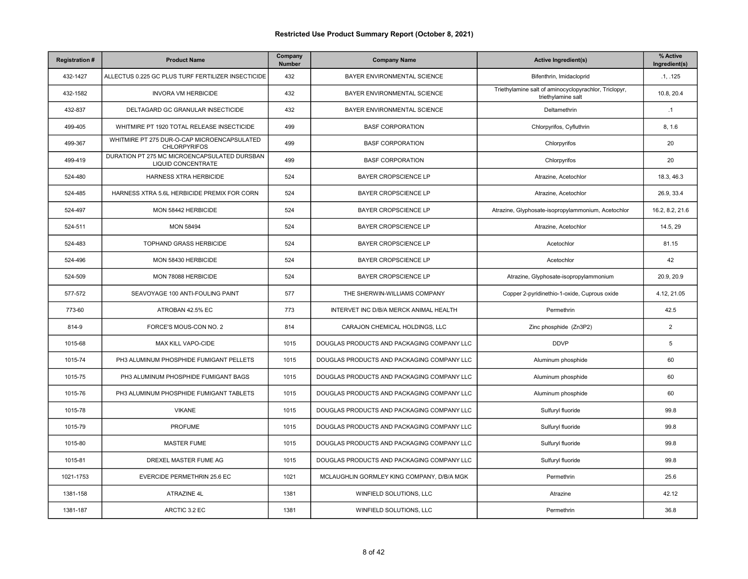| <b>Registration#</b> | <b>Product Name</b>                                                | Company<br>Number | <b>Company Name</b>                        | <b>Active Ingredient(s)</b>                                                 | % Active<br>Ingredient(s) |
|----------------------|--------------------------------------------------------------------|-------------------|--------------------------------------------|-----------------------------------------------------------------------------|---------------------------|
| 432-1427             | ALLECTUS 0.225 GC PLUS TURF FERTILIZER INSECTICIDE                 | 432               | BAYER ENVIRONMENTAL SCIENCE                | Bifenthrin, Imidacloprid                                                    | .1.125                    |
| 432-1582             | <b>INVORA VM HERBICIDE</b>                                         | 432               | BAYER ENVIRONMENTAL SCIENCE                | Triethylamine salt of aminocyclopyrachlor, Triclopyr,<br>triethylamine salt | 10.8, 20.4                |
| 432-837              | DELTAGARD GC GRANULAR INSECTICIDE                                  | 432               | BAYER ENVIRONMENTAL SCIENCE                | Deltamethrin                                                                | .1                        |
| 499-405              | WHITMIRE PT 1920 TOTAL RELEASE INSECTICIDE                         | 499               | <b>BASF CORPORATION</b>                    | Chlorpyrifos, Cyfluthrin                                                    | 8, 1.6                    |
| 499-367              | WHITMIRE PT 275 DUR-O-CAP MICROENCAPSULATED<br><b>CHLORPYRIFOS</b> | 499               | <b>BASF CORPORATION</b>                    | Chlorpyrifos                                                                | 20                        |
| 499-419              | DURATION PT 275 MC MICROENCAPSULATED DURSBAN<br>LIQUID CONCENTRATE | 499               | <b>BASF CORPORATION</b>                    | Chlorpyrifos                                                                | 20                        |
| 524-480              | <b>HARNESS XTRA HERBICIDE</b>                                      | 524               | <b>BAYER CROPSCIENCE LP</b>                | Atrazine, Acetochlor                                                        | 18.3.46.3                 |
| 524-485              | HARNESS XTRA 5.6L HERBICIDE PREMIX FOR CORN                        | 524               | BAYER CROPSCIENCE LP                       | Atrazine, Acetochlor                                                        | 26.9, 33.4                |
| 524-497              | MON 58442 HERBICIDE                                                | 524               | BAYER CROPSCIENCE LP                       | Atrazine, Glyphosate-isopropylammonium, Acetochlor                          | 16.2, 8.2, 21.6           |
| 524-511              | <b>MON 58494</b>                                                   | 524               | <b>BAYER CROPSCIENCE LP</b>                | Atrazine, Acetochlor                                                        | 14.5.29                   |
| 524-483              | TOPHAND GRASS HERBICIDE                                            | 524               | BAYER CROPSCIENCE LP                       | Acetochlor                                                                  | 81.15                     |
| 524-496              | MON 58430 HERBICIDE                                                | 524               | BAYER CROPSCIENCE LP                       | Acetochlor                                                                  | 42                        |
| 524-509              | MON 78088 HERBICIDE                                                | 524               | <b>BAYER CROPSCIENCE LP</b>                | Atrazine, Glyphosate-isopropylammonium                                      | 20.9, 20.9                |
| 577-572              | SEAVOYAGE 100 ANTI-FOULING PAINT                                   | 577               | THE SHERWIN-WILLIAMS COMPANY               | Copper 2-pyridinethio-1-oxide, Cuprous oxide                                | 4.12, 21.05               |
| 773-60               | ATROBAN 42.5% EC                                                   | 773               | INTERVET INC D/B/A MERCK ANIMAL HEALTH     | Permethrin                                                                  | 42.5                      |
| 814-9                | FORCE'S MOUS-CON NO. 2                                             | 814               | CARAJON CHEMICAL HOLDINGS, LLC             | Zinc phosphide (Zn3P2)                                                      | $\overline{2}$            |
| 1015-68              | MAX KILL VAPO-CIDE                                                 | 1015              | DOUGLAS PRODUCTS AND PACKAGING COMPANY LLC | <b>DDVP</b>                                                                 | 5                         |
| 1015-74              | PH3 ALUMINUM PHOSPHIDE FUMIGANT PELLETS                            | 1015              | DOUGLAS PRODUCTS AND PACKAGING COMPANY LLC | Aluminum phosphide                                                          | 60                        |
| 1015-75              | PH3 ALUMINUM PHOSPHIDE FUMIGANT BAGS                               | 1015              | DOUGLAS PRODUCTS AND PACKAGING COMPANY LLC | Aluminum phosphide                                                          | 60                        |
| 1015-76              | PH3 ALUMINUM PHOSPHIDE FUMIGANT TABLETS                            | 1015              | DOUGLAS PRODUCTS AND PACKAGING COMPANY LLC | Aluminum phosphide                                                          | 60                        |
| 1015-78              | <b>VIKANE</b>                                                      | 1015              | DOUGLAS PRODUCTS AND PACKAGING COMPANY LLC | Sulfuryl fluoride                                                           | 99.8                      |
| 1015-79              | <b>PROFUME</b>                                                     | 1015              | DOUGLAS PRODUCTS AND PACKAGING COMPANY LLC | Sulfuryl fluoride                                                           | 99.8                      |
| 1015-80              | <b>MASTER FUME</b>                                                 | 1015              | DOUGLAS PRODUCTS AND PACKAGING COMPANY LLC | Sulfuryl fluoride                                                           | 99.8                      |
| 1015-81              | DREXEL MASTER FUME AG                                              | 1015              | DOUGLAS PRODUCTS AND PACKAGING COMPANY LLC | Sulfuryl fluoride                                                           | 99.8                      |
| 1021-1753            | <b>EVERCIDE PERMETHRIN 25.6 EC</b>                                 | 1021              | MCLAUGHLIN GORMLEY KING COMPANY, D/B/A MGK | Permethrin                                                                  | 25.6                      |
| 1381-158             | ATRAZINE 4L                                                        | 1381              | WINFIELD SOLUTIONS, LLC                    | Atrazine                                                                    | 42.12                     |
| 1381-187             | ARCTIC 3.2 EC                                                      | 1381              | WINFIELD SOLUTIONS, LLC                    | Permethrin                                                                  | 36.8                      |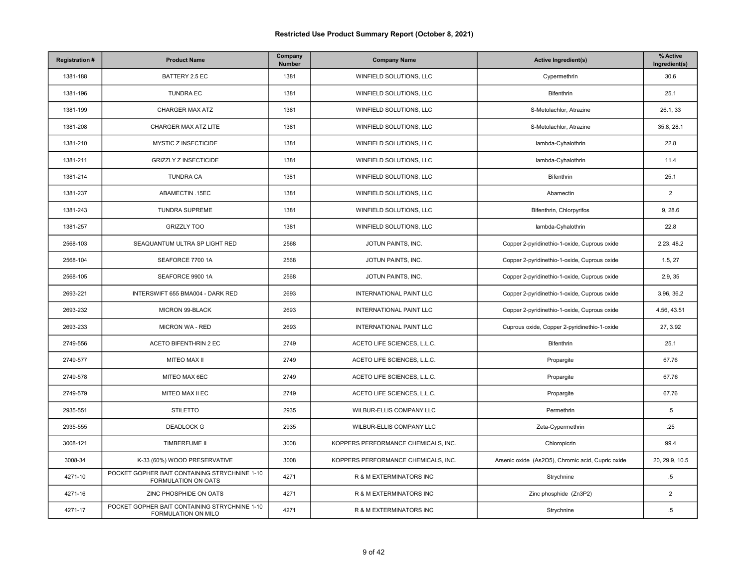| <b>Registration#</b> | <b>Product Name</b>                                                  | Company<br>Number | <b>Company Name</b>                 | <b>Active Ingredient(s)</b>                       | % Active<br>Ingredient(s) |
|----------------------|----------------------------------------------------------------------|-------------------|-------------------------------------|---------------------------------------------------|---------------------------|
| 1381-188             | BATTERY 2.5 EC                                                       | 1381              | WINFIELD SOLUTIONS, LLC             | Cypermethrin                                      | 30.6                      |
| 1381-196             | <b>TUNDRA EC</b>                                                     | 1381              | WINFIELD SOLUTIONS, LLC             | Bifenthrin                                        | 25.1                      |
| 1381-199             | <b>CHARGER MAX ATZ</b>                                               | 1381              | WINFIELD SOLUTIONS, LLC             | S-Metolachlor, Atrazine                           | 26.1, 33                  |
| 1381-208             | CHARGER MAX ATZ LITE                                                 | 1381              | WINFIELD SOLUTIONS, LLC             | S-Metolachlor, Atrazine                           | 35.8, 28.1                |
| 1381-210             | MYSTIC Z INSECTICIDE                                                 | 1381              | WINFIELD SOLUTIONS, LLC             | lambda-Cyhalothrin                                | 22.8                      |
| 1381-211             | <b>GRIZZLY Z INSECTICIDE</b>                                         | 1381              | WINFIELD SOLUTIONS, LLC             | lambda-Cyhalothrin                                | 11.4                      |
| 1381-214             | <b>TUNDRA CA</b>                                                     | 1381              | WINFIELD SOLUTIONS, LLC             | <b>Bifenthrin</b>                                 | 25.1                      |
| 1381-237             | ABAMECTIN .15EC                                                      | 1381              | WINFIELD SOLUTIONS, LLC             | Abamectin                                         | $\overline{2}$            |
| 1381-243             | <b>TUNDRA SUPREME</b>                                                | 1381              | WINFIELD SOLUTIONS, LLC             | Bifenthrin, Chlorpyrifos                          | 9, 28.6                   |
| 1381-257             | <b>GRIZZLY TOO</b>                                                   | 1381              | WINFIELD SOLUTIONS, LLC             | lambda-Cyhalothrin                                | 22.8                      |
| 2568-103             | SEAQUANTUM ULTRA SP LIGHT RED                                        | 2568              | JOTUN PAINTS, INC.                  | Copper 2-pyridinethio-1-oxide, Cuprous oxide      | 2.23, 48.2                |
| 2568-104             | SEAFORCE 7700 1A                                                     | 2568              | JOTUN PAINTS, INC.                  | Copper 2-pyridinethio-1-oxide, Cuprous oxide      | 1.5, 27                   |
| 2568-105             | SEAFORCE 9900 1A                                                     | 2568              | JOTUN PAINTS, INC.                  | Copper 2-pyridinethio-1-oxide, Cuprous oxide      | 2.9, 35                   |
| 2693-221             | INTERSWIFT 655 BMA004 - DARK RED                                     | 2693              | INTERNATIONAL PAINT LLC             | Copper 2-pyridinethio-1-oxide, Cuprous oxide      | 3.96, 36.2                |
| 2693-232             | MICRON 99-BLACK                                                      | 2693              | INTERNATIONAL PAINT LLC             | Copper 2-pyridinethio-1-oxide, Cuprous oxide      | 4.56, 43.51               |
| 2693-233             | MICRON WA - RED                                                      | 2693              | INTERNATIONAL PAINT LLC             | Cuprous oxide, Copper 2-pyridinethio-1-oxide      | 27, 3.92                  |
| 2749-556             | <b>ACETO BIFENTHRIN 2 EC</b>                                         | 2749              | ACETO LIFE SCIENCES, L.L.C.         | Bifenthrin                                        | 25.1                      |
| 2749-577             | MITEO MAX II                                                         | 2749              | ACETO LIFE SCIENCES, L.L.C.         | Propargite                                        | 67.76                     |
| 2749-578             | MITEO MAX 6EC                                                        | 2749              | ACETO LIFE SCIENCES, L.L.C.         | Propargite                                        | 67.76                     |
| 2749-579             | MITEO MAX II EC                                                      | 2749              | ACETO LIFE SCIENCES, L.L.C.         | Propargite                                        | 67.76                     |
| 2935-551             | <b>STILETTO</b>                                                      | 2935              | WILBUR-ELLIS COMPANY LLC            | Permethrin                                        | $.5\,$                    |
| 2935-555             | <b>DEADLOCK G</b>                                                    | 2935              | WILBUR-ELLIS COMPANY LLC            | Zeta-Cypermethrin                                 | .25                       |
| 3008-121             | <b>TIMBERFUME II</b>                                                 | 3008              | KOPPERS PERFORMANCE CHEMICALS, INC. | Chloropicrin                                      | 99.4                      |
| 3008-34              | K-33 (60%) WOOD PRESERVATIVE                                         | 3008              | KOPPERS PERFORMANCE CHEMICALS, INC. | Arsenic oxide (As2O5), Chromic acid, Cupric oxide | 20, 29.9, 10.5            |
| 4271-10              | POCKET GOPHER BAIT CONTAINING STRYCHNINE 1-10<br>FORMULATION ON OATS | 4271              | R & M EXTERMINATORS INC             | Strychnine                                        | $.5\,$                    |
| 4271-16              | ZINC PHOSPHIDE ON OATS                                               | 4271              | R & M EXTERMINATORS INC             | Zinc phosphide (Zn3P2)                            | $\overline{2}$            |
| 4271-17              | POCKET GOPHER BAIT CONTAINING STRYCHNINE 1-10<br>FORMULATION ON MILO | 4271              | R & M EXTERMINATORS INC             | Strychnine                                        | $.5\,$                    |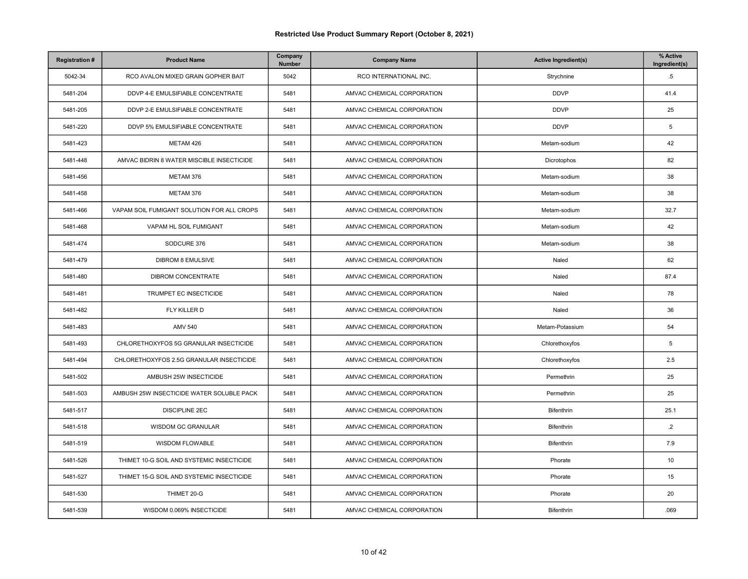| <b>Registration#</b> | <b>Product Name</b>                        | Company<br>Number | <b>Company Name</b>        | <b>Active Ingredient(s)</b> | % Active<br>Ingredient(s) |
|----------------------|--------------------------------------------|-------------------|----------------------------|-----------------------------|---------------------------|
| 5042-34              | RCO AVALON MIXED GRAIN GOPHER BAIT         | 5042              | RCO INTERNATIONAL INC.     | Strychnine                  | $.5\,$                    |
| 5481-204             | DDVP 4-E EMULSIFIABLE CONCENTRATE          | 5481              | AMVAC CHEMICAL CORPORATION | <b>DDVP</b>                 | 41.4                      |
| 5481-205             | DDVP 2-E EMULSIFIABLE CONCENTRATE          | 5481              | AMVAC CHEMICAL CORPORATION | <b>DDVP</b>                 | 25                        |
| 5481-220             | DDVP 5% EMULSIFIABLE CONCENTRATE           | 5481              | AMVAC CHEMICAL CORPORATION | <b>DDVP</b>                 | 5                         |
| 5481-423             | METAM 426                                  | 5481              | AMVAC CHEMICAL CORPORATION | Metam-sodium                | 42                        |
| 5481-448             | AMVAC BIDRIN 8 WATER MISCIBLE INSECTICIDE  | 5481              | AMVAC CHEMICAL CORPORATION | Dicrotophos                 | 82                        |
| 5481-456             | METAM 376                                  | 5481              | AMVAC CHEMICAL CORPORATION | Metam-sodium                | 38                        |
| 5481-458             | METAM 376                                  | 5481              | AMVAC CHEMICAL CORPORATION | Metam-sodium                | 38                        |
| 5481-466             | VAPAM SOIL FUMIGANT SOLUTION FOR ALL CROPS | 5481              | AMVAC CHEMICAL CORPORATION | Metam-sodium                | 32.7                      |
| 5481-468             | VAPAM HL SOIL FUMIGANT                     | 5481              | AMVAC CHEMICAL CORPORATION | Metam-sodium                | 42                        |
| 5481-474             | SODCURE 376                                | 5481              | AMVAC CHEMICAL CORPORATION | Metam-sodium                | 38                        |
| 5481-479             | <b>DIBROM 8 EMULSIVE</b>                   | 5481              | AMVAC CHEMICAL CORPORATION | Naled                       | 62                        |
| 5481-480             | DIBROM CONCENTRATE                         | 5481              | AMVAC CHEMICAL CORPORATION | Naled                       | 87.4                      |
| 5481-481             | TRUMPET EC INSECTICIDE                     | 5481              | AMVAC CHEMICAL CORPORATION | Naled                       | 78                        |
| 5481-482             | FLY KILLER D                               | 5481              | AMVAC CHEMICAL CORPORATION | Naled                       | 36                        |
| 5481-483             | <b>AMV 540</b>                             | 5481              | AMVAC CHEMICAL CORPORATION | Metam-Potassium             | 54                        |
| 5481-493             | CHLORETHOXYFOS 5G GRANULAR INSECTICIDE     | 5481              | AMVAC CHEMICAL CORPORATION | Chlorethoxyfos              | 5                         |
| 5481-494             | CHLORETHOXYFOS 2.5G GRANULAR INSECTICIDE   | 5481              | AMVAC CHEMICAL CORPORATION | Chlorethoxyfos              | 2.5                       |
| 5481-502             | AMBUSH 25W INSECTICIDE                     | 5481              | AMVAC CHEMICAL CORPORATION | Permethrin                  | 25                        |
| 5481-503             | AMBUSH 25W INSECTICIDE WATER SOLUBLE PACK  | 5481              | AMVAC CHEMICAL CORPORATION | Permethrin                  | 25                        |
| 5481-517             | <b>DISCIPLINE 2EC</b>                      | 5481              | AMVAC CHEMICAL CORPORATION | Bifenthrin                  | 25.1                      |
| 5481-518             | WISDOM GC GRANULAR                         | 5481              | AMVAC CHEMICAL CORPORATION | Bifenthrin                  | $\cdot$ .2                |
| 5481-519             | <b>WISDOM FLOWABLE</b>                     | 5481              | AMVAC CHEMICAL CORPORATION | Bifenthrin                  | 7.9                       |
| 5481-526             | THIMET 10-G SOIL AND SYSTEMIC INSECTICIDE  | 5481              | AMVAC CHEMICAL CORPORATION | Phorate                     | 10                        |
| 5481-527             | THIMET 15-G SOIL AND SYSTEMIC INSECTICIDE  | 5481              | AMVAC CHEMICAL CORPORATION | Phorate                     | 15                        |
| 5481-530             | THIMET 20-G                                | 5481              | AMVAC CHEMICAL CORPORATION | Phorate                     | 20                        |
| 5481-539             | WISDOM 0.069% INSECTICIDE                  | 5481              | AMVAC CHEMICAL CORPORATION | Bifenthrin                  | .069                      |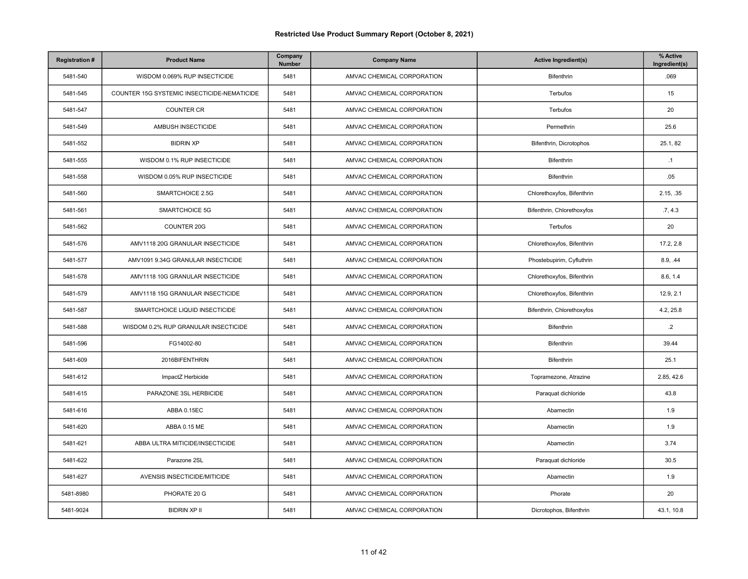| <b>Registration#</b> | <b>Product Name</b>                         | Company<br>Number | <b>Company Name</b>        | <b>Active Ingredient(s)</b> | % Active<br>Ingredient(s) |
|----------------------|---------------------------------------------|-------------------|----------------------------|-----------------------------|---------------------------|
| 5481-540             | WISDOM 0.069% RUP INSECTICIDE               | 5481              | AMVAC CHEMICAL CORPORATION | Bifenthrin                  | .069                      |
| 5481-545             | COUNTER 15G SYSTEMIC INSECTICIDE-NEMATICIDE | 5481              | AMVAC CHEMICAL CORPORATION | Terbufos                    | 15                        |
| 5481-547             | <b>COUNTER CR</b>                           | 5481              | AMVAC CHEMICAL CORPORATION | Terbufos                    | 20                        |
| 5481-549             | AMBUSH INSECTICIDE                          | 5481              | AMVAC CHEMICAL CORPORATION | Permethrin                  | 25.6                      |
| 5481-552             | <b>BIDRIN XP</b>                            | 5481              | AMVAC CHEMICAL CORPORATION | Bifenthrin, Dicrotophos     | 25.1, 82                  |
| 5481-555             | WISDOM 0.1% RUP INSECTICIDE                 | 5481              | AMVAC CHEMICAL CORPORATION | Bifenthrin                  | .1                        |
| 5481-558             | WISDOM 0.05% RUP INSECTICIDE                | 5481              | AMVAC CHEMICAL CORPORATION | Bifenthrin                  | .05                       |
| 5481-560             | SMARTCHOICE 2.5G                            | 5481              | AMVAC CHEMICAL CORPORATION | Chlorethoxyfos, Bifenthrin  | 2.15, .35                 |
| 5481-561             | SMARTCHOICE 5G                              | 5481              | AMVAC CHEMICAL CORPORATION | Bifenthrin, Chlorethoxyfos  | .7, 4.3                   |
| 5481-562             | <b>COUNTER 20G</b>                          | 5481              | AMVAC CHEMICAL CORPORATION | Terbufos                    | 20                        |
| 5481-576             | AMV1118 20G GRANULAR INSECTICIDE            | 5481              | AMVAC CHEMICAL CORPORATION | Chlorethoxyfos, Bifenthrin  | 17.2, 2.8                 |
| 5481-577             | AMV1091 9.34G GRANULAR INSECTICIDE          | 5481              | AMVAC CHEMICAL CORPORATION | Phostebupirim, Cyfluthrin   | 8.9, .44                  |
| 5481-578             | AMV1118 10G GRANULAR INSECTICIDE            | 5481              | AMVAC CHEMICAL CORPORATION | Chlorethoxyfos, Bifenthrin  | 8.6, 1.4                  |
| 5481-579             | AMV1118 15G GRANULAR INSECTICIDE            | 5481              | AMVAC CHEMICAL CORPORATION | Chlorethoxyfos, Bifenthrin  | 12.9, 2.1                 |
| 5481-587             | SMARTCHOICE LIQUID INSECTICIDE              | 5481              | AMVAC CHEMICAL CORPORATION | Bifenthrin, Chlorethoxyfos  | 4.2, 25.8                 |
| 5481-588             | WISDOM 0.2% RUP GRANULAR INSECTICIDE        | 5481              | AMVAC CHEMICAL CORPORATION | Bifenthrin                  | $\cdot$ .2                |
| 5481-596             | FG14002-80                                  | 5481              | AMVAC CHEMICAL CORPORATION | Bifenthrin                  | 39.44                     |
| 5481-609             | 2016BIFENTHRIN                              | 5481              | AMVAC CHEMICAL CORPORATION | Bifenthrin                  | 25.1                      |
| 5481-612             | ImpactZ Herbicide                           | 5481              | AMVAC CHEMICAL CORPORATION | Topramezone, Atrazine       | 2.85, 42.6                |
| 5481-615             | PARAZONE 3SL HERBICIDE                      | 5481              | AMVAC CHEMICAL CORPORATION | Paraquat dichloride         | 43.8                      |
| 5481-616             | ABBA 0.15EC                                 | 5481              | AMVAC CHEMICAL CORPORATION | Abamectin                   | 1.9                       |
| 5481-620             | ABBA 0.15 ME                                | 5481              | AMVAC CHEMICAL CORPORATION | Abamectin                   | 1.9                       |
| 5481-621             | ABBA ULTRA MITICIDE/INSECTICIDE             | 5481              | AMVAC CHEMICAL CORPORATION | Abamectin                   | 3.74                      |
| 5481-622             | Parazone 2SL                                | 5481              | AMVAC CHEMICAL CORPORATION | Paraquat dichloride         | 30.5                      |
| 5481-627             | AVENSIS INSECTICIDE/MITICIDE                | 5481              | AMVAC CHEMICAL CORPORATION | Abamectin                   | 1.9                       |
| 5481-8980            | PHORATE 20 G                                | 5481              | AMVAC CHEMICAL CORPORATION | Phorate                     | 20                        |
| 5481-9024            | <b>BIDRIN XP II</b>                         | 5481              | AMVAC CHEMICAL CORPORATION | Dicrotophos, Bifenthrin     | 43.1, 10.8                |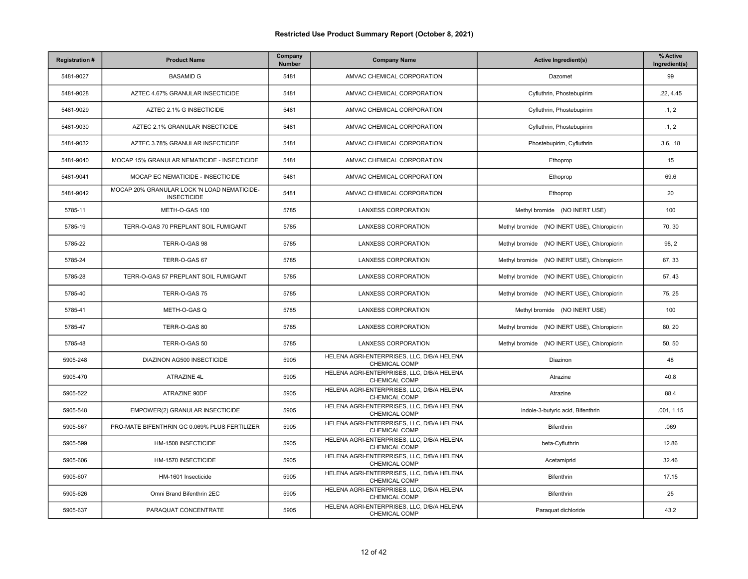| <b>Registration#</b> | <b>Product Name</b>                                               | Company<br>Number | <b>Company Name</b>                                                | <b>Active Ingredient(s)</b>                 | % Active<br>Ingredient(s) |
|----------------------|-------------------------------------------------------------------|-------------------|--------------------------------------------------------------------|---------------------------------------------|---------------------------|
| 5481-9027            | <b>BASAMID G</b>                                                  | 5481              | AMVAC CHEMICAL CORPORATION                                         | Dazomet                                     | 99                        |
| 5481-9028            | AZTEC 4.67% GRANULAR INSECTICIDE                                  | 5481              | AMVAC CHEMICAL CORPORATION                                         | Cyfluthrin, Phostebupirim                   | .22, 4.45                 |
| 5481-9029            | AZTEC 2.1% G INSECTICIDE                                          | 5481              | AMVAC CHEMICAL CORPORATION                                         | Cyfluthrin, Phostebupirim                   | .1, 2                     |
| 5481-9030            | AZTEC 2.1% GRANULAR INSECTICIDE                                   | 5481              | AMVAC CHEMICAL CORPORATION                                         | Cyfluthrin, Phostebupirim                   | .1, 2                     |
| 5481-9032            | AZTEC 3.78% GRANULAR INSECTICIDE                                  | 5481              | AMVAC CHEMICAL CORPORATION                                         | Phostebupirim, Cyfluthrin                   | 3.6, .18                  |
| 5481-9040            | MOCAP 15% GRANULAR NEMATICIDE - INSECTICIDE                       | 5481              | AMVAC CHEMICAL CORPORATION                                         | Ethoprop                                    | 15                        |
| 5481-9041            | MOCAP EC NEMATICIDE - INSECTICIDE                                 | 5481              | AMVAC CHEMICAL CORPORATION                                         | Ethoprop                                    | 69.6                      |
| 5481-9042            | MOCAP 20% GRANULAR LOCK 'N LOAD NEMATICIDE-<br><b>INSECTICIDE</b> | 5481              | AMVAC CHEMICAL CORPORATION                                         | Ethoprop                                    | 20                        |
| 5785-11              | METH-O-GAS 100                                                    | 5785              | <b>LANXESS CORPORATION</b>                                         | Methyl bromide (NO INERT USE)               | 100                       |
| 5785-19              | TERR-O-GAS 70 PREPLANT SOIL FUMIGANT                              | 5785              | <b>LANXESS CORPORATION</b>                                         | Methyl bromide (NO INERT USE), Chloropicrin | 70.30                     |
| 5785-22              | TERR-O-GAS 98                                                     | 5785              | LANXESS CORPORATION                                                | Methyl bromide (NO INERT USE), Chloropicrin | 98, 2                     |
| 5785-24              | TERR-O-GAS 67                                                     | 5785              | <b>LANXESS CORPORATION</b>                                         | Methyl bromide (NO INERT USE), Chloropicrin | 67, 33                    |
| 5785-28              | TERR-O-GAS 57 PREPLANT SOIL FUMIGANT                              | 5785              | <b>LANXESS CORPORATION</b>                                         | Methyl bromide (NO INERT USE), Chloropicrin | 57, 43                    |
| 5785-40              | TERR-O-GAS 75                                                     | 5785              | <b>LANXESS CORPORATION</b>                                         | Methyl bromide (NO INERT USE), Chloropicrin | 75, 25                    |
| 5785-41              | METH-O-GAS Q                                                      | 5785              | <b>LANXESS CORPORATION</b>                                         | Methyl bromide (NO INERT USE)               | 100                       |
| 5785-47              | TERR-O-GAS 80                                                     | 5785              | <b>LANXESS CORPORATION</b>                                         | Methyl bromide (NO INERT USE), Chloropicrin | 80, 20                    |
| 5785-48              | TERR-O-GAS 50                                                     | 5785              | <b>LANXESS CORPORATION</b>                                         | Methyl bromide (NO INERT USE), Chloropicrin | 50, 50                    |
| 5905-248             | DIAZINON AG500 INSECTICIDE                                        | 5905              | HELENA AGRI-ENTERPRISES, LLC, D/B/A HELENA<br>CHEMICAL COMP        | Diazinon                                    | 48                        |
| 5905-470             | ATRAZINE 4L                                                       | 5905              | HELENA AGRI-ENTERPRISES, LLC, D/B/A HELENA<br><b>CHEMICAL COMP</b> | Atrazine                                    | 40.8                      |
| 5905-522             | ATRAZINE 90DF                                                     | 5905              | HELENA AGRI-ENTERPRISES, LLC, D/B/A HELENA<br>CHEMICAL COMP        | Atrazine                                    | 88.4                      |
| 5905-548             | EMPOWER(2) GRANULAR INSECTICIDE                                   | 5905              | HELENA AGRI-ENTERPRISES, LLC, D/B/A HELENA<br>CHEMICAL COMP        | Indole-3-butyric acid, Bifenthrin           | .001, 1.15                |
| 5905-567             | PRO-MATE BIFENTHRIN GC 0.069% PLUS FERTILIZER                     | 5905              | HELENA AGRI-ENTERPRISES, LLC, D/B/A HELENA<br><b>CHEMICAL COMP</b> | <b>Bifenthrin</b>                           | .069                      |
| 5905-599             | HM-1508 INSECTICIDE                                               | 5905              | HELENA AGRI-ENTERPRISES, LLC, D/B/A HELENA<br>CHEMICAL COMP        | beta-Cyfluthrin                             | 12.86                     |
| 5905-606             | HM-1570 INSECTICIDE                                               | 5905              | HELENA AGRI-ENTERPRISES, LLC, D/B/A HELENA<br>CHEMICAL COMP        | Acetamiprid                                 | 32.46                     |
| 5905-607             | HM-1601 Insecticide                                               | 5905              | HELENA AGRI-ENTERPRISES, LLC, D/B/A HELENA<br>CHEMICAL COMP        | Bifenthrin                                  | 17.15                     |
| 5905-626             | Omni Brand Bifenthrin 2EC                                         | 5905              | HELENA AGRI-ENTERPRISES, LLC, D/B/A HELENA<br><b>CHEMICAL COMP</b> | <b>Bifenthrin</b>                           | 25                        |
| 5905-637             | PARAQUAT CONCENTRATE                                              | 5905              | HELENA AGRI-ENTERPRISES, LLC, D/B/A HELENA<br>CHEMICAL COMP        | Paraquat dichloride                         | 43.2                      |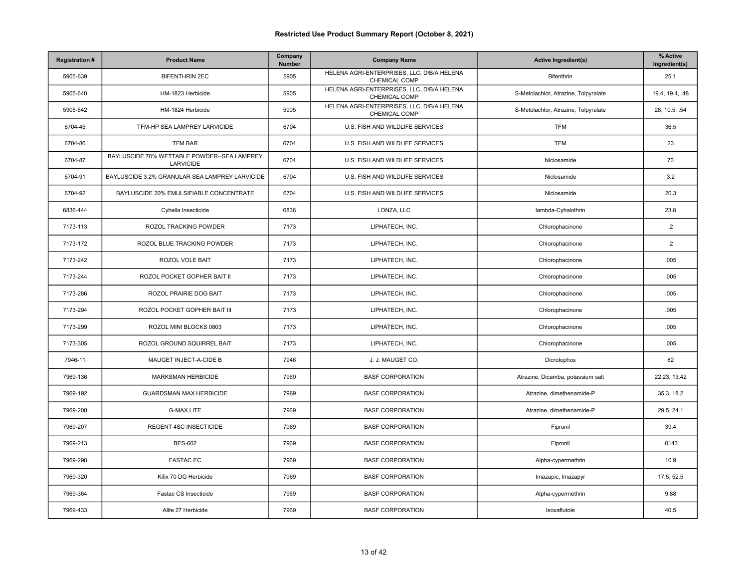| <b>Registration#</b> | <b>Product Name</b>                                      | Company<br><b>Number</b> | <b>Company Name</b>                                                | <b>Active Ingredient(s)</b>          | % Active<br>Ingredient(s) |
|----------------------|----------------------------------------------------------|--------------------------|--------------------------------------------------------------------|--------------------------------------|---------------------------|
| 5905-639             | <b>BIFENTHRIN 2EC</b>                                    | 5905                     | HELENA AGRI-ENTERPRISES, LLC, D/B/A HELENA<br>CHEMICAL COMP        | <b>Bifenthrin</b>                    | 25.1                      |
| 5905-640             | HM-1823 Herbicide                                        | 5905                     | HELENA AGRI-ENTERPRISES, LLC, D/B/A HELENA<br>CHEMICAL COMP        | S-Metolachlor, Atrazine, Tolpyralate | 19.4, 19.4, .48           |
| 5905-642             | HM-1824 Herbicide                                        | 5905                     | HELENA AGRI-ENTERPRISES, LLC, D/B/A HELENA<br><b>CHEMICAL COMP</b> | S-Metolachlor, Atrazine, Tolpyralate | 28, 10.5, .54             |
| 6704-45              | TFM-HP SEA LAMPREY LARVICIDE                             | 6704                     | U.S. FISH AND WILDLIFE SERVICES                                    | <b>TFM</b>                           | 36.5                      |
| 6704-86              | <b>TFM BAR</b>                                           | 6704                     | U.S. FISH AND WILDLIFE SERVICES                                    | <b>TFM</b>                           | 23                        |
| 6704-87              | BAYLUSCIDE 70% WETTABLE POWDER--SEA LAMPREY<br>LARVICIDE | 6704                     | U.S. FISH AND WILDLIFE SERVICES                                    | Niclosamide                          | 70                        |
| 6704-91              | BAYLUSCIDE 3.2% GRANULAR SEA LAMPREY LARVICIDE           | 6704                     | U.S. FISH AND WILDLIFE SERVICES                                    | Niclosamide                          | 3.2                       |
| 6704-92              | BAYLUSCIDE 20% EMULSIFIABLE CONCENTRATE                  | 6704                     | U.S. FISH AND WILDLIFE SERVICES                                    | Niclosamide                          | 20.3                      |
| 6836-444             | Cyhella Insecticide                                      | 6836                     | LONZA, LLC                                                         | lambda-Cyhalothrin                   | 23.8                      |
| 7173-113             | ROZOL TRACKING POWDER                                    | 7173                     | LIPHATECH. INC.                                                    | Chlorophacinone                      | $\cdot$ .2                |
| 7173-172             | ROZOL BLUE TRACKING POWDER                               | 7173                     | LIPHATECH, INC.                                                    | Chlorophacinone                      | $\cdot$ .2                |
| 7173-242             | ROZOL VOLE BAIT                                          | 7173                     | LIPHATECH, INC.                                                    | Chlorophacinone                      | .005                      |
| 7173-244             | ROZOL POCKET GOPHER BAIT II                              | 7173                     | LIPHATECH, INC.                                                    | Chlorophacinone                      | .005                      |
| 7173-286             | ROZOL PRAIRIE DOG BAIT                                   | 7173                     | LIPHATECH, INC.                                                    | Chlorophacinone                      | .005                      |
| 7173-294             | ROZOL POCKET GOPHER BAIT III                             | 7173                     | LIPHATECH, INC.                                                    | Chlorophacinone                      | .005                      |
| 7173-299             | ROZOL MINI BLOCKS 0803                                   | 7173                     | LIPHATECH, INC.                                                    | Chlorophacinone                      | .005                      |
| 7173-305             | ROZOL GROUND SQUIRREL BAIT                               | 7173                     | LIPHATECH, INC.                                                    | Chlorophacinone                      | .005                      |
| 7946-11              | MAUGET INJECT-A-CIDE B                                   | 7946                     | J. J. MAUGET CO.                                                   | Dicrotophos                          | 82                        |
| 7969-136             | <b>MARKSMAN HERBICIDE</b>                                | 7969                     | <b>BASF CORPORATION</b>                                            | Atrazine, Dicamba, potassium salt    | 22.23, 13.42              |
| 7969-192             | <b>GUARDSMAN MAX HERBICIDE</b>                           | 7969                     | <b>BASF CORPORATION</b>                                            | Atrazine, dimethenamide-P            | 35.3, 18.2                |
| 7969-200             | <b>G-MAX LITE</b>                                        | 7969                     | <b>BASF CORPORATION</b>                                            | Atrazine, dimethenamide-P            | 29.5, 24.1                |
| 7969-207             | REGENT 4SC INSECTICIDE                                   | 7969                     | <b>BASF CORPORATION</b>                                            | Fipronil                             | 39.4                      |
| 7969-213             | <b>BES-602</b>                                           | 7969                     | <b>BASF CORPORATION</b>                                            | Fipronil                             | .0143                     |
| 7969-298             | <b>FASTAC EC</b>                                         | 7969                     | <b>BASF CORPORATION</b>                                            | Alpha-cypermethrin                   | 10.9                      |
| 7969-320             | Kifix 70 DG Herbicide                                    | 7969                     | <b>BASF CORPORATION</b>                                            | Imazapic, Imazapyr                   | 17.5, 52.5                |
| 7969-364             | Fastac CS Insecticide                                    | 7969                     | <b>BASF CORPORATION</b>                                            | Alpha-cypermethrin                   | 9.88                      |
| 7969-433             | Alite 27 Herbicide                                       | 7969                     | <b>BASF CORPORATION</b>                                            | Isoxaflutole                         | 40.5                      |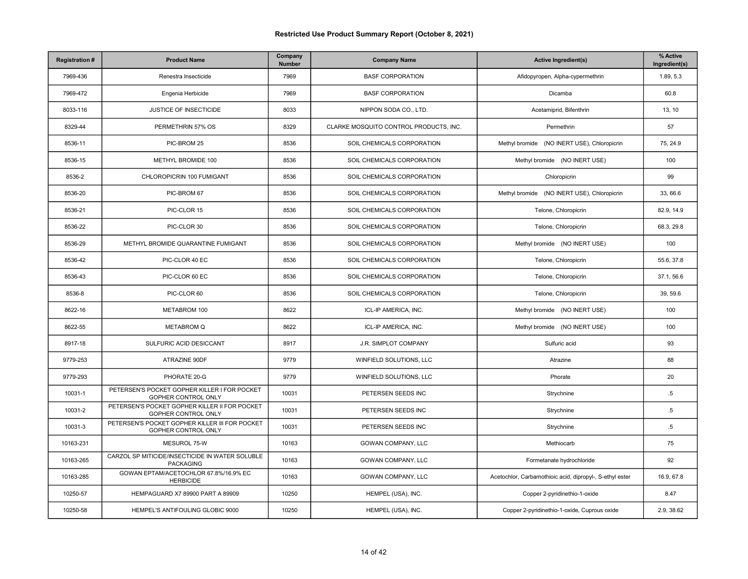| <b>Registration#</b> | <b>Product Name</b>                                                   | Company<br>Number | <b>Company Name</b>                    | <b>Active Ingredient(s)</b>                              | % Active<br>Ingredient(s) |
|----------------------|-----------------------------------------------------------------------|-------------------|----------------------------------------|----------------------------------------------------------|---------------------------|
| 7969-436             | Renestra Insecticide                                                  | 7969              | <b>BASF CORPORATION</b>                | Afidopyropen, Alpha-cypermethrin                         | 1.89, 5.3                 |
| 7969-472             | Engenia Herbicide                                                     | 7969              | <b>BASF CORPORATION</b>                | Dicamba                                                  | 60.8                      |
| 8033-116             | JUSTICE OF INSECTICIDE                                                | 8033              | NIPPON SODA CO., LTD.                  | Acetamiprid, Bifenthrin                                  | 13, 10                    |
| 8329-44              | PERMETHRIN 57% OS                                                     | 8329              | CLARKE MOSQUITO CONTROL PRODUCTS, INC. | Permethrin                                               | 57                        |
| 8536-11              | PIC-BROM 25                                                           | 8536              | SOIL CHEMICALS CORPORATION             | Methyl bromide (NO INERT USE), Chloropicrin              | 75, 24.9                  |
| 8536-15              | METHYL BROMIDE 100                                                    | 8536              | SOIL CHEMICALS CORPORATION             | Methyl bromide (NO INERT USE)                            | 100                       |
| 8536-2               | CHLOROPICRIN 100 FUMIGANT                                             | 8536              | SOIL CHEMICALS CORPORATION             | Chloropicrin                                             | 99                        |
| 8536-20              | PIC-BROM 67                                                           | 8536              | SOIL CHEMICALS CORPORATION             | Methyl bromide (NO INERT USE), Chloropicrin              | 33, 66.6                  |
| 8536-21              | PIC-CLOR 15                                                           | 8536              | SOIL CHEMICALS CORPORATION             | Telone, Chloropicrin                                     | 82.9, 14.9                |
| 8536-22              | PIC-CLOR 30                                                           | 8536              | SOIL CHEMICALS CORPORATION             | Telone, Chloropicrin                                     | 68.3, 29.8                |
| 8536-29              | METHYL BROMIDE QUARANTINE FUMIGANT                                    | 8536              | SOIL CHEMICALS CORPORATION             | Methyl bromide (NO INERT USE)                            | 100                       |
| 8536-42              | PIC-CLOR 40 EC                                                        | 8536              | SOIL CHEMICALS CORPORATION             | Telone, Chloropicrin                                     | 55.6, 37.8                |
| 8536-43              | PIC-CLOR 60 EC                                                        | 8536              | SOIL CHEMICALS CORPORATION             | Telone, Chloropicrin                                     | 37.1, 56.6                |
| 8536-8               | PIC-CLOR 60                                                           | 8536              | SOIL CHEMICALS CORPORATION             | Telone, Chloropicrin                                     | 39, 59.6                  |
| 8622-16              | METABROM 100                                                          | 8622              | ICL-IP AMERICA, INC.                   | Methyl bromide (NO INERT USE)                            | 100                       |
| 8622-55              | <b>METABROM Q</b>                                                     | 8622              | ICL-IP AMERICA, INC.                   | Methyl bromide (NO INERT USE)                            | 100                       |
| 8917-18              | SULFURIC ACID DESICCANT                                               | 8917              | J.R. SIMPLOT COMPANY                   | Sulfuric acid                                            | 93                        |
| 9779-253             | ATRAZINE 90DF                                                         | 9779              | WINFIELD SOLUTIONS, LLC                | Atrazine                                                 | 88                        |
| 9779-293             | PHORATE 20-G                                                          | 9779              | WINFIELD SOLUTIONS, LLC                | Phorate                                                  | 20                        |
| 10031-1              | PETERSEN'S POCKET GOPHER KILLER I FOR POCKET<br>GOPHER CONTROL ONLY   | 10031             | PETERSEN SEEDS INC                     | Strychnine                                               | $.5\,$                    |
| 10031-2              | PETERSEN'S POCKET GOPHER KILLER II FOR POCKET<br>GOPHER CONTROL ONLY  | 10031             | PETERSEN SEEDS INC                     | Strychnine                                               | $.5\,$                    |
| 10031-3              | PETERSEN'S POCKET GOPHER KILLER III FOR POCKET<br>GOPHER CONTROL ONLY | 10031             | PETERSEN SEEDS INC                     | Strychnine                                               | $.5\,$                    |
| 10163-231            | MESUROL 75-W                                                          | 10163             | GOWAN COMPANY, LLC                     | Methiocarb                                               | 75                        |
| 10163-265            | CARZOL SP MITICIDE/INSECTICIDE IN WATER SOLUBLE<br><b>PACKAGING</b>   | 10163             | GOWAN COMPANY, LLC                     | Formetanate hydrochloride                                | 92                        |
| 10163-285            | GOWAN EPTAM/ACETOCHLOR 67.8%/16.9% EC<br><b>HERBICIDE</b>             | 10163             | GOWAN COMPANY, LLC                     | Acetochlor, Carbamothioic acid, dipropyl-, S-ethyl ester | 16.9, 67.8                |
| 10250-57             | HEMPAGUARD X7 89900 PART A 89909                                      | 10250             | HEMPEL (USA), INC.                     | Copper 2-pyridinethio-1-oxide                            | 8.47                      |
| 10250-58             | HEMPEL'S ANTIFOULING GLOBIC 9000                                      | 10250             | HEMPEL (USA), INC.                     | Copper 2-pyridinethio-1-oxide, Cuprous oxide             | 2.9, 38.62                |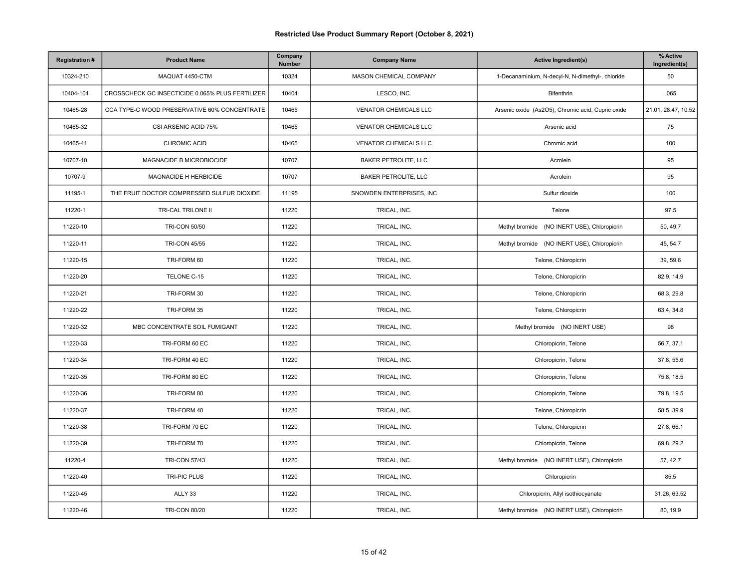| <b>Registration#</b> | <b>Product Name</b>                              | Company<br>Number | <b>Company Name</b>          | <b>Active Ingredient(s)</b>                       | % Active<br>Ingredient(s) |
|----------------------|--------------------------------------------------|-------------------|------------------------------|---------------------------------------------------|---------------------------|
| 10324-210            | MAQUAT 4450-CTM                                  | 10324             | MASON CHEMICAL COMPANY       | 1-Decanaminium, N-decyl-N, N-dimethyl-, chloride  | 50                        |
| 10404-104            | CROSSCHECK GC INSECTICIDE 0.065% PLUS FERTILIZER | 10404             | LESCO, INC.                  | Bifenthrin                                        | .065                      |
| 10465-28             | CCA TYPE-C WOOD PRESERVATIVE 60% CONCENTRATE     | 10465             | <b>VENATOR CHEMICALS LLC</b> | Arsenic oxide (As2O5), Chromic acid, Cupric oxide | 21.01, 28.47, 10.52       |
| 10465-32             | CSI ARSENIC ACID 75%                             | 10465             | <b>VENATOR CHEMICALS LLC</b> | Arsenic acid                                      | 75                        |
| 10465-41             | CHROMIC ACID                                     | 10465             | VENATOR CHEMICALS LLC        | Chromic acid                                      | 100                       |
| 10707-10             | MAGNACIDE B MICROBIOCIDE                         | 10707             | <b>BAKER PETROLITE, LLC</b>  | Acrolein                                          | 95                        |
| 10707-9              | MAGNACIDE H HERBICIDE                            | 10707             | <b>BAKER PETROLITE, LLC</b>  | Acrolein                                          | 95                        |
| 11195-1              | THE FRUIT DOCTOR COMPRESSED SULFUR DIOXIDE       | 11195             | SNOWDEN ENTERPRISES, INC     | Sulfur dioxide                                    | 100                       |
| 11220-1              | TRI-CAL TRILONE II                               | 11220             | TRICAL, INC.                 | Telone                                            | 97.5                      |
| 11220-10             | <b>TRI-CON 50/50</b>                             | 11220             | TRICAL, INC.                 | Methyl bromide (NO INERT USE), Chloropicrin       | 50, 49.7                  |
| 11220-11             | <b>TRI-CON 45/55</b>                             | 11220             | TRICAL, INC.                 | Methyl bromide (NO INERT USE), Chloropicrin       | 45, 54.7                  |
| 11220-15             | TRI-FORM 60                                      | 11220             | TRICAL, INC.                 | Telone, Chloropicrin                              | 39, 59.6                  |
| 11220-20             | TELONE C-15                                      | 11220             | TRICAL, INC.                 | Telone, Chloropicrin                              | 82.9, 14.9                |
| 11220-21             | TRI-FORM 30                                      | 11220             | TRICAL, INC.                 | Telone, Chloropicrin                              | 68.3, 29.8                |
| 11220-22             | TRI-FORM 35                                      | 11220             | TRICAL, INC.                 | Telone, Chloropicrin                              | 63.4, 34.8                |
| 11220-32             | MBC CONCENTRATE SOIL FUMIGANT                    | 11220             | TRICAL, INC.                 | Methyl bromide (NO INERT USE)                     | 98                        |
| 11220-33             | TRI-FORM 60 EC                                   | 11220             | TRICAL, INC.                 | Chloropicrin, Telone                              | 56.7, 37.1                |
| 11220-34             | TRI-FORM 40 EC                                   | 11220             | TRICAL, INC.                 | Chloropicrin, Telone                              | 37.8, 55.6                |
| 11220-35             | TRI-FORM 80 EC                                   | 11220             | TRICAL, INC.                 | Chloropicrin, Telone                              | 75.8, 18.5                |
| 11220-36             | TRI-FORM 80                                      | 11220             | TRICAL, INC.                 | Chloropicrin, Telone                              | 79.8, 19.5                |
| 11220-37             | TRI-FORM 40                                      | 11220             | TRICAL, INC.                 | Telone, Chloropicrin                              | 58.5, 39.9                |
| 11220-38             | TRI-FORM 70 EC                                   | 11220             | TRICAL, INC.                 | Telone, Chloropicrin                              | 27.8, 66.1                |
| 11220-39             | TRI-FORM 70                                      | 11220             | TRICAL, INC.                 | Chloropicrin, Telone                              | 69.8, 29.2                |
| 11220-4              | <b>TRI-CON 57/43</b>                             | 11220             | TRICAL, INC.                 | Methyl bromide (NO INERT USE), Chloropicrin       | 57, 42.7                  |
| 11220-40             | <b>TRI-PIC PLUS</b>                              | 11220             | TRICAL, INC.                 | Chloropicrin                                      | 85.5                      |
| 11220-45             | ALLY 33                                          | 11220             | TRICAL, INC.                 | Chloropicrin, Allyl isothiocyanate                | 31.26, 63.52              |
| 11220-46             | <b>TRI-CON 80/20</b>                             | 11220             | TRICAL, INC.                 | Methyl bromide (NO INERT USE), Chloropicrin       | 80, 19.9                  |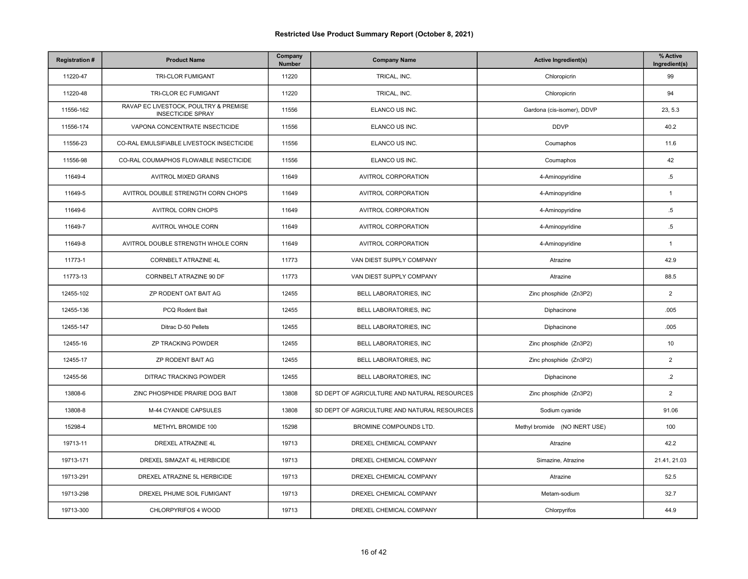| <b>Registration#</b> | <b>Product Name</b>                                               | Company<br>Number | <b>Company Name</b>                          | <b>Active Ingredient(s)</b>   | % Active<br>Ingredient(s) |
|----------------------|-------------------------------------------------------------------|-------------------|----------------------------------------------|-------------------------------|---------------------------|
| 11220-47             | TRI-CLOR FUMIGANT                                                 | 11220             | TRICAL, INC.                                 | Chloropicrin                  | 99                        |
| 11220-48             | TRI-CLOR EC FUMIGANT                                              | 11220             | TRICAL, INC.                                 | Chloropicrin                  | 94                        |
| 11556-162            | RAVAP EC LIVESTOCK, POULTRY & PREMISE<br><b>INSECTICIDE SPRAY</b> | 11556             | ELANCO US INC.                               | Gardona (cis-isomer), DDVP    | 23, 5.3                   |
| 11556-174            | VAPONA CONCENTRATE INSECTICIDE                                    | 11556             | ELANCO US INC.                               | <b>DDVP</b>                   | 40.2                      |
| 11556-23             | CO-RAL EMULSIFIABLE LIVESTOCK INSECTICIDE                         | 11556             | ELANCO US INC.                               | Coumaphos                     | 11.6                      |
| 11556-98             | CO-RAL COUMAPHOS FLOWABLE INSECTICIDE                             | 11556             | ELANCO US INC.                               | Coumaphos                     | 42                        |
| 11649-4              | AVITROL MIXED GRAINS                                              | 11649             | AVITROL CORPORATION                          | 4-Aminopyridine               | $.5\,$                    |
| 11649-5              | AVITROL DOUBLE STRENGTH CORN CHOPS                                | 11649             | AVITROL CORPORATION                          | 4-Aminopyridine               | $\mathbf{1}$              |
| 11649-6              | AVITROL CORN CHOPS                                                | 11649             | AVITROL CORPORATION                          | 4-Aminopyridine               | $.5\,$                    |
| 11649-7              | AVITROL WHOLE CORN                                                | 11649             | <b>AVITROL CORPORATION</b>                   | 4-Aminopyridine               | $.5\,$                    |
| 11649-8              | AVITROL DOUBLE STRENGTH WHOLE CORN                                | 11649             | AVITROL CORPORATION                          | 4-Aminopyridine               | $\mathbf{1}$              |
| 11773-1              | CORNBELT ATRAZINE 4L                                              | 11773             | VAN DIEST SUPPLY COMPANY                     | Atrazine                      | 42.9                      |
| 11773-13             | CORNBELT ATRAZINE 90 DF                                           | 11773             | VAN DIEST SUPPLY COMPANY                     | Atrazine                      | 88.5                      |
| 12455-102            | ZP RODENT OAT BAIT AG                                             | 12455             | BELL LABORATORIES, INC                       | Zinc phosphide (Zn3P2)        | $\overline{2}$            |
| 12455-136            | PCQ Rodent Bait                                                   | 12455             | BELL LABORATORIES, INC                       | Diphacinone                   | .005                      |
| 12455-147            | Ditrac D-50 Pellets                                               | 12455             | BELL LABORATORIES, INC                       | Diphacinone                   | .005                      |
| 12455-16             | ZP TRACKING POWDER                                                | 12455             | BELL LABORATORIES, INC                       | Zinc phosphide (Zn3P2)        | 10                        |
| 12455-17             | ZP RODENT BAIT AG                                                 | 12455             | <b>BELL LABORATORIES, INC</b>                | Zinc phosphide (Zn3P2)        | $\boldsymbol{2}$          |
| 12455-56             | <b>DITRAC TRACKING POWDER</b>                                     | 12455             | BELL LABORATORIES, INC                       | Diphacinone                   | $\cdot$ .2                |
| 13808-6              | ZINC PHOSPHIDE PRAIRIE DOG BAIT                                   | 13808             | SD DEPT OF AGRICULTURE AND NATURAL RESOURCES | Zinc phosphide (Zn3P2)        | $\overline{2}$            |
| 13808-8              | M-44 CYANIDE CAPSULES                                             | 13808             | SD DEPT OF AGRICULTURE AND NATURAL RESOURCES | Sodium cyanide                | 91.06                     |
| 15298-4              | METHYL BROMIDE 100                                                | 15298             | BROMINE COMPOUNDS LTD.                       | Methyl bromide (NO INERT USE) | 100                       |
| 19713-11             | DREXEL ATRAZINE 4L                                                | 19713             | DREXEL CHEMICAL COMPANY                      | Atrazine                      | 42.2                      |
| 19713-171            | DREXEL SIMAZAT 4L HERBICIDE                                       | 19713             | DREXEL CHEMICAL COMPANY                      | Simazine, Atrazine            | 21.41, 21.03              |
| 19713-291            | DREXEL ATRAZINE 5L HERBICIDE                                      | 19713             | DREXEL CHEMICAL COMPANY                      | Atrazine                      | 52.5                      |
| 19713-298            | DREXEL PHUME SOIL FUMIGANT                                        | 19713             | DREXEL CHEMICAL COMPANY                      | Metam-sodium                  | 32.7                      |
| 19713-300            | CHLORPYRIFOS 4 WOOD                                               | 19713             | DREXEL CHEMICAL COMPANY                      | Chlorpyrifos                  | 44.9                      |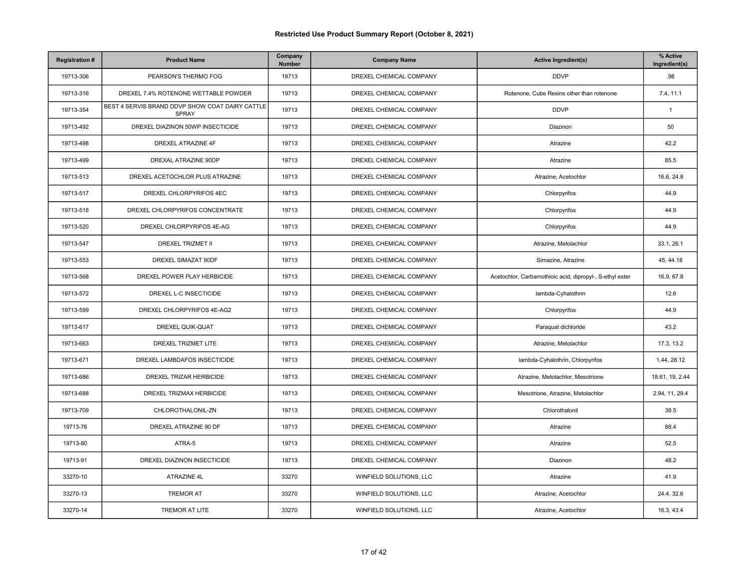| <b>Registration#</b> | <b>Product Name</b>                                             | Company<br>Number | <b>Company Name</b>     | <b>Active Ingredient(s)</b>                              | % Active<br>Ingredient(s) |
|----------------------|-----------------------------------------------------------------|-------------------|-------------------------|----------------------------------------------------------|---------------------------|
| 19713-306            | PEARSON'S THERMO FOG                                            | 19713             | DREXEL CHEMICAL COMPANY | <b>DDVP</b>                                              | .98                       |
| 19713-316            | DREXEL 7.4% ROTENONE WETTABLE POWDER                            | 19713             | DREXEL CHEMICAL COMPANY | Rotenone, Cube Resins other than rotenone                | 7.4, 11.1                 |
| 19713-354            | BEST 4 SERVIS BRAND DDVP SHOW COAT DAIRY CATTLE<br><b>SPRAY</b> | 19713             | DREXEL CHEMICAL COMPANY | <b>DDVP</b>                                              | $\mathbf{1}$              |
| 19713-492            | DREXEL DIAZINON 50WP INSECTICIDE                                | 19713             | DREXEL CHEMICAL COMPANY | Diazinon                                                 | 50                        |
| 19713-498            | <b>DREXEL ATRAZINE 4F</b>                                       | 19713             | DREXEL CHEMICAL COMPANY | Atrazine                                                 | 42.2                      |
| 19713-499            | DREXAL ATRAZINE 90DP                                            | 19713             | DREXEL CHEMICAL COMPANY | Atrazine                                                 | 85.5                      |
| 19713-513            | DREXEL ACETOCHLOR PLUS ATRAZINE                                 | 19713             | DREXEL CHEMICAL COMPANY | Atrazine, Acetochlor                                     | 16.6, 24.8                |
| 19713-517            | DREXEL CHLORPYRIFOS 4EC                                         | 19713             | DREXEL CHEMICAL COMPANY | Chlorpyrifos                                             | 44.9                      |
| 19713-518            | DREXEL CHLORPYRIFOS CONCENTRATE                                 | 19713             | DREXEL CHEMICAL COMPANY | Chlorpyrifos                                             | 44.9                      |
| 19713-520            | DREXEL CHLORPYRIFOS 4E-AG                                       | 19713             | DREXEL CHEMICAL COMPANY | Chlorpyrifos                                             | 44.9                      |
| 19713-547            | <b>DREXEL TRIZMET II</b>                                        | 19713             | DREXEL CHEMICAL COMPANY | Atrazine, Metolachlor                                    | 33.1, 26.1                |
| 19713-553            | DREXEL SIMAZAT 90DF                                             | 19713             | DREXEL CHEMICAL COMPANY | Simazine, Atrazine                                       | 45, 44.18                 |
| 19713-568            | DREXEL POWER PLAY HERBICIDE                                     | 19713             | DREXEL CHEMICAL COMPANY | Acetochlor, Carbamothioic acid, dipropyl-, S-ethyl ester | 16.9, 67.8                |
| 19713-572            | DREXEL L-C INSECTICIDE                                          | 19713             | DREXEL CHEMICAL COMPANY | lambda-Cyhalothrin                                       | 12.6                      |
| 19713-599            | DREXEL CHLORPYRIFOS 4E-AG2                                      | 19713             | DREXEL CHEMICAL COMPANY | Chlorpyrifos                                             | 44.9                      |
| 19713-617            | DREXEL QUIK-QUAT                                                | 19713             | DREXEL CHEMICAL COMPANY | Paraquat dichloride                                      | 43.2                      |
| 19713-663            | DREXEL TRIZMET LITE                                             | 19713             | DREXEL CHEMICAL COMPANY | Atrazine, Metolachlor                                    | 17.3, 13.2                |
| 19713-671            | DREXEL LAMBDAFOS INSECTICIDE                                    | 19713             | DREXEL CHEMICAL COMPANY | lambda-Cyhalothrin, Chlorpyrifos                         | 1.44, 28.12               |
| 19713-686            | DREXEL TRIZAR HERBICIDE                                         | 19713             | DREXEL CHEMICAL COMPANY | Atrazine, Metolachlor, Mesotrione                        | 18.61, 19, 2.44           |
| 19713-688            | DREXEL TRIZMAX HERBICIDE                                        | 19713             | DREXEL CHEMICAL COMPANY | Mesotrione, Atrazine, Metolachlor                        | 2.94, 11, 29.4            |
| 19713-709            | CHLOROTHALONIL-ZN                                               | 19713             | DREXEL CHEMICAL COMPANY | Chlorothalonil                                           | 38.5                      |
| 19713-76             | DREXEL ATRAZINE 90 DF                                           | 19713             | DREXEL CHEMICAL COMPANY | Atrazine                                                 | 88.4                      |
| 19713-80             | ATRA-5                                                          | 19713             | DREXEL CHEMICAL COMPANY | Atrazine                                                 | 52.5                      |
| 19713-91             | DREXEL DIAZINON INSECTICIDE                                     | 19713             | DREXEL CHEMICAL COMPANY | Diazinon                                                 | 48.2                      |
| 33270-10             | ATRAZINE 4L                                                     | 33270             | WINFIELD SOLUTIONS, LLC | Atrazine                                                 | 41.9                      |
| 33270-13             | <b>TREMOR AT</b>                                                | 33270             | WINFIELD SOLUTIONS, LLC | Atrazine, Acetochlor                                     | 24.4, 32.6                |
| 33270-14             | TREMOR AT LITE                                                  | 33270             | WINFIELD SOLUTIONS, LLC | Atrazine, Acetochlor                                     | 16.3, 43.4                |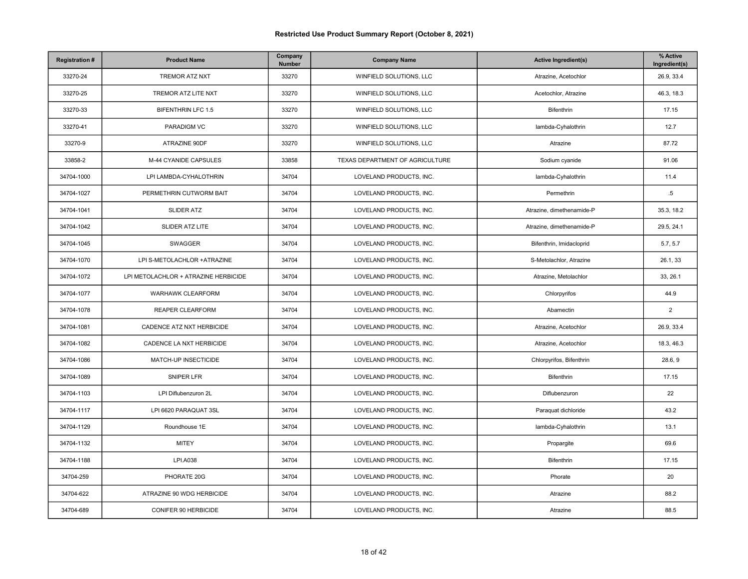| <b>Registration#</b> | <b>Product Name</b>                  | Company<br>Number | <b>Company Name</b>             | <b>Active Ingredient(s)</b> | % Active<br>Ingredient(s) |
|----------------------|--------------------------------------|-------------------|---------------------------------|-----------------------------|---------------------------|
| 33270-24             | TREMOR ATZ NXT                       | 33270             | WINFIELD SOLUTIONS, LLC         | Atrazine, Acetochlor        | 26.9, 33.4                |
| 33270-25             | TREMOR ATZ LITE NXT                  | 33270             | WINFIELD SOLUTIONS, LLC         | Acetochlor, Atrazine        | 46.3, 18.3                |
| 33270-33             | <b>BIFENTHRIN LFC 1.5</b>            | 33270             | WINFIELD SOLUTIONS, LLC         | Bifenthrin                  | 17.15                     |
| 33270-41             | PARADIGM VC                          | 33270             | WINFIELD SOLUTIONS, LLC         | lambda-Cyhalothrin          | 12.7                      |
| 33270-9              | ATRAZINE 90DF                        | 33270             | WINFIELD SOLUTIONS, LLC         | Atrazine                    | 87.72                     |
| 33858-2              | M-44 CYANIDE CAPSULES                | 33858             | TEXAS DEPARTMENT OF AGRICULTURE | Sodium cyanide              | 91.06                     |
| 34704-1000           | LPI LAMBDA-CYHALOTHRIN               | 34704             | LOVELAND PRODUCTS, INC.         | lambda-Cyhalothrin          | 11.4                      |
| 34704-1027           | PERMETHRIN CUTWORM BAIT              | 34704             | LOVELAND PRODUCTS, INC.         | Permethrin                  | $.5\,$                    |
| 34704-1041           | <b>SLIDER ATZ</b>                    | 34704             | LOVELAND PRODUCTS, INC.         | Atrazine, dimethenamide-P   | 35.3, 18.2                |
| 34704-1042           | SLIDER ATZ LITE                      | 34704             | LOVELAND PRODUCTS, INC.         | Atrazine, dimethenamide-P   | 29.5, 24.1                |
| 34704-1045           | SWAGGER                              | 34704             | LOVELAND PRODUCTS, INC.         | Bifenthrin, Imidacloprid    | 5.7, 5.7                  |
| 34704-1070           | LPI S-METOLACHLOR +ATRAZINE          | 34704             | LOVELAND PRODUCTS, INC.         | S-Metolachlor, Atrazine     | 26.1, 33                  |
| 34704-1072           | LPI METOLACHLOR + ATRAZINE HERBICIDE | 34704             | LOVELAND PRODUCTS, INC.         | Atrazine, Metolachlor       | 33, 26.1                  |
| 34704-1077           | <b>WARHAWK CLEARFORM</b>             | 34704             | LOVELAND PRODUCTS, INC.         | Chlorpyrifos                | 44.9                      |
| 34704-1078           | REAPER CLEARFORM                     | 34704             | LOVELAND PRODUCTS, INC.         | Abamectin                   | $\overline{2}$            |
| 34704-1081           | CADENCE ATZ NXT HERBICIDE            | 34704             | LOVELAND PRODUCTS, INC.         | Atrazine, Acetochlor        | 26.9, 33.4                |
| 34704-1082           | CADENCE LA NXT HERBICIDE             | 34704             | LOVELAND PRODUCTS, INC.         | Atrazine, Acetochlor        | 18.3, 46.3                |
| 34704-1086           | MATCH-UP INSECTICIDE                 | 34704             | LOVELAND PRODUCTS, INC.         | Chlorpyrifos, Bifenthrin    | 28.6, 9                   |
| 34704-1089           | SNIPER LFR                           | 34704             | LOVELAND PRODUCTS, INC.         | Bifenthrin                  | 17.15                     |
| 34704-1103           | LPI Diflubenzuron 2L                 | 34704             | LOVELAND PRODUCTS, INC.         | Diflubenzuron               | 22                        |
| 34704-1117           | LPI 6620 PARAQUAT 3SL                | 34704             | LOVELAND PRODUCTS, INC.         | Paraquat dichloride         | 43.2                      |
| 34704-1129           | Roundhouse 1E                        | 34704             | LOVELAND PRODUCTS, INC.         | lambda-Cyhalothrin          | 13.1                      |
| 34704-1132           | <b>MITEY</b>                         | 34704             | LOVELAND PRODUCTS, INC.         | Propargite                  | 69.6                      |
| 34704-1188           | <b>LPI.A038</b>                      | 34704             | LOVELAND PRODUCTS, INC.         | Bifenthrin                  | 17.15                     |
| 34704-259            | PHORATE 20G                          | 34704             | LOVELAND PRODUCTS, INC.         | Phorate                     | 20                        |
| 34704-622            | ATRAZINE 90 WDG HERBICIDE            | 34704             | LOVELAND PRODUCTS, INC.         | Atrazine                    | 88.2                      |
| 34704-689            | CONIFER 90 HERBICIDE                 | 34704             | LOVELAND PRODUCTS, INC.         | Atrazine                    | 88.5                      |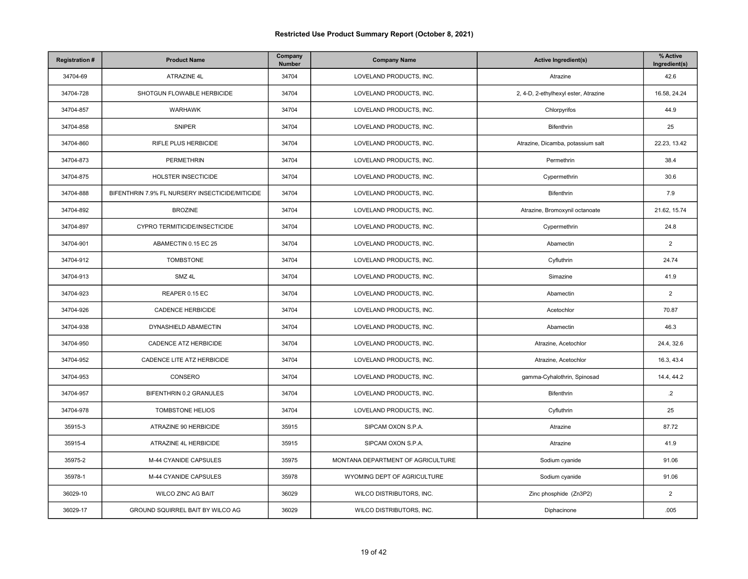| <b>Registration#</b> | <b>Product Name</b>                             | Company<br>Number | <b>Company Name</b>               | <b>Active Ingredient(s)</b>          | % Active<br>Ingredient(s) |
|----------------------|-------------------------------------------------|-------------------|-----------------------------------|--------------------------------------|---------------------------|
| 34704-69             | ATRAZINE 4L                                     | 34704             | LOVELAND PRODUCTS, INC.           | Atrazine                             | 42.6                      |
| 34704-728            | SHOTGUN FLOWABLE HERBICIDE                      | 34704             | LOVELAND PRODUCTS, INC.           | 2, 4-D, 2-ethylhexyl ester, Atrazine | 16.58, 24.24              |
| 34704-857            | <b>WARHAWK</b>                                  | 34704             | LOVELAND PRODUCTS, INC.           | Chlorpyrifos                         | 44.9                      |
| 34704-858            | <b>SNIPER</b>                                   | 34704             | LOVELAND PRODUCTS, INC.           | <b>Bifenthrin</b>                    | 25                        |
| 34704-860            | RIFLE PLUS HERBICIDE                            | 34704             | LOVELAND PRODUCTS, INC.           | Atrazine, Dicamba, potassium salt    | 22.23, 13.42              |
| 34704-873            | <b>PERMETHRIN</b>                               | 34704             | LOVELAND PRODUCTS, INC.           | Permethrin                           | 38.4                      |
| 34704-875            | HOLSTER INSECTICIDE                             | 34704             | LOVELAND PRODUCTS, INC.           | Cypermethrin                         | 30.6                      |
| 34704-888            | BIFENTHRIN 7.9% FL NURSERY INSECTICIDE/MITICIDE | 34704             | LOVELAND PRODUCTS, INC.           | Bifenthrin                           | 7.9                       |
| 34704-892            | <b>BROZINE</b>                                  | 34704             | LOVELAND PRODUCTS, INC.           | Atrazine, Bromoxynil octanoate       | 21.62, 15.74              |
| 34704-897            | CYPRO TERMITICIDE/INSECTICIDE                   | 34704             | LOVELAND PRODUCTS, INC.           | Cypermethrin                         | 24.8                      |
| 34704-901            | ABAMECTIN 0.15 EC 25                            | 34704             | LOVELAND PRODUCTS, INC.           | Abamectin                            | $\overline{2}$            |
| 34704-912            | <b>TOMBSTONE</b>                                | 34704             | LOVELAND PRODUCTS, INC.           | Cyfluthrin                           | 24.74                     |
| 34704-913            | SMZ 4L                                          | 34704             | LOVELAND PRODUCTS, INC.           | Simazine                             | 41.9                      |
| 34704-923            | REAPER 0.15 EC                                  | 34704             | LOVELAND PRODUCTS, INC.           | Abamectin                            | $\overline{2}$            |
| 34704-926            | <b>CADENCE HERBICIDE</b>                        | 34704             | LOVELAND PRODUCTS, INC.           | Acetochlor                           | 70.87                     |
| 34704-938            | DYNASHIELD ABAMECTIN                            | 34704             | LOVELAND PRODUCTS, INC.           | Abamectin                            | 46.3                      |
| 34704-950            | CADENCE ATZ HERBICIDE                           | 34704             | LOVELAND PRODUCTS, INC.           | Atrazine, Acetochlor                 | 24.4, 32.6                |
| 34704-952            | CADENCE LITE ATZ HERBICIDE                      | 34704             | LOVELAND PRODUCTS, INC.           | Atrazine, Acetochlor                 | 16.3, 43.4                |
| 34704-953            | CONSERO                                         | 34704             | LOVELAND PRODUCTS, INC.           | gamma-Cyhalothrin, Spinosad          | 14.4, 44.2                |
| 34704-957            | BIFENTHRIN 0.2 GRANULES                         | 34704             | LOVELAND PRODUCTS, INC.           | Bifenthrin                           | $.2\phantom{0}$           |
| 34704-978            | TOMBSTONE HELIOS                                | 34704             | LOVELAND PRODUCTS, INC.           | Cyfluthrin                           | 25                        |
| 35915-3              | ATRAZINE 90 HERBICIDE                           | 35915             | SIPCAM OXON S.P.A.                | Atrazine                             | 87.72                     |
| 35915-4              | ATRAZINE 4L HERBICIDE                           | 35915             | SIPCAM OXON S.P.A.                | Atrazine                             | 41.9                      |
| 35975-2              | M-44 CYANIDE CAPSULES                           | 35975             | MONTANA DEPARTMENT OF AGRICULTURE | Sodium cyanide                       | 91.06                     |
| 35978-1              | M-44 CYANIDE CAPSULES                           | 35978             | WYOMING DEPT OF AGRICULTURE       | Sodium cyanide                       | 91.06                     |
| 36029-10             | <b>WILCO ZINC AG BAIT</b>                       | 36029             | WILCO DISTRIBUTORS, INC.          | Zinc phosphide (Zn3P2)               | $\overline{2}$            |
| 36029-17             | GROUND SQUIRREL BAIT BY WILCO AG                | 36029             | WILCO DISTRIBUTORS, INC.          | Diphacinone                          | .005                      |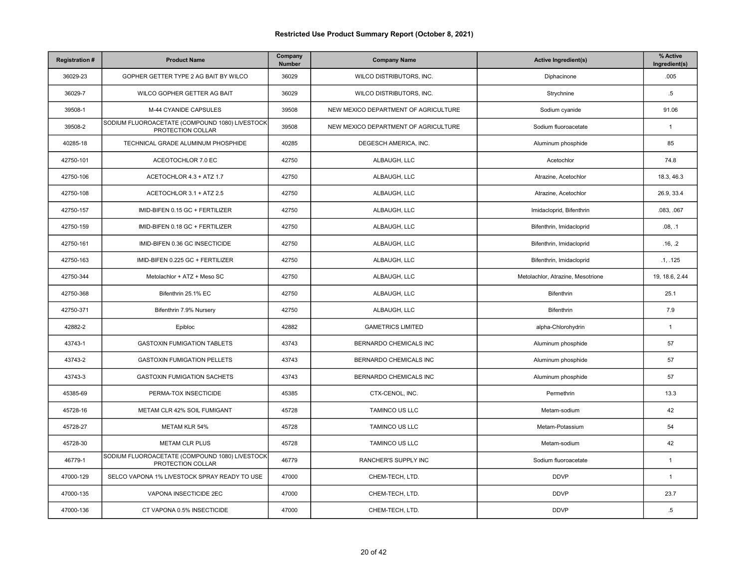| <b>Registration#</b> | <b>Product Name</b>                                                 | Company<br><b>Number</b> | <b>Company Name</b>                  | <b>Active Ingredient(s)</b>       | % Active<br>Ingredient(s) |
|----------------------|---------------------------------------------------------------------|--------------------------|--------------------------------------|-----------------------------------|---------------------------|
| 36029-23             | GOPHER GETTER TYPE 2 AG BAIT BY WILCO                               | 36029                    | WILCO DISTRIBUTORS, INC.             | Diphacinone                       | .005                      |
| 36029-7              | WILCO GOPHER GETTER AG BAIT                                         | 36029                    | WILCO DISTRIBUTORS, INC.             | Strychnine                        | $.5\,$                    |
| 39508-1              | M-44 CYANIDE CAPSULES                                               | 39508                    | NEW MEXICO DEPARTMENT OF AGRICULTURE | Sodium cyanide                    | 91.06                     |
| 39508-2              | SODIUM FLUOROACETATE (COMPOUND 1080) LIVESTOCK<br>PROTECTION COLLAR | 39508                    | NEW MEXICO DEPARTMENT OF AGRICULTURE | Sodium fluoroacetate              | $\overline{1}$            |
| 40285-18             | TECHNICAL GRADE ALUMINUM PHOSPHIDE                                  | 40285                    | DEGESCH AMERICA, INC.                | Aluminum phosphide                | 85                        |
| 42750-101            | ACEOTOCHLOR 7.0 EC                                                  | 42750                    | ALBAUGH, LLC                         | Acetochlor                        | 74.8                      |
| 42750-106            | ACETOCHLOR 4.3 + ATZ 1.7                                            | 42750                    | ALBAUGH, LLC                         | Atrazine, Acetochlor              | 18.3, 46.3                |
| 42750-108            | ACETOCHLOR 3.1 + ATZ 2.5                                            | 42750                    | ALBAUGH, LLC                         | Atrazine, Acetochlor              | 26.9, 33.4                |
| 42750-157            | IMID-BIFEN 0.15 GC + FERTILIZER                                     | 42750                    | ALBAUGH, LLC                         | Imidacloprid, Bifenthrin          | .083, .067                |
| 42750-159            | IMID-BIFEN 0.18 GC + FERTILIZER                                     | 42750                    | ALBAUGH, LLC                         | Bifenthrin, Imidacloprid          | .08, .1                   |
| 42750-161            | IMID-BIFEN 0.36 GC INSECTICIDE                                      | 42750                    | ALBAUGH, LLC                         | Bifenthrin, Imidacloprid          | .16, .2                   |
| 42750-163            | IMID-BIFEN 0.225 GC + FERTILIZER                                    | 42750                    | ALBAUGH, LLC                         | Bifenthrin, Imidacloprid          | .1, .125                  |
| 42750-344            | Metolachlor + ATZ + Meso SC                                         | 42750                    | ALBAUGH, LLC                         | Metolachlor, Atrazine, Mesotrione | 19, 18.6, 2.44            |
| 42750-368            | Bifenthrin 25.1% EC                                                 | 42750                    | ALBAUGH, LLC                         | <b>Bifenthrin</b>                 | 25.1                      |
| 42750-371            | Bifenthrin 7.9% Nursery                                             | 42750                    | ALBAUGH, LLC                         | Bifenthrin                        | 7.9                       |
| 42882-2              | Epibloc                                                             | 42882                    | <b>GAMETRICS LIMITED</b>             | alpha-Chlorohydrin                | $\overline{1}$            |
| 43743-1              | <b>GASTOXIN FUMIGATION TABLETS</b>                                  | 43743                    | BERNARDO CHEMICALS INC               | Aluminum phosphide                | 57                        |
| 43743-2              | <b>GASTOXIN FUMIGATION PELLETS</b>                                  | 43743                    | BERNARDO CHEMICALS INC               | Aluminum phosphide                | 57                        |
| 43743-3              | <b>GASTOXIN FUMIGATION SACHETS</b>                                  | 43743                    | BERNARDO CHEMICALS INC               | Aluminum phosphide                | 57                        |
| 45385-69             | PERMA-TOX INSECTICIDE                                               | 45385                    | CTX-CENOL, INC.                      | Permethrin                        | 13.3                      |
| 45728-16             | METAM CLR 42% SOIL FUMIGANT                                         | 45728                    | <b>TAMINCO US LLC</b>                | Metam-sodium                      | 42                        |
| 45728-27             | <b>METAM KLR 54%</b>                                                | 45728                    | TAMINCO US LLC                       | Metam-Potassium                   | 54                        |
| 45728-30             | <b>METAM CLR PLUS</b>                                               | 45728                    | TAMINCO US LLC                       | Metam-sodium                      | 42                        |
| 46779-1              | SODIUM FLUOROACETATE (COMPOUND 1080) LIVESTOCK<br>PROTECTION COLLAR | 46779                    | RANCHER'S SUPPLY INC                 | Sodium fluoroacetate              | $\overline{1}$            |
| 47000-129            | SELCO VAPONA 1% LIVESTOCK SPRAY READY TO USE                        | 47000                    | CHEM-TECH, LTD.                      | <b>DDVP</b>                       | $\mathbf{1}$              |
| 47000-135            | VAPONA INSECTICIDE 2EC                                              | 47000                    | CHEM-TECH, LTD.                      | <b>DDVP</b>                       | 23.7                      |
| 47000-136            | CT VAPONA 0.5% INSECTICIDE                                          | 47000                    | CHEM-TECH, LTD.                      | <b>DDVP</b>                       | $.5\,$                    |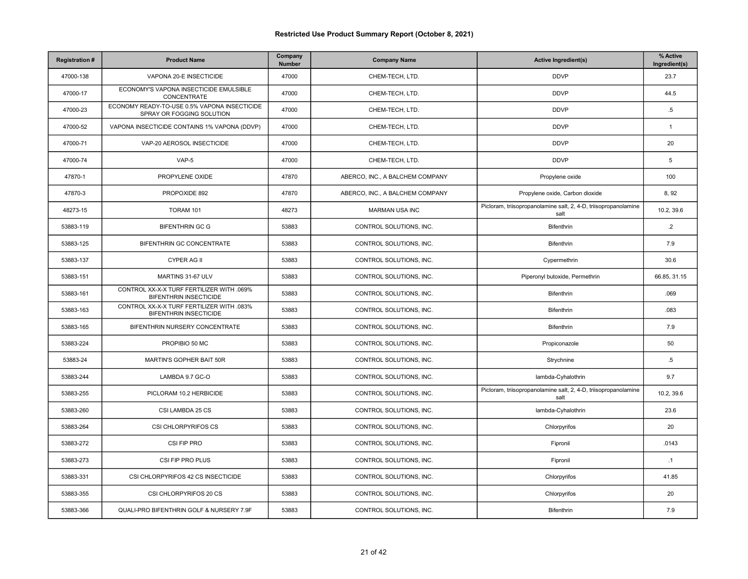| <b>Registration#</b> | <b>Product Name</b>                                                        | Company<br>Number | <b>Company Name</b>             | <b>Active Ingredient(s)</b>                                             | % Active<br>Ingredient(s) |
|----------------------|----------------------------------------------------------------------------|-------------------|---------------------------------|-------------------------------------------------------------------------|---------------------------|
| 47000-138            | VAPONA 20-E INSECTICIDE                                                    | 47000             | CHEM-TECH, LTD.                 | <b>DDVP</b>                                                             | 23.7                      |
| 47000-17             | ECONOMY'S VAPONA INSECTICIDE EMULSIBLE<br>CONCENTRATE                      | 47000             | CHEM-TECH, LTD.                 | <b>DDVP</b>                                                             | 44.5                      |
| 47000-23             | ECONOMY READY-TO-USE 0.5% VAPONA INSECTICIDE<br>SPRAY OR FOGGING SOLUTION  | 47000             | CHEM-TECH, LTD.                 | <b>DDVP</b>                                                             | $.5\,$                    |
| 47000-52             | VAPONA INSECTICIDE CONTAINS 1% VAPONA (DDVP)                               | 47000             | CHEM-TECH. LTD.                 | <b>DDVP</b>                                                             | $\overline{1}$            |
| 47000-71             | VAP-20 AEROSOL INSECTICIDE                                                 | 47000             | CHEM-TECH, LTD.                 | <b>DDVP</b>                                                             | 20                        |
| 47000-74             | VAP-5                                                                      | 47000             | CHEM-TECH, LTD.                 | <b>DDVP</b>                                                             | 5                         |
| 47870-1              | PROPYLENE OXIDE                                                            | 47870             | ABERCO, INC., A BALCHEM COMPANY | Propylene oxide                                                         | 100                       |
| 47870-3              | PROPOXIDE 892                                                              | 47870             | ABERCO, INC., A BALCHEM COMPANY | Propylene oxide, Carbon dioxide                                         | 8,92                      |
| 48273-15             | TORAM 101                                                                  | 48273             | <b>MARMAN USA INC</b>           | Picloram, triisopropanolamine salt, 2, 4-D, triisopropanolamine<br>salt | 10.2, 39.6                |
| 53883-119            | <b>BIFENTHRIN GC G</b>                                                     | 53883             | CONTROL SOLUTIONS. INC.         | <b>Bifenthrin</b>                                                       | $\cdot$ .2                |
| 53883-125            | BIFENTHRIN GC CONCENTRATE                                                  | 53883             | CONTROL SOLUTIONS, INC.         | Bifenthrin                                                              | 7.9                       |
| 53883-137            | <b>CYPER AG II</b>                                                         | 53883             | CONTROL SOLUTIONS, INC.         | Cypermethrin                                                            | 30.6                      |
| 53883-151            | MARTINS 31-67 ULV                                                          | 53883             | CONTROL SOLUTIONS, INC.         | Piperonyl butoxide, Permethrin                                          | 66.85, 31.15              |
| 53883-161            | CONTROL XX-X-X TURF FERTILIZER WITH .069%<br><b>BIFENTHRIN INSECTICIDE</b> | 53883             | CONTROL SOLUTIONS, INC.         | Bifenthrin                                                              | .069                      |
| 53883-163            | CONTROL XX-X-X TURF FERTILIZER WITH .083%<br><b>BIFENTHRIN INSECTICIDE</b> | 53883             | CONTROL SOLUTIONS, INC.         | Bifenthrin                                                              | .083                      |
| 53883-165            | BIFENTHRIN NURSERY CONCENTRATE                                             | 53883             | CONTROL SOLUTIONS, INC.         | Bifenthrin                                                              | 7.9                       |
| 53883-224            | PROPIBIO 50 MC                                                             | 53883             | CONTROL SOLUTIONS, INC.         | Propiconazole                                                           | 50                        |
| 53883-24             | MARTIN'S GOPHER BAIT 50R                                                   | 53883             | CONTROL SOLUTIONS, INC.         | Strychnine                                                              | $.5\,$                    |
| 53883-244            | LAMBDA 9.7 GC-O                                                            | 53883             | CONTROL SOLUTIONS, INC.         | lambda-Cyhalothrin                                                      | 9.7                       |
| 53883-255            | PICLORAM 10.2 HERBICIDE                                                    | 53883             | CONTROL SOLUTIONS, INC.         | Picloram, triisopropanolamine salt, 2, 4-D, triisopropanolamine<br>salt | 10.2, 39.6                |
| 53883-260            | CSI LAMBDA 25 CS                                                           | 53883             | CONTROL SOLUTIONS, INC.         | lambda-Cyhalothrin                                                      | 23.6                      |
| 53883-264            | CSI CHLORPYRIFOS CS                                                        | 53883             | CONTROL SOLUTIONS, INC.         | Chlorpyrifos                                                            | 20                        |
| 53883-272            | CSI FIP PRO                                                                | 53883             | CONTROL SOLUTIONS, INC.         | Fipronil                                                                | .0143                     |
| 53883-273            | CSI FIP PRO PLUS                                                           | 53883             | CONTROL SOLUTIONS, INC.         | Fipronil                                                                | $\cdot$ 1                 |
| 53883-331            | CSI CHLORPYRIFOS 42 CS INSECTICIDE                                         | 53883             | CONTROL SOLUTIONS, INC.         | Chlorpyrifos                                                            | 41.85                     |
| 53883-355            | CSI CHLORPYRIFOS 20 CS                                                     | 53883             | CONTROL SOLUTIONS, INC.         | Chlorpyrifos                                                            | 20                        |
| 53883-366            | QUALI-PRO BIFENTHRIN GOLF & NURSERY 7.9F                                   | 53883             | CONTROL SOLUTIONS, INC.         | Bifenthrin                                                              | 7.9                       |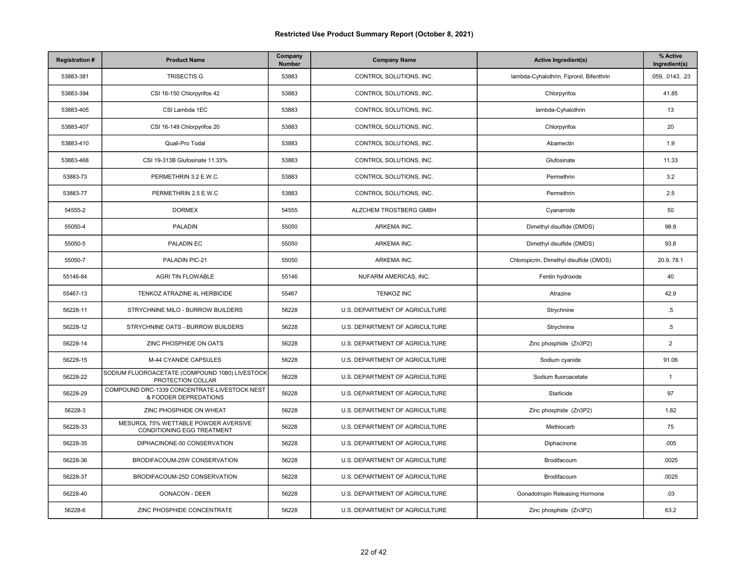| <b>Registration#</b> | <b>Product Name</b>                                                   | Company<br>Number | <b>Company Name</b>            | <b>Active Ingredient(s)</b>              | % Active<br>Ingredient(s) |
|----------------------|-----------------------------------------------------------------------|-------------------|--------------------------------|------------------------------------------|---------------------------|
| 53883-381            | <b>TRISECTIS G</b>                                                    | 53883             | CONTROL SOLUTIONS, INC.        | lambda-Cyhalothrin, Fipronil, Bifenthrin | .059, .0143, .23          |
| 53883-394            | CSI 16-150 Chlorpyrifos 42                                            | 53883             | CONTROL SOLUTIONS, INC.        | Chlorpyrifos                             | 41.85                     |
| 53883-405            | CSI Lambda 1EC                                                        | 53883             | CONTROL SOLUTIONS, INC.        | lambda-Cyhalothrin                       | 13                        |
| 53883-407            | CSI 16-149 Chlorpyrifos 20                                            | 53883             | CONTROL SOLUTIONS, INC.        | Chlorpyrifos                             | 20                        |
| 53883-410            | Quali-Pro Todal                                                       | 53883             | CONTROL SOLUTIONS, INC.        | Abamectin                                | 1.9                       |
| 53883-468            | CSI 19-313B Glufosinate 11.33%                                        | 53883             | CONTROL SOLUTIONS, INC.        | Glufosinate                              | 11.33                     |
| 53883-73             | PERMETHRIN 3.2 E.W.C.                                                 | 53883             | CONTROL SOLUTIONS, INC.        | Permethrin                               | 3.2                       |
| 53883-77             | PERMETHRIN 2.5 E.W.C                                                  | 53883             | CONTROL SOLUTIONS, INC.        | Permethrin                               | 2.5                       |
| 54555-2              | <b>DORMEX</b>                                                         | 54555             | ALZCHEM TROSTBERG GMBH         | Cyanamide                                | 50                        |
| 55050-4              | <b>PALADIN</b>                                                        | 55050             | ARKEMA INC.                    | Dimethyl disulfide (DMDS)                | 98.8                      |
| 55050-5              | PALADIN EC                                                            | 55050             | ARKEMA INC.                    | Dimethyl disulfide (DMDS)                | 93.8                      |
| 55050-7              | PALADIN PIC-21                                                        | 55050             | ARKEMA INC.                    | Chloropicrin, Dimethyl disulfide (DMDS)  | 20.9, 78.1                |
| 55146-84             | AGRI TIN FLOWABLE                                                     | 55146             | NUFARM AMERICAS, INC.          | Fentin hydroxide                         | 40                        |
| 55467-13             | TENKOZ ATRAZINE 4L HERBICIDE                                          | 55467             | <b>TENKOZ INC</b>              | Atrazine                                 | 42.9                      |
| 56228-11             | STRYCHNINE MILO - BURROW BUILDERS                                     | 56228             | U.S. DEPARTMENT OF AGRICULTURE | Strychnine                               | $.5\,$                    |
| 56228-12             | STRYCHNINE OATS - BURROW BUILDERS                                     | 56228             | U.S. DEPARTMENT OF AGRICULTURE | Strychnine                               | $.5\,$                    |
| 56228-14             | ZINC PHOSPHIDE ON OATS                                                | 56228             | U.S. DEPARTMENT OF AGRICULTURE | Zinc phosphide (Zn3P2)                   | $\overline{2}$            |
| 56228-15             | M-44 CYANIDE CAPSULES                                                 | 56228             | U.S. DEPARTMENT OF AGRICULTURE | Sodium cyanide                           | 91.06                     |
| 56228-22             | SODIUM FLUOROACETATE (COMPOUND 1080) LIVESTOCK<br>PROTECTION COLLAR   | 56228             | U.S. DEPARTMENT OF AGRICULTURE | Sodium fluoroacetate                     | $\mathbf{1}$              |
| 56228-29             | COMPOUND DRC-1339 CONCENTRATE-LIVESTOCK NEST<br>& FODDER DEPREDATIONS | 56228             | U.S. DEPARTMENT OF AGRICULTURE | Starlicide                               | 97                        |
| 56228-3              | ZINC PHOSPHIDE ON WHEAT                                               | 56228             | U.S. DEPARTMENT OF AGRICULTURE | Zinc phosphide (Zn3P2)                   | 1.82                      |
| 56228-33             | MESUROL 75% WETTABLE POWDER AVERSIVE<br>CONDITIONING EGG TREATMENT    | 56228             | U.S. DEPARTMENT OF AGRICULTURE | Methiocarb                               | 75                        |
| 56228-35             | DIPHACINONE-50 CONSERVATION                                           | 56228             | U.S. DEPARTMENT OF AGRICULTURE | Diphacinone                              | .005                      |
| 56228-36             | BRODIFACOUM-25W CONSERVATION                                          | 56228             | U.S. DEPARTMENT OF AGRICULTURE | Brodifacoum                              | .0025                     |
| 56228-37             | BRODIFACOUM-25D CONSERVATION                                          | 56228             | U.S. DEPARTMENT OF AGRICULTURE | Brodifacoum                              | .0025                     |
| 56228-40             | <b>GONACON - DEER</b>                                                 | 56228             | U.S. DEPARTMENT OF AGRICULTURE | Gonadotropin Releasing Hormone           | .03                       |
| 56228-6              | ZINC PHOSPHIDE CONCENTRATE                                            | 56228             | U.S. DEPARTMENT OF AGRICULTURE | Zinc phosphide (Zn3P2)                   | 63.2                      |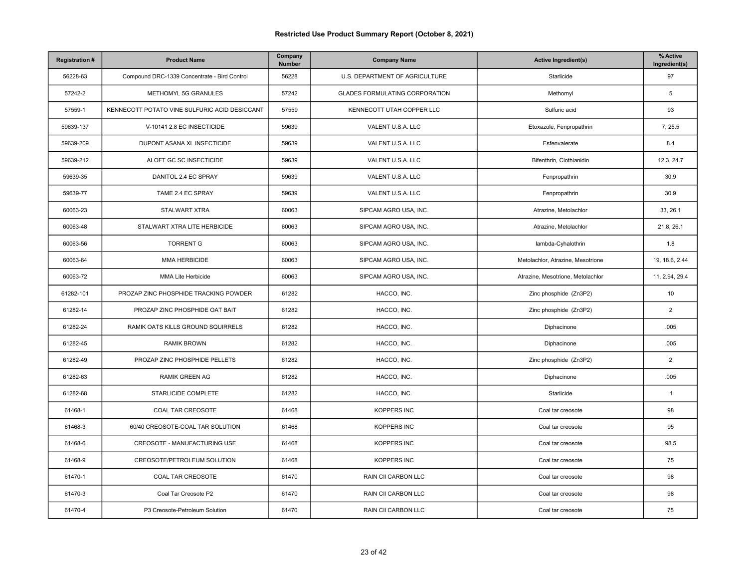| <b>Registration#</b> | <b>Product Name</b>                           | Company<br>Number | <b>Company Name</b>            | <b>Active Ingredient(s)</b>       | % Active<br>Ingredient(s) |
|----------------------|-----------------------------------------------|-------------------|--------------------------------|-----------------------------------|---------------------------|
| 56228-63             | Compound DRC-1339 Concentrate - Bird Control  | 56228             | U.S. DEPARTMENT OF AGRICULTURE | Starlicide                        | 97                        |
| 57242-2              | METHOMYL 5G GRANULES                          | 57242             | GLADES FORMULATING CORPORATION | Methomyl                          | 5                         |
| 57559-1              | KENNECOTT POTATO VINE SULFURIC ACID DESICCANT | 57559             | KENNECOTT UTAH COPPER LLC      | Sulfuric acid                     | 93                        |
| 59639-137            | V-10141 2.8 EC INSECTICIDE                    | 59639             | VALENT U.S.A. LLC              | Etoxazole, Fenpropathrin          | 7, 25.5                   |
| 59639-209            | DUPONT ASANA XL INSECTICIDE                   | 59639             | VALENT U.S.A. LLC              | Esfenvalerate                     | 8.4                       |
| 59639-212            | ALOFT GC SC INSECTICIDE                       | 59639             | VALENT U.S.A. LLC              | Bifenthrin, Clothianidin          | 12.3, 24.7                |
| 59639-35             | DANITOL 2.4 EC SPRAY                          | 59639             | VALENT U.S.A. LLC              | Fenpropathrin                     | 30.9                      |
| 59639-77             | TAME 2.4 EC SPRAY                             | 59639             | VALENT U.S.A. LLC              | Fenpropathrin                     | 30.9                      |
| 60063-23             | STALWART XTRA                                 | 60063             | SIPCAM AGRO USA, INC.          | Atrazine, Metolachlor             | 33, 26.1                  |
| 60063-48             | STALWART XTRA LITE HERBICIDE                  | 60063             | SIPCAM AGRO USA, INC.          | Atrazine, Metolachlor             | 21.8, 26.1                |
| 60063-56             | <b>TORRENT G</b>                              | 60063             | SIPCAM AGRO USA, INC.          | lambda-Cyhalothrin                | 1.8                       |
| 60063-64             | <b>MMA HERBICIDE</b>                          | 60063             | SIPCAM AGRO USA, INC.          | Metolachlor, Atrazine, Mesotrione | 19, 18.6, 2.44            |
| 60063-72             | <b>MMA Lite Herbicide</b>                     | 60063             | SIPCAM AGRO USA, INC.          | Atrazine, Mesotrione, Metolachlor | 11, 2.94, 29.4            |
| 61282-101            | PROZAP ZINC PHOSPHIDE TRACKING POWDER         | 61282             | HACCO, INC.                    | Zinc phosphide (Zn3P2)            | 10                        |
| 61282-14             | PROZAP ZINC PHOSPHIDE OAT BAIT                | 61282             | HACCO, INC.                    | Zinc phosphide (Zn3P2)            | $\boldsymbol{2}$          |
| 61282-24             | RAMIK OATS KILLS GROUND SQUIRRELS             | 61282             | HACCO, INC.                    | Diphacinone                       | .005                      |
| 61282-45             | <b>RAMIK BROWN</b>                            | 61282             | HACCO, INC.                    | Diphacinone                       | .005                      |
| 61282-49             | PROZAP ZINC PHOSPHIDE PELLETS                 | 61282             | HACCO, INC.                    | Zinc phosphide (Zn3P2)            | $\boldsymbol{2}$          |
| 61282-63             | <b>RAMIK GREEN AG</b>                         | 61282             | HACCO, INC.                    | Diphacinone                       | .005                      |
| 61282-68             | STARLICIDE COMPLETE                           | 61282             | HACCO, INC.                    | Starlicide                        | .1                        |
| 61468-1              | COAL TAR CREOSOTE                             | 61468             | KOPPERS INC                    | Coal tar creosote                 | 98                        |
| 61468-3              | 60/40 CREOSOTE-COAL TAR SOLUTION              | 61468             | KOPPERS INC                    | Coal tar creosote                 | 95                        |
| 61468-6              | CREOSOTE - MANUFACTURING USE                  | 61468             | KOPPERS INC                    | Coal tar creosote                 | 98.5                      |
| 61468-9              | CREOSOTE/PETROLEUM SOLUTION                   | 61468             | <b>KOPPERS INC</b>             | Coal tar creosote                 | 75                        |
| 61470-1              | COAL TAR CREOSOTE                             | 61470             | RAIN CII CARBON LLC            | Coal tar creosote                 | 98                        |
| 61470-3              | Coal Tar Creosote P2                          | 61470             | RAIN CII CARBON LLC            | Coal tar creosote                 | 98                        |
| 61470-4              | P3 Creosote-Petroleum Solution                | 61470             | RAIN CII CARBON LLC            | Coal tar creosote                 | 75                        |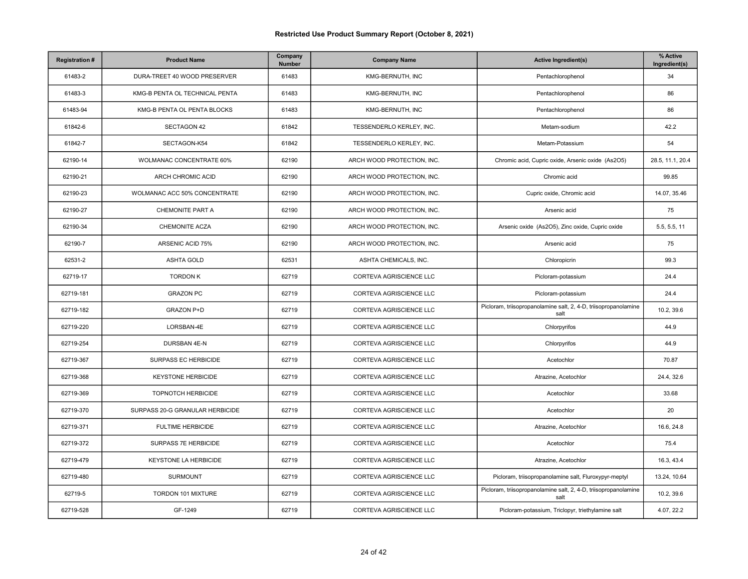| <b>Registration#</b> | <b>Product Name</b>             | Company<br>Number | <b>Company Name</b>        | <b>Active Ingredient(s)</b>                                             | % Active<br>Ingredient(s) |
|----------------------|---------------------------------|-------------------|----------------------------|-------------------------------------------------------------------------|---------------------------|
| 61483-2              | DURA-TREET 40 WOOD PRESERVER    | 61483             | KMG-BERNUTH, INC           | Pentachlorophenol                                                       | 34                        |
| 61483-3              | KMG-B PENTA OL TECHNICAL PENTA  | 61483             | KMG-BERNUTH, INC           | Pentachlorophenol                                                       | 86                        |
| 61483-94             | KMG-B PENTA OL PENTA BLOCKS     | 61483             | KMG-BERNUTH, INC           | Pentachlorophenol                                                       | 86                        |
| 61842-6              | <b>SECTAGON 42</b>              | 61842             | TESSENDERLO KERLEY, INC.   | Metam-sodium                                                            | 42.2                      |
| 61842-7              | SECTAGON-K54                    | 61842             | TESSENDERLO KERLEY, INC.   | Metam-Potassium                                                         | 54                        |
| 62190-14             | <b>WOLMANAC CONCENTRATE 60%</b> | 62190             | ARCH WOOD PROTECTION, INC. | Chromic acid, Cupric oxide, Arsenic oxide (As2O5)                       | 28.5, 11.1, 20.4          |
| 62190-21             | ARCH CHROMIC ACID               | 62190             | ARCH WOOD PROTECTION, INC. | Chromic acid                                                            | 99.85                     |
| 62190-23             | WOLMANAC ACC 50% CONCENTRATE    | 62190             | ARCH WOOD PROTECTION, INC. | Cupric oxide, Chromic acid                                              | 14.07, 35.46              |
| 62190-27             | CHEMONITE PART A                | 62190             | ARCH WOOD PROTECTION, INC. | Arsenic acid                                                            | 75                        |
| 62190-34             | <b>CHEMONITE ACZA</b>           | 62190             | ARCH WOOD PROTECTION, INC. | Arsenic oxide (As2O5), Zinc oxide, Cupric oxide                         | 5.5, 5.5, 11              |
| 62190-7              | ARSENIC ACID 75%                | 62190             | ARCH WOOD PROTECTION, INC. | Arsenic acid                                                            | 75                        |
| 62531-2              | <b>ASHTA GOLD</b>               | 62531             | ASHTA CHEMICALS, INC.      | Chloropicrin                                                            | 99.3                      |
| 62719-17             | <b>TORDON K</b>                 | 62719             | CORTEVA AGRISCIENCE LLC    | Picloram-potassium                                                      | 24.4                      |
| 62719-181            | <b>GRAZON PC</b>                | 62719             | CORTEVA AGRISCIENCE LLC    | Picloram-potassium                                                      | 24.4                      |
| 62719-182            | <b>GRAZON P+D</b>               | 62719             | CORTEVA AGRISCIENCE LLC    | Picloram, triisopropanolamine salt, 2, 4-D, triisopropanolamine<br>salt | 10.2, 39.6                |
| 62719-220            | LORSBAN-4E                      | 62719             | CORTEVA AGRISCIENCE LLC    | Chlorpyrifos                                                            | 44.9                      |
| 62719-254            | DURSBAN 4E-N                    | 62719             | CORTEVA AGRISCIENCE LLC    | Chlorpyrifos                                                            | 44.9                      |
| 62719-367            | SURPASS EC HERBICIDE            | 62719             | CORTEVA AGRISCIENCE LLC    | Acetochlor                                                              | 70.87                     |
| 62719-368            | <b>KEYSTONE HERBICIDE</b>       | 62719             | CORTEVA AGRISCIENCE LLC    | Atrazine, Acetochlor                                                    | 24.4, 32.6                |
| 62719-369            | TOPNOTCH HERBICIDE              | 62719             | CORTEVA AGRISCIENCE LLC    | Acetochlor                                                              | 33.68                     |
| 62719-370            | SURPASS 20-G GRANULAR HERBICIDE | 62719             | CORTEVA AGRISCIENCE LLC    | Acetochlor                                                              | 20                        |
| 62719-371            | <b>FULTIME HERBICIDE</b>        | 62719             | CORTEVA AGRISCIENCE LLC    | Atrazine, Acetochlor                                                    | 16.6, 24.8                |
| 62719-372            | SURPASS 7E HERBICIDE            | 62719             | CORTEVA AGRISCIENCE LLC    | Acetochlor                                                              | 75.4                      |
| 62719-479            | KEYSTONE LA HERBICIDE           | 62719             | CORTEVA AGRISCIENCE LLC    | Atrazine, Acetochlor                                                    | 16.3, 43.4                |
| 62719-480            | <b>SURMOUNT</b>                 | 62719             | CORTEVA AGRISCIENCE LLC    | Picloram, triisopropanolamine salt, Fluroxypyr-meptyl                   | 13.24, 10.64              |
| 62719-5              | TORDON 101 MIXTURE              | 62719             | CORTEVA AGRISCIENCE LLC    | Picloram, triisopropanolamine salt, 2, 4-D, triisopropanolamine<br>salt | 10.2, 39.6                |
| 62719-528            | GF-1249                         | 62719             | CORTEVA AGRISCIENCE LLC    | Picloram-potassium, Triclopyr, triethylamine salt                       | 4.07, 22.2                |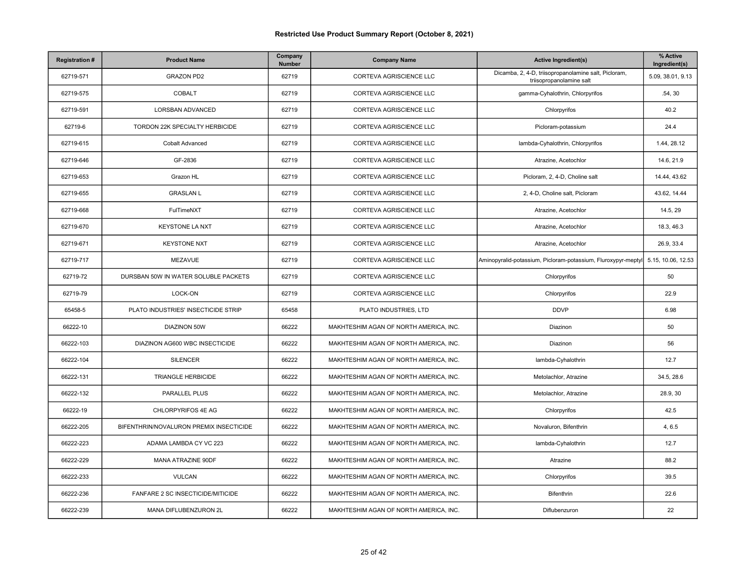| <b>Registration#</b> | <b>Product Name</b>                     | Company<br>Number | <b>Company Name</b>                    | <b>Active Ingredient(s)</b>                                                      | % Active<br>Ingredient(s) |
|----------------------|-----------------------------------------|-------------------|----------------------------------------|----------------------------------------------------------------------------------|---------------------------|
| 62719-571            | <b>GRAZON PD2</b>                       | 62719             | CORTEVA AGRISCIENCE LLC                | Dicamba, 2, 4-D, triisopropanolamine salt, Picloram,<br>triisopropanolamine salt | 5.09, 38.01, 9.13         |
| 62719-575            | <b>COBALT</b>                           | 62719             | CORTEVA AGRISCIENCE LLC                | gamma-Cyhalothrin, Chlorpyrifos                                                  | .54, .30                  |
| 62719-591            | LORSBAN ADVANCED                        | 62719             | CORTEVA AGRISCIENCE LLC                | Chlorpyrifos                                                                     | 40.2                      |
| 62719-6              | TORDON 22K SPECIALTY HERBICIDE          | 62719             | CORTEVA AGRISCIENCE LLC                | Picloram-potassium                                                               | 24.4                      |
| 62719-615            | <b>Cobalt Advanced</b>                  | 62719             | CORTEVA AGRISCIENCE LLC                | lambda-Cyhalothrin, Chlorpyrifos                                                 | 1.44, 28.12               |
| 62719-646            | GF-2836                                 | 62719             | CORTEVA AGRISCIENCE LLC                | Atrazine, Acetochlor                                                             | 14.6, 21.9                |
| 62719-653            | Grazon HL                               | 62719             | CORTEVA AGRISCIENCE LLC                | Picloram, 2, 4-D, Choline salt                                                   | 14.44, 43.62              |
| 62719-655            | <b>GRASLAN L</b>                        | 62719             | CORTEVA AGRISCIENCE LLC                | 2, 4-D, Choline salt, Picloram                                                   | 43.62, 14.44              |
| 62719-668            | FulTimeNXT                              | 62719             | CORTEVA AGRISCIENCE LLC                | Atrazine, Acetochlor                                                             | 14.5, 29                  |
| 62719-670            | <b>KEYSTONE LA NXT</b>                  | 62719             | CORTEVA AGRISCIENCE LLC                | Atrazine, Acetochlor                                                             | 18.3, 46.3                |
| 62719-671            | <b>KEYSTONE NXT</b>                     | 62719             | CORTEVA AGRISCIENCE LLC                | Atrazine, Acetochlor                                                             | 26.9, 33.4                |
| 62719-717            | MEZAVUE                                 | 62719             | CORTEVA AGRISCIENCE LLC                | Aminopyralid-potassium, Picloram-potassium, Fluroxypyr-meptyl                    | 5.15, 10.06, 12.53        |
| 62719-72             | DURSBAN 50W IN WATER SOLUBLE PACKETS    | 62719             | CORTEVA AGRISCIENCE LLC                | Chlorpyrifos                                                                     | 50                        |
| 62719-79             | LOCK-ON                                 | 62719             | CORTEVA AGRISCIENCE LLC                | Chlorpyrifos                                                                     | 22.9                      |
| 65458-5              | PLATO INDUSTRIES' INSECTICIDE STRIP     | 65458             | PLATO INDUSTRIES, LTD                  | <b>DDVP</b>                                                                      | 6.98                      |
| 66222-10             | DIAZINON 50W                            | 66222             | MAKHTESHIM AGAN OF NORTH AMERICA, INC. | Diazinon                                                                         | 50                        |
| 66222-103            | DIAZINON AG600 WBC INSECTICIDE          | 66222             | MAKHTESHIM AGAN OF NORTH AMERICA, INC. | Diazinon                                                                         | 56                        |
| 66222-104            | <b>SILENCER</b>                         | 66222             | MAKHTESHIM AGAN OF NORTH AMERICA, INC. | lambda-Cyhalothrin                                                               | 12.7                      |
| 66222-131            | <b>TRIANGLE HERBICIDE</b>               | 66222             | MAKHTESHIM AGAN OF NORTH AMERICA, INC. | Metolachlor, Atrazine                                                            | 34.5, 28.6                |
| 66222-132            | PARALLEL PLUS                           | 66222             | MAKHTESHIM AGAN OF NORTH AMERICA, INC. | Metolachlor, Atrazine                                                            | 28.9, 30                  |
| 66222-19             | CHLORPYRIFOS 4E AG                      | 66222             | MAKHTESHIM AGAN OF NORTH AMERICA, INC. | Chlorpyrifos                                                                     | 42.5                      |
| 66222-205            | BIFENTHRIN/NOVALURON PREMIX INSECTICIDE | 66222             | MAKHTESHIM AGAN OF NORTH AMERICA, INC. | Novaluron, Bifenthrin                                                            | 4, 6.5                    |
| 66222-223            | ADAMA LAMBDA CY VC 223                  | 66222             | MAKHTESHIM AGAN OF NORTH AMERICA, INC. | lambda-Cyhalothrin                                                               | 12.7                      |
| 66222-229            | MANA ATRAZINE 90DF                      | 66222             | MAKHTESHIM AGAN OF NORTH AMERICA, INC. | Atrazine                                                                         | 88.2                      |
| 66222-233            | <b>VULCAN</b>                           | 66222             | MAKHTESHIM AGAN OF NORTH AMERICA, INC. | Chlorpyrifos                                                                     | 39.5                      |
| 66222-236            | FANFARE 2 SC INSECTICIDE/MITICIDE       | 66222             | MAKHTESHIM AGAN OF NORTH AMERICA, INC. | Bifenthrin                                                                       | 22.6                      |
| 66222-239            | MANA DIFLUBENZURON 2L                   | 66222             | MAKHTESHIM AGAN OF NORTH AMERICA, INC. | Diflubenzuron                                                                    | 22                        |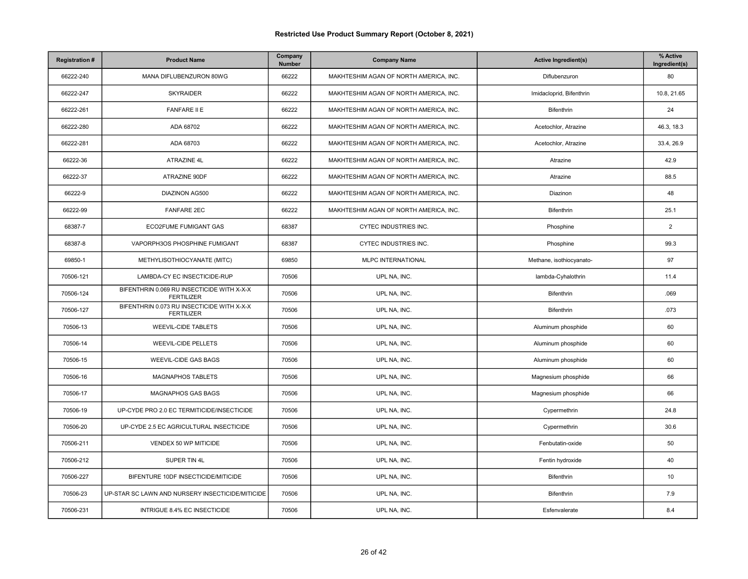| <b>Registration#</b> | <b>Product Name</b>                                             | Company<br>Number | <b>Company Name</b>                    | <b>Active Ingredient(s)</b> | % Active<br>Ingredient(s) |
|----------------------|-----------------------------------------------------------------|-------------------|----------------------------------------|-----------------------------|---------------------------|
| 66222-240            | MANA DIFLUBENZURON 80WG                                         | 66222             | MAKHTESHIM AGAN OF NORTH AMERICA, INC. | Diflubenzuron               | 80                        |
| 66222-247            | <b>SKYRAIDER</b>                                                | 66222             | MAKHTESHIM AGAN OF NORTH AMERICA, INC. | Imidacloprid, Bifenthrin    | 10.8, 21.65               |
| 66222-261            | <b>FANFARE II E</b>                                             | 66222             | MAKHTESHIM AGAN OF NORTH AMERICA, INC. | Bifenthrin                  | 24                        |
| 66222-280            | ADA 68702                                                       | 66222             | MAKHTESHIM AGAN OF NORTH AMERICA, INC. | Acetochlor, Atrazine        | 46.3, 18.3                |
| 66222-281            | ADA 68703                                                       | 66222             | MAKHTESHIM AGAN OF NORTH AMERICA, INC. | Acetochlor, Atrazine        | 33.4, 26.9                |
| 66222-36             | ATRAZINE 4L                                                     | 66222             | MAKHTESHIM AGAN OF NORTH AMERICA, INC. | Atrazine                    | 42.9                      |
| 66222-37             | ATRAZINE 90DF                                                   | 66222             | MAKHTESHIM AGAN OF NORTH AMERICA, INC. | Atrazine                    | 88.5                      |
| 66222-9              | <b>DIAZINON AG500</b>                                           | 66222             | MAKHTESHIM AGAN OF NORTH AMERICA, INC. | Diazinon                    | 48                        |
| 66222-99             | <b>FANFARE 2EC</b>                                              | 66222             | MAKHTESHIM AGAN OF NORTH AMERICA, INC. | Bifenthrin                  | 25.1                      |
| 68387-7              | ECO2FUME FUMIGANT GAS                                           | 68387             | CYTEC INDUSTRIES INC.                  | Phosphine                   | 2                         |
| 68387-8              | VAPORPH3OS PHOSPHINE FUMIGANT                                   | 68387             | CYTEC INDUSTRIES INC.                  | Phosphine                   | 99.3                      |
| 69850-1              | METHYLISOTHIOCYANATE (MITC)                                     | 69850             | MLPC INTERNATIONAL                     | Methane, isothiocyanato-    | 97                        |
| 70506-121            | LAMBDA-CY EC INSECTICIDE-RUP                                    | 70506             | UPL NA, INC.                           | lambda-Cyhalothrin          | 11.4                      |
| 70506-124            | BIFENTHRIN 0.069 RU INSECTICIDE WITH X-X-X<br><b>FERTILIZER</b> | 70506             | UPL NA, INC.                           | Bifenthrin                  | .069                      |
| 70506-127            | BIFENTHRIN 0.073 RU INSECTICIDE WITH X-X-X<br><b>FERTILIZER</b> | 70506             | UPL NA, INC.                           | Bifenthrin                  | .073                      |
| 70506-13             | <b>WEEVIL-CIDE TABLETS</b>                                      | 70506             | UPL NA, INC.                           | Aluminum phosphide          | 60                        |
| 70506-14             | <b>WEEVIL-CIDE PELLETS</b>                                      | 70506             | UPL NA, INC.                           | Aluminum phosphide          | 60                        |
| 70506-15             | <b>WEEVIL-CIDE GAS BAGS</b>                                     | 70506             | UPL NA, INC.                           | Aluminum phosphide          | 60                        |
| 70506-16             | <b>MAGNAPHOS TABLETS</b>                                        | 70506             | UPL NA, INC.                           | Magnesium phosphide         | 66                        |
| 70506-17             | MAGNAPHOS GAS BAGS                                              | 70506             | UPL NA, INC.                           | Magnesium phosphide         | 66                        |
| 70506-19             | UP-CYDE PRO 2.0 EC TERMITICIDE/INSECTICIDE                      | 70506             | UPL NA, INC.                           | Cypermethrin                | 24.8                      |
| 70506-20             | UP-CYDE 2.5 EC AGRICULTURAL INSECTICIDE                         | 70506             | UPL NA, INC.                           | Cypermethrin                | 30.6                      |
| 70506-211            | VENDEX 50 WP MITICIDE                                           | 70506             | UPL NA, INC.                           | Fenbutatin-oxide            | 50                        |
| 70506-212            | SUPER TIN 4L                                                    | 70506             | UPL NA, INC.                           | Fentin hydroxide            | 40                        |
| 70506-227            | BIFENTURE 10DF INSECTICIDE/MITICIDE                             | 70506             | UPL NA, INC.                           | Bifenthrin                  | 10                        |
| 70506-23             | UP-STAR SC LAWN AND NURSERY INSECTICIDE/MITICIDE                | 70506             | UPL NA, INC.                           | Bifenthrin                  | 7.9                       |
| 70506-231            | INTRIGUE 8.4% EC INSECTICIDE                                    | 70506             | UPL NA, INC.                           | Esfenvalerate               | 8.4                       |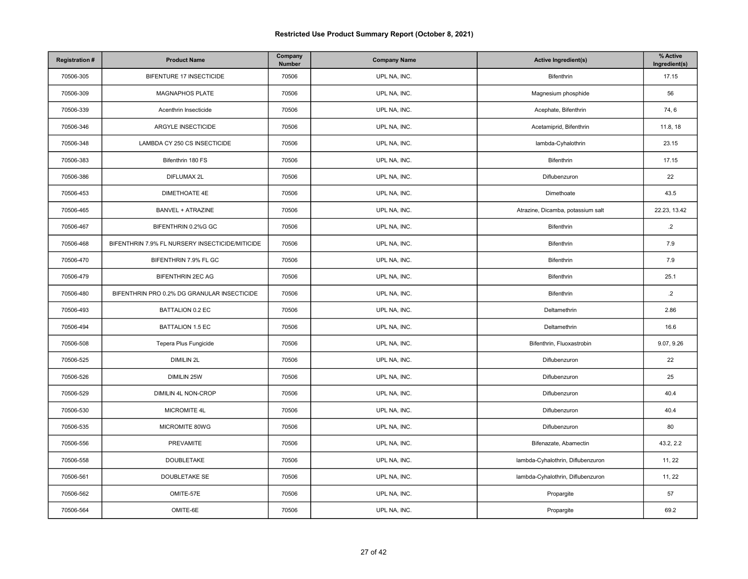| <b>Registration#</b> | <b>Product Name</b>                             | Company<br>Number | <b>Company Name</b> | <b>Active Ingredient(s)</b>       | % Active<br>Ingredient(s) |
|----------------------|-------------------------------------------------|-------------------|---------------------|-----------------------------------|---------------------------|
| 70506-305            | BIFENTURE 17 INSECTICIDE                        | 70506             | UPL NA, INC.        | Bifenthrin                        | 17.15                     |
| 70506-309            | MAGNAPHOS PLATE                                 | 70506             | UPL NA, INC.        | Magnesium phosphide               | 56                        |
| 70506-339            | Acenthrin Insecticide                           | 70506             | UPL NA, INC.        | Acephate, Bifenthrin              | 74, 6                     |
| 70506-346            | ARGYLE INSECTICIDE                              | 70506             | UPL NA, INC.        | Acetamiprid, Bifenthrin           | 11.8, 18                  |
| 70506-348            | LAMBDA CY 250 CS INSECTICIDE                    | 70506             | UPL NA, INC.        | lambda-Cyhalothrin                | 23.15                     |
| 70506-383            | Bifenthrin 180 FS                               | 70506             | UPL NA, INC.        | Bifenthrin                        | 17.15                     |
| 70506-386            | DIFLUMAX 2L                                     | 70506             | UPL NA, INC.        | Diflubenzuron                     | 22                        |
| 70506-453            | DIMETHOATE 4E                                   | 70506             | UPL NA, INC.        | Dimethoate                        | 43.5                      |
| 70506-465            | <b>BANVEL + ATRAZINE</b>                        | 70506             | UPL NA, INC.        | Atrazine, Dicamba, potassium salt | 22.23, 13.42              |
| 70506-467            | BIFENTHRIN 0.2%G GC                             | 70506             | UPL NA, INC.        | Bifenthrin                        | $.2\phantom{0}$           |
| 70506-468            | BIFENTHRIN 7.9% FL NURSERY INSECTICIDE/MITICIDE | 70506             | UPL NA, INC.        | Bifenthrin                        | 7.9                       |
| 70506-470            | BIFENTHRIN 7.9% FL GC                           | 70506             | UPL NA, INC.        | Bifenthrin                        | 7.9                       |
| 70506-479            | <b>BIFENTHRIN 2EC AG</b>                        | 70506             | UPL NA, INC.        | Bifenthrin                        | 25.1                      |
| 70506-480            | BIFENTHRIN PRO 0.2% DG GRANULAR INSECTICIDE     | 70506             | UPL NA, INC.        | Bifenthrin                        | $\cdot$ .2                |
| 70506-493            | <b>BATTALION 0.2 EC</b>                         | 70506             | UPL NA, INC.        | Deltamethrin                      | 2.86                      |
| 70506-494            | <b>BATTALION 1.5 EC</b>                         | 70506             | UPL NA, INC.        | Deltamethrin                      | 16.6                      |
| 70506-508            | Tepera Plus Fungicide                           | 70506             | UPL NA, INC.        | Bifenthrin, Fluoxastrobin         | 9.07, 9.26                |
| 70506-525            | <b>DIMILIN 2L</b>                               | 70506             | UPL NA, INC.        | Diflubenzuron                     | 22                        |
| 70506-526            | DIMILIN 25W                                     | 70506             | UPL NA, INC.        | Diflubenzuron                     | 25                        |
| 70506-529            | DIMILIN 4L NON-CROP                             | 70506             | UPL NA, INC.        | Diflubenzuron                     | 40.4                      |
| 70506-530            | MICROMITE 4L                                    | 70506             | UPL NA, INC.        | Diflubenzuron                     | 40.4                      |
| 70506-535            | MICROMITE 80WG                                  | 70506             | UPL NA, INC.        | Diflubenzuron                     | 80                        |
| 70506-556            | PREVAMITE                                       | 70506             | UPL NA, INC.        | Bifenazate, Abamectin             | 43.2, 2.2                 |
| 70506-558            | <b>DOUBLETAKE</b>                               | 70506             | UPL NA, INC.        | lambda-Cyhalothrin, Diflubenzuron | 11, 22                    |
| 70506-561            | DOUBLETAKE SE                                   | 70506             | UPL NA, INC.        | lambda-Cyhalothrin, Diflubenzuron | 11, 22                    |
| 70506-562            | OMITE-57E                                       | 70506             | UPL NA, INC.        | Propargite                        | 57                        |
| 70506-564            | OMITE-6E                                        | 70506             | UPL NA, INC.        | Propargite                        | 69.2                      |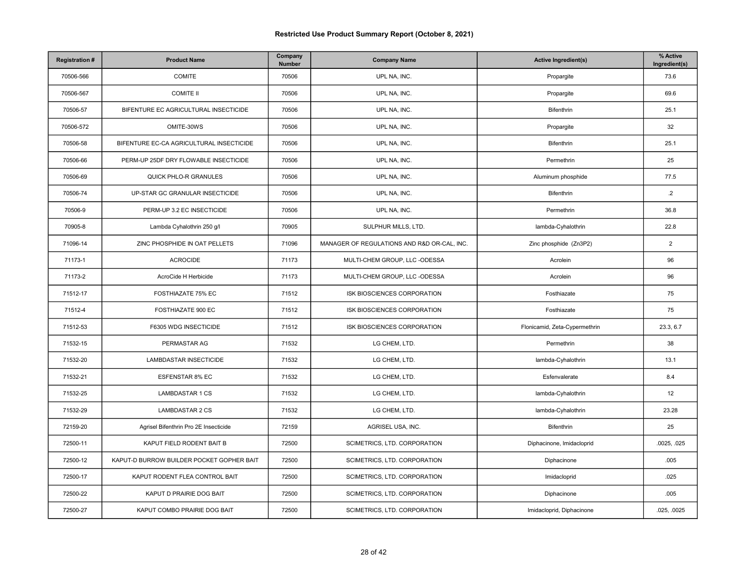| <b>Registration#</b> | <b>Product Name</b>                       | Company<br>Number | <b>Company Name</b>                         | <b>Active Ingredient(s)</b>   | % Active<br>Ingredient(s) |
|----------------------|-------------------------------------------|-------------------|---------------------------------------------|-------------------------------|---------------------------|
| 70506-566            | COMITE                                    | 70506             | UPL NA, INC.                                | Propargite                    | 73.6                      |
| 70506-567            | <b>COMITE II</b>                          | 70506             | UPL NA, INC.                                | Propargite                    | 69.6                      |
| 70506-57             | BIFENTURE EC AGRICULTURAL INSECTICIDE     | 70506             | UPL NA, INC.                                | Bifenthrin                    | 25.1                      |
| 70506-572            | OMITE-30WS                                | 70506             | UPL NA, INC.                                | Propargite                    | 32                        |
| 70506-58             | BIFENTURE EC-CA AGRICULTURAL INSECTICIDE  | 70506             | UPL NA, INC.                                | Bifenthrin                    | 25.1                      |
| 70506-66             | PERM-UP 25DF DRY FLOWABLE INSECTICIDE     | 70506             | UPL NA, INC.                                | Permethrin                    | 25                        |
| 70506-69             | <b>QUICK PHLO-R GRANULES</b>              | 70506             | UPL NA, INC.                                | Aluminum phosphide            | 77.5                      |
| 70506-74             | UP-STAR GC GRANULAR INSECTICIDE           | 70506             | UPL NA, INC.                                | Bifenthrin                    | $.2\overline{ }$          |
| 70506-9              | PERM-UP 3.2 EC INSECTICIDE                | 70506             | UPL NA, INC.                                | Permethrin                    | 36.8                      |
| 70905-8              | Lambda Cyhalothrin 250 g/l                | 70905             | SULPHUR MILLS, LTD.                         | lambda-Cyhalothrin            | 22.8                      |
| 71096-14             | ZINC PHOSPHIDE IN OAT PELLETS             | 71096             | MANAGER OF REGULATIONS AND R&D OR-CAL, INC. | Zinc phosphide (Zn3P2)        | $\overline{2}$            |
| 71173-1              | <b>ACROCIDE</b>                           | 71173             | MULTI-CHEM GROUP, LLC -ODESSA               | Acrolein                      | 96                        |
| 71173-2              | AcroCide H Herbicide                      | 71173             | MULTI-CHEM GROUP, LLC -ODESSA               | Acrolein                      | 96                        |
| 71512-17             | FOSTHIAZATE 75% EC                        | 71512             | ISK BIOSCIENCES CORPORATION                 | Fosthiazate                   | 75                        |
| 71512-4              | FOSTHIAZATE 900 EC                        | 71512             | ISK BIOSCIENCES CORPORATION                 | Fosthiazate                   | 75                        |
| 71512-53             | F6305 WDG INSECTICIDE                     | 71512             | ISK BIOSCIENCES CORPORATION                 | Flonicamid, Zeta-Cypermethrin | 23.3, 6.7                 |
| 71532-15             | PERMASTAR AG                              | 71532             | LG CHEM, LTD.                               | Permethrin                    | 38                        |
| 71532-20             | LAMBDASTAR INSECTICIDE                    | 71532             | LG CHEM, LTD.                               | lambda-Cyhalothrin            | 13.1                      |
| 71532-21             | ESFENSTAR 8% EC                           | 71532             | LG CHEM, LTD.                               | Esfenvalerate                 | 8.4                       |
| 71532-25             | <b>LAMBDASTAR 1 CS</b>                    | 71532             | LG CHEM, LTD.                               | lambda-Cyhalothrin            | 12                        |
| 71532-29             | <b>LAMBDASTAR 2 CS</b>                    | 71532             | LG CHEM, LTD.                               | lambda-Cyhalothrin            | 23.28                     |
| 72159-20             | Agrisel Bifenthrin Pro 2E Insecticide     | 72159             | AGRISEL USA, INC.                           | Bifenthrin                    | 25                        |
| 72500-11             | KAPUT FIELD RODENT BAIT B                 | 72500             | SCIMETRICS, LTD. CORPORATION                | Diphacinone, Imidacloprid     | .0025, .025               |
| 72500-12             | KAPUT-D BURROW BUILDER POCKET GOPHER BAIT | 72500             | SCIMETRICS, LTD. CORPORATION                | Diphacinone                   | .005                      |
| 72500-17             | KAPUT RODENT FLEA CONTROL BAIT            | 72500             | SCIMETRICS, LTD. CORPORATION                | Imidacloprid                  | .025                      |
| 72500-22             | KAPUT D PRAIRIE DOG BAIT                  | 72500             | SCIMETRICS, LTD. CORPORATION                | Diphacinone                   | .005                      |
| 72500-27             | KAPUT COMBO PRAIRIE DOG BAIT              | 72500             | SCIMETRICS, LTD. CORPORATION                | Imidacloprid, Diphacinone     | .025, .0025               |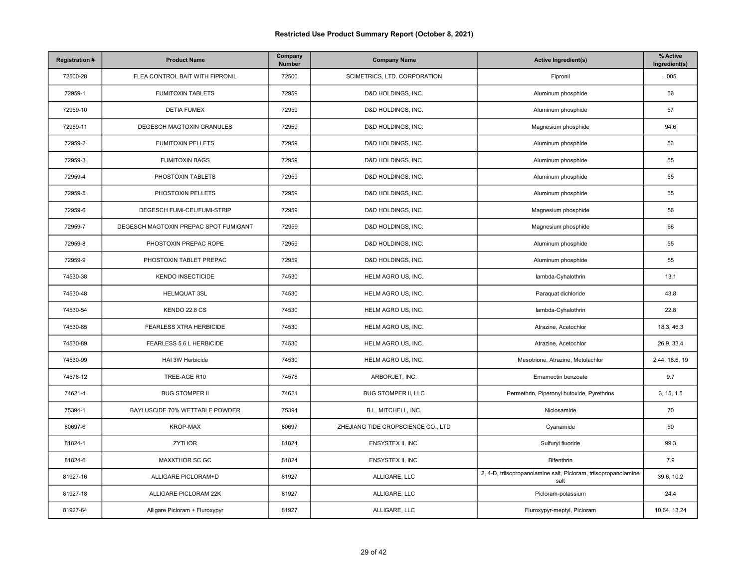| <b>Registration#</b> | <b>Product Name</b>                   | Company<br>Number | <b>Company Name</b>                | <b>Active Ingredient(s)</b>                                             | % Active<br>Ingredient(s) |
|----------------------|---------------------------------------|-------------------|------------------------------------|-------------------------------------------------------------------------|---------------------------|
| 72500-28             | FLEA CONTROL BAIT WITH FIPRONIL       | 72500             | SCIMETRICS, LTD. CORPORATION       | Fipronil                                                                | .005                      |
| 72959-1              | <b>FUMITOXIN TABLETS</b>              | 72959             | D&D HOLDINGS, INC.                 | Aluminum phosphide                                                      | 56                        |
| 72959-10             | <b>DETIA FUMEX</b>                    | 72959             | D&D HOLDINGS, INC.                 | Aluminum phosphide                                                      | 57                        |
| 72959-11             | DEGESCH MAGTOXIN GRANULES             | 72959             | D&D HOLDINGS, INC.                 | Magnesium phosphide                                                     | 94.6                      |
| 72959-2              | <b>FUMITOXIN PELLETS</b>              | 72959             | D&D HOLDINGS, INC.                 | Aluminum phosphide                                                      | 56                        |
| 72959-3              | <b>FUMITOXIN BAGS</b>                 | 72959             | D&D HOLDINGS, INC.                 | Aluminum phosphide                                                      | 55                        |
| 72959-4              | PHOSTOXIN TABLETS                     | 72959             | D&D HOLDINGS, INC.                 | Aluminum phosphide                                                      | 55                        |
| 72959-5              | PHOSTOXIN PELLETS                     | 72959             | D&D HOLDINGS, INC.                 | Aluminum phosphide                                                      | 55                        |
| 72959-6              | DEGESCH FUMI-CEL/FUMI-STRIP           | 72959             | D&D HOLDINGS, INC.                 | Magnesium phosphide                                                     | 56                        |
| 72959-7              | DEGESCH MAGTOXIN PREPAC SPOT FUMIGANT | 72959             | D&D HOLDINGS, INC.                 | Magnesium phosphide                                                     | 66                        |
| 72959-8              | PHOSTOXIN PREPAC ROPE                 | 72959             | D&D HOLDINGS, INC.                 | Aluminum phosphide                                                      | 55                        |
| 72959-9              | PHOSTOXIN TABLET PREPAC               | 72959             | D&D HOLDINGS, INC.                 | Aluminum phosphide                                                      | 55                        |
| 74530-38             | <b>KENDO INSECTICIDE</b>              | 74530             | HELM AGRO US, INC.                 | lambda-Cyhalothrin                                                      | 13.1                      |
| 74530-48             | <b>HELMQUAT 3SL</b>                   | 74530             | HELM AGRO US, INC.                 | Paraquat dichloride                                                     | 43.8                      |
| 74530-54             | KENDO 22.8 CS                         | 74530             | HELM AGRO US, INC.                 | lambda-Cyhalothrin                                                      | 22.8                      |
| 74530-85             | <b>FEARLESS XTRA HERBICIDE</b>        | 74530             | HELM AGRO US, INC.                 | Atrazine, Acetochlor                                                    | 18.3, 46.3                |
| 74530-89             | FEARLESS 5.6 L HERBICIDE              | 74530             | HELM AGRO US, INC.                 | Atrazine, Acetochlor                                                    | 26.9, 33.4                |
| 74530-99             | HAI 3W Herbicide                      | 74530             | HELM AGRO US, INC.                 | Mesotrione, Atrazine, Metolachlor                                       | 2.44, 18.6, 19            |
| 74578-12             | TREE-AGE R10                          | 74578             | ARBORJET, INC.                     | Emamectin benzoate                                                      | 9.7                       |
| 74621-4              | <b>BUG STOMPER II</b>                 | 74621             | <b>BUG STOMPER II, LLC</b>         | Permethrin, Piperonyl butoxide, Pyrethrins                              | 3, 15, 1.5                |
| 75394-1              | BAYLUSCIDE 70% WETTABLE POWDER        | 75394             | B.L. MITCHELL, INC.                | Niclosamide                                                             | 70                        |
| 80697-6              | <b>KROP-MAX</b>                       | 80697             | ZHEJIANG TIDE CROPSCIENCE CO., LTD | Cyanamide                                                               | 50                        |
| 81824-1              | <b>ZYTHOR</b>                         | 81824             | ENSYSTEX II, INC.                  | Sulfuryl fluoride                                                       | 99.3                      |
| 81824-6              | MAXXTHOR SC GC                        | 81824             | ENSYSTEX II, INC.                  | Bifenthrin                                                              | 7.9                       |
| 81927-16             | ALLIGARE PICLORAM+D                   | 81927             | ALLIGARE, LLC                      | 2, 4-D, triisopropanolamine salt, Picloram, triisopropanolamine<br>salt | 39.6, 10.2                |
| 81927-18             | ALLIGARE PICLORAM 22K                 | 81927             | ALLIGARE, LLC                      | Picloram-potassium                                                      | 24.4                      |
| 81927-64             | Alligare Picloram + Fluroxypyr        | 81927             | ALLIGARE, LLC                      | Fluroxypyr-meptyl, Picloram                                             | 10.64, 13.24              |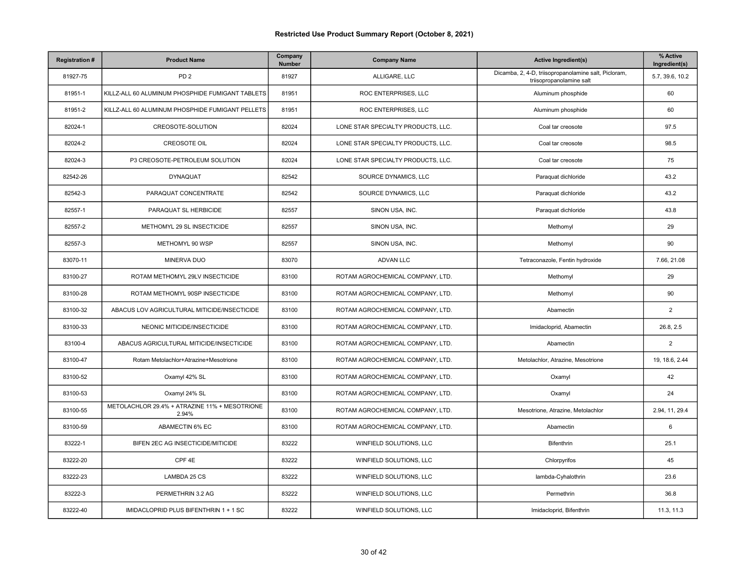| <b>Registration#</b> | <b>Product Name</b>                                    | Company<br>Number | <b>Company Name</b>                | <b>Active Ingredient(s)</b>                                                      | % Active<br>Ingredient(s) |
|----------------------|--------------------------------------------------------|-------------------|------------------------------------|----------------------------------------------------------------------------------|---------------------------|
| 81927-75             | PD <sub>2</sub>                                        | 81927             | ALLIGARE, LLC                      | Dicamba, 2, 4-D, triisopropanolamine salt, Picloram,<br>triisopropanolamine salt | 5.7, 39.6, 10.2           |
| 81951-1              | KILLZ-ALL 60 ALUMINUM PHOSPHIDE FUMIGANT TABLETS       | 81951             | ROC ENTERPRISES, LLC               | Aluminum phosphide                                                               | 60                        |
| 81951-2              | KILLZ-ALL 60 ALUMINUM PHOSPHIDE FUMIGANT PELLETS       | 81951             | ROC ENTERPRISES, LLC               | Aluminum phosphide                                                               | 60                        |
| 82024-1              | CREOSOTE-SOLUTION                                      | 82024             | LONE STAR SPECIALTY PRODUCTS, LLC. | Coal tar creosote                                                                | 97.5                      |
| 82024-2              | <b>CREOSOTE OIL</b>                                    | 82024             | LONE STAR SPECIALTY PRODUCTS, LLC. | Coal tar creosote                                                                | 98.5                      |
| 82024-3              | P3 CREOSOTE-PETROLEUM SOLUTION                         | 82024             | LONE STAR SPECIALTY PRODUCTS, LLC. | Coal tar creosote                                                                | 75                        |
| 82542-26             | <b>DYNAQUAT</b>                                        | 82542             | SOURCE DYNAMICS, LLC               | Paraquat dichloride                                                              | 43.2                      |
| 82542-3              | PARAQUAT CONCENTRATE                                   | 82542             | SOURCE DYNAMICS, LLC               | Paraquat dichloride                                                              | 43.2                      |
| 82557-1              | PARAQUAT SL HERBICIDE                                  | 82557             | SINON USA, INC.                    | Paraquat dichloride                                                              | 43.8                      |
| 82557-2              | METHOMYL 29 SL INSECTICIDE                             | 82557             | SINON USA, INC.                    | Methomyl                                                                         | 29                        |
| 82557-3              | METHOMYL 90 WSP                                        | 82557             | SINON USA, INC.                    | Methomyl                                                                         | 90                        |
| 83070-11             | MINERVA DUO                                            | 83070             | <b>ADVAN LLC</b>                   | Tetraconazole, Fentin hydroxide                                                  | 7.66, 21.08               |
| 83100-27             | ROTAM METHOMYL 29LV INSECTICIDE                        | 83100             | ROTAM AGROCHEMICAL COMPANY, LTD.   | Methomyl                                                                         | 29                        |
| 83100-28             | ROTAM METHOMYL 90SP INSECTICIDE                        | 83100             | ROTAM AGROCHEMICAL COMPANY, LTD.   | Methomyl                                                                         | 90                        |
| 83100-32             | ABACUS LOV AGRICULTURAL MITICIDE/INSECTICIDE           | 83100             | ROTAM AGROCHEMICAL COMPANY, LTD.   | Abamectin                                                                        | $\sqrt{2}$                |
| 83100-33             | NEONIC MITICIDE/INSECTICIDE                            | 83100             | ROTAM AGROCHEMICAL COMPANY, LTD.   | Imidacloprid, Abamectin                                                          | 26.8, 2.5                 |
| 83100-4              | ABACUS AGRICULTURAL MITICIDE/INSECTICIDE               | 83100             | ROTAM AGROCHEMICAL COMPANY, LTD.   | Abamectin                                                                        | $\overline{2}$            |
| 83100-47             | Rotam Metolachlor+Atrazine+Mesotrione                  | 83100             | ROTAM AGROCHEMICAL COMPANY, LTD.   | Metolachlor, Atrazine, Mesotrione                                                | 19, 18.6, 2.44            |
| 83100-52             | Oxamyl 42% SL                                          | 83100             | ROTAM AGROCHEMICAL COMPANY, LTD.   | Oxamyl                                                                           | 42                        |
| 83100-53             | Oxamyl 24% SL                                          | 83100             | ROTAM AGROCHEMICAL COMPANY, LTD.   | Oxamyl                                                                           | 24                        |
| 83100-55             | METOLACHLOR 29.4% + ATRAZINE 11% + MESOTRIONE<br>2.94% | 83100             | ROTAM AGROCHEMICAL COMPANY, LTD.   | Mesotrione, Atrazine, Metolachlor                                                | 2.94, 11, 29.4            |
| 83100-59             | ABAMECTIN 6% EC                                        | 83100             | ROTAM AGROCHEMICAL COMPANY, LTD.   | Abamectin                                                                        | 6                         |
| 83222-1              | BIFEN 2EC AG INSECTICIDE/MITICIDE                      | 83222             | WINFIELD SOLUTIONS, LLC            | Bifenthrin                                                                       | 25.1                      |
| 83222-20             | CPF 4E                                                 | 83222             | WINFIELD SOLUTIONS, LLC            | Chlorpyrifos                                                                     | 45                        |
| 83222-23             | LAMBDA 25 CS                                           | 83222             | WINFIELD SOLUTIONS, LLC            | lambda-Cyhalothrin                                                               | 23.6                      |
| 83222-3              | PERMETHRIN 3.2 AG                                      | 83222             | WINFIELD SOLUTIONS, LLC            | Permethrin                                                                       | 36.8                      |
| 83222-40             | IMIDACLOPRID PLUS BIFENTHRIN 1 + 1 SC                  | 83222             | WINFIELD SOLUTIONS, LLC            | Imidacloprid, Bifenthrin                                                         | 11.3, 11.3                |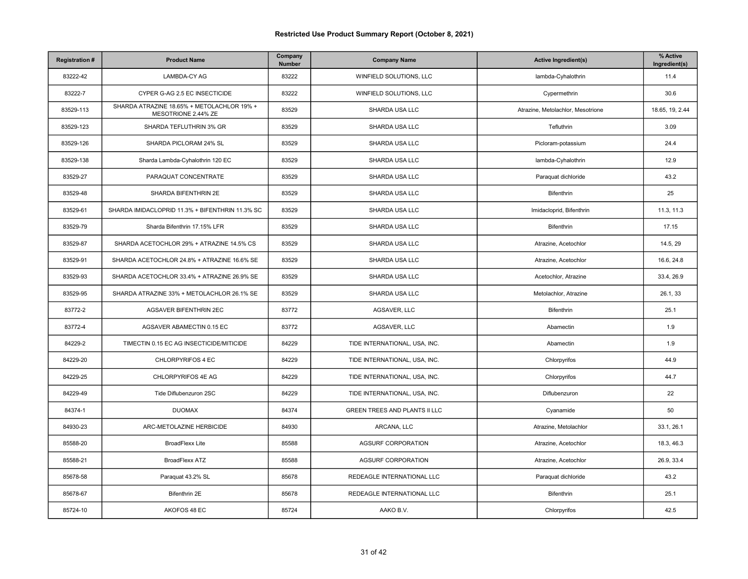| <b>Registration#</b> | <b>Product Name</b>                                               | Company<br>Number | <b>Company Name</b>                  | <b>Active Ingredient(s)</b>       | % Active<br>Ingredient(s) |
|----------------------|-------------------------------------------------------------------|-------------------|--------------------------------------|-----------------------------------|---------------------------|
| 83222-42             | LAMBDA-CY AG                                                      | 83222             | WINFIELD SOLUTIONS, LLC              | lambda-Cyhalothrin                | 11.4                      |
| 83222-7              | CYPER G-AG 2.5 EC INSECTICIDE                                     | 83222             | WINFIELD SOLUTIONS, LLC              | Cypermethrin                      | 30.6                      |
| 83529-113            | SHARDA ATRAZINE 18.65% + METOLACHLOR 19% +<br>MESOTRIONE 2.44% ZE | 83529             | SHARDA USA LLC                       | Atrazine, Metolachlor, Mesotrione | 18.65, 19, 2.44           |
| 83529-123            | SHARDA TEFLUTHRIN 3% GR                                           | 83529             | SHARDA USA LLC                       | Tefluthrin                        | 3.09                      |
| 83529-126            | SHARDA PICLORAM 24% SL                                            | 83529             | SHARDA USA LLC                       | Picloram-potassium                | 24.4                      |
| 83529-138            | Sharda Lambda-Cyhalothrin 120 EC                                  | 83529             | SHARDA USA LLC                       | lambda-Cyhalothrin                | 12.9                      |
| 83529-27             | PARAQUAT CONCENTRATE                                              | 83529             | SHARDA USA LLC                       | Paraquat dichloride               | 43.2                      |
| 83529-48             | SHARDA BIFENTHRIN 2E                                              | 83529             | SHARDA USA LLC                       | Bifenthrin                        | 25                        |
| 83529-61             | SHARDA IMIDACLOPRID 11.3% + BIFENTHRIN 11.3% SC                   | 83529             | SHARDA USA LLC                       | Imidacloprid, Bifenthrin          | 11.3, 11.3                |
| 83529-79             | Sharda Bifenthrin 17.15% LFR                                      | 83529             | SHARDA USA LLC                       | Bifenthrin                        | 17.15                     |
| 83529-87             | SHARDA ACETOCHLOR 29% + ATRAZINE 14.5% CS                         | 83529             | SHARDA USA LLC                       | Atrazine, Acetochlor              | 14.5, 29                  |
| 83529-91             | SHARDA ACETOCHLOR 24.8% + ATRAZINE 16.6% SE                       | 83529             | SHARDA USA LLC                       | Atrazine, Acetochlor              | 16.6, 24.8                |
| 83529-93             | SHARDA ACETOCHLOR 33.4% + ATRAZINE 26.9% SE                       | 83529             | SHARDA USA LLC                       | Acetochlor, Atrazine              | 33.4, 26.9                |
| 83529-95             | SHARDA ATRAZINE 33% + METOLACHLOR 26.1% SE                        | 83529             | SHARDA USA LLC                       | Metolachlor, Atrazine             | 26.1, 33                  |
| 83772-2              | AGSAVER BIFENTHRIN 2EC                                            | 83772             | AGSAVER, LLC                         | Bifenthrin                        | 25.1                      |
| 83772-4              | AGSAVER ABAMECTIN 0.15 EC                                         | 83772             | AGSAVER, LLC                         | Abamectin                         | 1.9                       |
| 84229-2              | TIMECTIN 0.15 EC AG INSECTICIDE/MITICIDE                          | 84229             | TIDE INTERNATIONAL, USA, INC.        | Abamectin                         | 1.9                       |
| 84229-20             | CHLORPYRIFOS 4 EC                                                 | 84229             | TIDE INTERNATIONAL, USA, INC.        | Chlorpyrifos                      | 44.9                      |
| 84229-25             | CHLORPYRIFOS 4E AG                                                | 84229             | TIDE INTERNATIONAL, USA, INC.        | Chlorpyrifos                      | 44.7                      |
| 84229-49             | Tide Diflubenzuron 2SC                                            | 84229             | TIDE INTERNATIONAL, USA, INC.        | Diflubenzuron                     | 22                        |
| 84374-1              | <b>DUOMAX</b>                                                     | 84374             | <b>GREEN TREES AND PLANTS II LLC</b> | Cyanamide                         | 50                        |
| 84930-23             | ARC-METOLAZINE HERBICIDE                                          | 84930             | ARCANA, LLC                          | Atrazine, Metolachlor             | 33.1, 26.1                |
| 85588-20             | <b>BroadFlexx Lite</b>                                            | 85588             | <b>AGSURF CORPORATION</b>            | Atrazine, Acetochlor              | 18.3, 46.3                |
| 85588-21             | <b>BroadFlexx ATZ</b>                                             | 85588             | <b>AGSURF CORPORATION</b>            | Atrazine, Acetochlor              | 26.9, 33.4                |
| 85678-58             | Paraquat 43.2% SL                                                 | 85678             | REDEAGLE INTERNATIONAL LLC           | Paraquat dichloride               | 43.2                      |
| 85678-67             | Bifenthrin 2E                                                     | 85678             | REDEAGLE INTERNATIONAL LLC           | Bifenthrin                        | 25.1                      |
| 85724-10             | AKOFOS 48 EC                                                      | 85724             | AAKO B.V.                            | Chlorpyrifos                      | 42.5                      |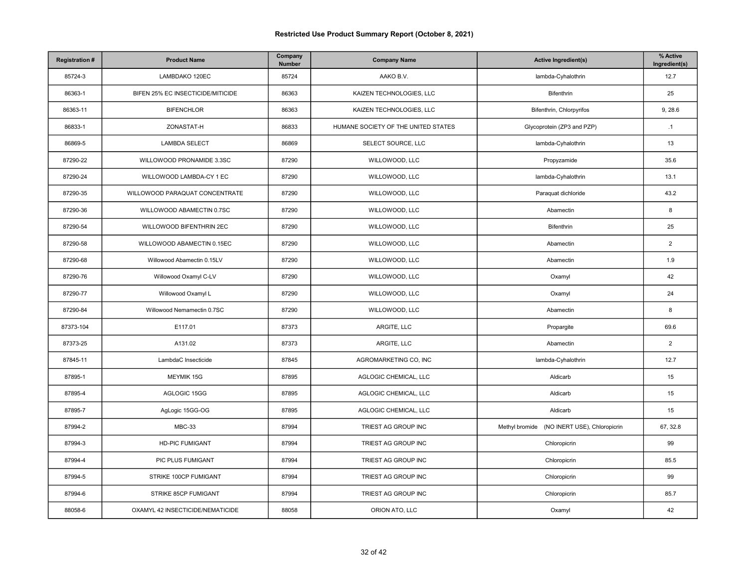| <b>Registration#</b> | <b>Product Name</b>               | Company<br>Number | <b>Company Name</b>                 | <b>Active Ingredient(s)</b>                 | % Active<br>Ingredient(s) |
|----------------------|-----------------------------------|-------------------|-------------------------------------|---------------------------------------------|---------------------------|
| 85724-3              | LAMBDAKO 120EC                    | 85724             | AAKO B.V.                           | lambda-Cyhalothrin                          | 12.7                      |
| 86363-1              | BIFEN 25% EC INSECTICIDE/MITICIDE | 86363             | KAIZEN TECHNOLOGIES, LLC            | Bifenthrin                                  | 25                        |
| 86363-11             | <b>BIFENCHLOR</b>                 | 86363             | KAIZEN TECHNOLOGIES, LLC            | Bifenthrin, Chlorpyrifos                    | 9, 28.6                   |
| 86833-1              | ZONASTAT-H                        | 86833             | HUMANE SOCIETY OF THE UNITED STATES | Glycoprotein (ZP3 and PZP)                  | $\cdot$ 1                 |
| 86869-5              | <b>LAMBDA SELECT</b>              | 86869             | SELECT SOURCE, LLC                  | lambda-Cyhalothrin                          | 13                        |
| 87290-22             | WILLOWOOD PRONAMIDE 3.3SC         | 87290             | WILLOWOOD, LLC                      | Propyzamide                                 | 35.6                      |
| 87290-24             | WILLOWOOD LAMBDA-CY 1 EC          | 87290             | WILLOWOOD, LLC                      | lambda-Cyhalothrin                          | 13.1                      |
| 87290-35             | WILLOWOOD PARAQUAT CONCENTRATE    | 87290             | WILLOWOOD, LLC                      | Paraquat dichloride                         | 43.2                      |
| 87290-36             | WILLOWOOD ABAMECTIN 0.7SC         | 87290             | WILLOWOOD, LLC                      | Abamectin                                   | 8                         |
| 87290-54             | WILLOWOOD BIFENTHRIN 2EC          | 87290             | WILLOWOOD, LLC                      | Bifenthrin                                  | 25                        |
| 87290-58             | WILLOWOOD ABAMECTIN 0.15EC        | 87290             | WILLOWOOD, LLC                      | Abamectin                                   | $\overline{2}$            |
| 87290-68             | Willowood Abamectin 0.15LV        | 87290             | WILLOWOOD, LLC                      | Abamectin                                   | 1.9                       |
| 87290-76             | Willowood Oxamyl C-LV             | 87290             | WILLOWOOD, LLC                      | Oxamyl                                      | 42                        |
| 87290-77             | Willowood Oxamyl L                | 87290             | WILLOWOOD, LLC                      | Oxamyl                                      | 24                        |
| 87290-84             | Willowood Nemamectin 0.7SC        | 87290             | WILLOWOOD, LLC                      | Abamectin                                   | 8                         |
| 87373-104            | E117.01                           | 87373             | ARGITE, LLC                         | Propargite                                  | 69.6                      |
| 87373-25             | A131.02                           | 87373             | ARGITE, LLC                         | Abamectin                                   | $\overline{2}$            |
| 87845-11             | LambdaC Insecticide               | 87845             | AGROMARKETING CO, INC               | lambda-Cyhalothrin                          | 12.7                      |
| 87895-1              | MEYMIK 15G                        | 87895             | AGLOGIC CHEMICAL, LLC               | Aldicarb                                    | 15                        |
| 87895-4              | AGLOGIC 15GG                      | 87895             | AGLOGIC CHEMICAL, LLC               | Aldicarb                                    | 15                        |
| 87895-7              | AgLogic 15GG-OG                   | 87895             | AGLOGIC CHEMICAL, LLC               | Aldicarb                                    | 15                        |
| 87994-2              | <b>MBC-33</b>                     | 87994             | TRIEST AG GROUP INC                 | Methyl bromide (NO INERT USE), Chloropicrin | 67, 32.8                  |
| 87994-3              | <b>HD-PIC FUMIGANT</b>            | 87994             | TRIEST AG GROUP INC                 | Chloropicrin                                | 99                        |
| 87994-4              | PIC PLUS FUMIGANT                 | 87994             | TRIEST AG GROUP INC                 | Chloropicrin                                | 85.5                      |
| 87994-5              | STRIKE 100CP FUMIGANT             | 87994             | TRIEST AG GROUP INC                 | Chloropicrin                                | 99                        |
| 87994-6              | STRIKE 85CP FUMIGANT              | 87994             | TRIEST AG GROUP INC                 | Chloropicrin                                | 85.7                      |
| 88058-6              | OXAMYL 42 INSECTICIDE/NEMATICIDE  | 88058             | ORION ATO, LLC                      | Oxamyl                                      | 42                        |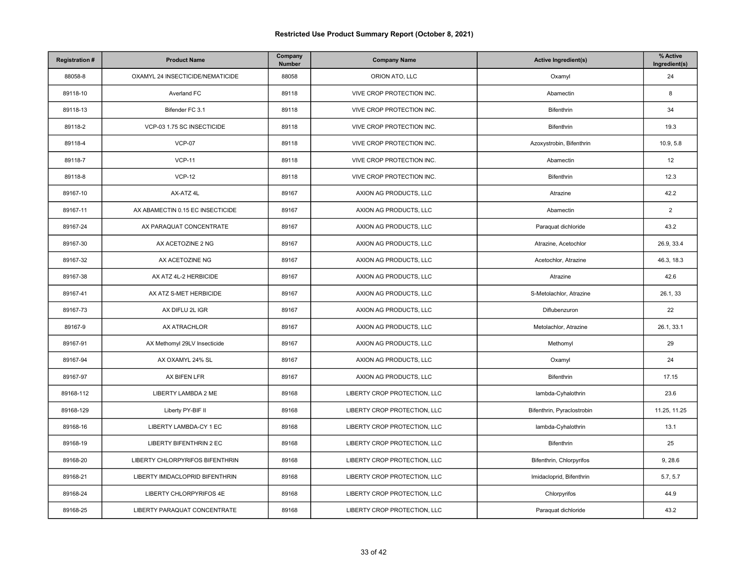| <b>Registration#</b> | <b>Product Name</b>              | Company<br>Number | <b>Company Name</b>          | <b>Active Ingredient(s)</b> | % Active<br>Ingredient(s) |
|----------------------|----------------------------------|-------------------|------------------------------|-----------------------------|---------------------------|
| 88058-8              | OXAMYL 24 INSECTICIDE/NEMATICIDE | 88058             | ORION ATO, LLC               | Oxamyl                      | 24                        |
| 89118-10             | Averland FC                      | 89118             | VIVE CROP PROTECTION INC.    | Abamectin                   | 8                         |
| 89118-13             | Bifender FC 3.1                  | 89118             | VIVE CROP PROTECTION INC.    | Bifenthrin                  | 34                        |
| 89118-2              | VCP-03 1.75 SC INSECTICIDE       | 89118             | VIVE CROP PROTECTION INC.    | <b>Bifenthrin</b>           | 19.3                      |
| 89118-4              | <b>VCP-07</b>                    | 89118             | VIVE CROP PROTECTION INC.    | Azoxystrobin, Bifenthrin    | 10.9, 5.8                 |
| 89118-7              | <b>VCP-11</b>                    | 89118             | VIVE CROP PROTECTION INC.    | Abamectin                   | 12                        |
| 89118-8              | <b>VCP-12</b>                    | 89118             | VIVE CROP PROTECTION INC.    | <b>Bifenthrin</b>           | 12.3                      |
| 89167-10             | AX-ATZ 4L                        | 89167             | AXION AG PRODUCTS, LLC       | Atrazine                    | 42.2                      |
| 89167-11             | AX ABAMECTIN 0.15 EC INSECTICIDE | 89167             | AXION AG PRODUCTS, LLC       | Abamectin                   | $\overline{2}$            |
| 89167-24             | AX PARAQUAT CONCENTRATE          | 89167             | AXION AG PRODUCTS, LLC       | Paraquat dichloride         | 43.2                      |
| 89167-30             | AX ACETOZINE 2 NG                | 89167             | AXION AG PRODUCTS, LLC       | Atrazine, Acetochlor        | 26.9, 33.4                |
| 89167-32             | AX ACETOZINE NG                  | 89167             | AXION AG PRODUCTS, LLC       | Acetochlor, Atrazine        | 46.3, 18.3                |
| 89167-38             | AX ATZ 4L-2 HERBICIDE            | 89167             | AXION AG PRODUCTS, LLC       | Atrazine                    | 42.6                      |
| 89167-41             | AX ATZ S-MET HERBICIDE           | 89167             | AXION AG PRODUCTS, LLC       | S-Metolachlor, Atrazine     | 26.1, 33                  |
| 89167-73             | AX DIFLU 2L IGR                  | 89167             | AXION AG PRODUCTS, LLC       | Diflubenzuron               | 22                        |
| 89167-9              | AX ATRACHLOR                     | 89167             | AXION AG PRODUCTS, LLC       | Metolachlor, Atrazine       | 26.1, 33.1                |
| 89167-91             | AX Methomyl 29LV Insecticide     | 89167             | AXION AG PRODUCTS, LLC       | Methomyl                    | 29                        |
| 89167-94             | AX OXAMYL 24% SL                 | 89167             | AXION AG PRODUCTS, LLC       | Oxamyl                      | 24                        |
| 89167-97             | AX BIFEN LFR                     | 89167             | AXION AG PRODUCTS, LLC       | Bifenthrin                  | 17.15                     |
| 89168-112            | LIBERTY LAMBDA 2 ME              | 89168             | LIBERTY CROP PROTECTION, LLC | lambda-Cyhalothrin          | 23.6                      |
| 89168-129            | Liberty PY-BIF II                | 89168             | LIBERTY CROP PROTECTION, LLC | Bifenthrin, Pyraclostrobin  | 11.25, 11.25              |
| 89168-16             | LIBERTY LAMBDA-CY 1 EC           | 89168             | LIBERTY CROP PROTECTION, LLC | lambda-Cyhalothrin          | 13.1                      |
| 89168-19             | <b>LIBERTY BIFENTHRIN 2 EC</b>   | 89168             | LIBERTY CROP PROTECTION, LLC | Bifenthrin                  | 25                        |
| 89168-20             | LIBERTY CHLORPYRIFOS BIFENTHRIN  | 89168             | LIBERTY CROP PROTECTION, LLC | Bifenthrin, Chlorpyrifos    | 9, 28.6                   |
| 89168-21             | LIBERTY IMIDACLOPRID BIFENTHRIN  | 89168             | LIBERTY CROP PROTECTION, LLC | Imidacloprid, Bifenthrin    | 5.7, 5.7                  |
| 89168-24             | LIBERTY CHLORPYRIFOS 4E          | 89168             | LIBERTY CROP PROTECTION, LLC | Chlorpyrifos                | 44.9                      |
| 89168-25             | LIBERTY PARAQUAT CONCENTRATE     | 89168             | LIBERTY CROP PROTECTION, LLC | Paraquat dichloride         | 43.2                      |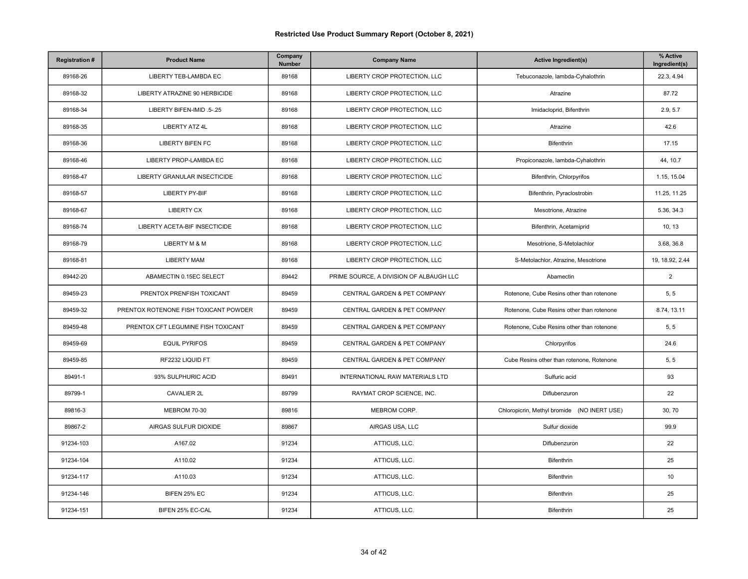| <b>Registration#</b> | <b>Product Name</b>                   | Company<br>Number | <b>Company Name</b>                     | <b>Active Ingredient(s)</b>                 | % Active<br>Ingredient(s) |
|----------------------|---------------------------------------|-------------------|-----------------------------------------|---------------------------------------------|---------------------------|
| 89168-26             | LIBERTY TEB-LAMBDA EC                 | 89168             | LIBERTY CROP PROTECTION, LLC            | Tebuconazole, lambda-Cyhalothrin            | 22.3, 4.94                |
| 89168-32             | LIBERTY ATRAZINE 90 HERBICIDE         | 89168             | LIBERTY CROP PROTECTION, LLC            | Atrazine                                    | 87.72                     |
| 89168-34             | LIBERTY BIFEN-IMID .5-.25             | 89168             | LIBERTY CROP PROTECTION, LLC            | Imidacloprid, Bifenthrin                    | 2.9, 5.7                  |
| 89168-35             | <b>LIBERTY ATZ 4L</b>                 | 89168             | LIBERTY CROP PROTECTION, LLC            | Atrazine                                    | 42.6                      |
| 89168-36             | <b>LIBERTY BIFEN FC</b>               | 89168             | LIBERTY CROP PROTECTION, LLC            | Bifenthrin                                  | 17.15                     |
| 89168-46             | LIBERTY PROP-LAMBDA EC                | 89168             | LIBERTY CROP PROTECTION, LLC            | Propiconazole, lambda-Cyhalothrin           | 44, 10.7                  |
| 89168-47             | <b>LIBERTY GRANULAR INSECTICIDE</b>   | 89168             | LIBERTY CROP PROTECTION, LLC            | Bifenthrin, Chlorpyrifos                    | 1.15, 15.04               |
| 89168-57             | <b>LIBERTY PY-BIF</b>                 | 89168             | LIBERTY CROP PROTECTION, LLC            | Bifenthrin, Pyraclostrobin                  | 11.25, 11.25              |
| 89168-67             | <b>LIBERTY CX</b>                     | 89168             | LIBERTY CROP PROTECTION, LLC            | Mesotrione, Atrazine                        | 5.36, 34.3                |
| 89168-74             | LIBERTY ACETA-BIF INSECTICIDE         | 89168             | LIBERTY CROP PROTECTION, LLC            | Bifenthrin, Acetamiprid                     | 10, 13                    |
| 89168-79             | LIBERTY M & M                         | 89168             | LIBERTY CROP PROTECTION, LLC            | Mesotrione, S-Metolachlor                   | 3.68, 36.8                |
| 89168-81             | <b>LIBERTY MAM</b>                    | 89168             | LIBERTY CROP PROTECTION, LLC            | S-Metolachlor, Atrazine, Mesotrione         | 19, 18.92, 2.44           |
| 89442-20             | ABAMECTIN 0.15EC SELECT               | 89442             | PRIME SOURCE, A DIVISION OF ALBAUGH LLC | Abamectin                                   | 2                         |
| 89459-23             | PRENTOX PRENFISH TOXICANT             | 89459             | CENTRAL GARDEN & PET COMPANY            | Rotenone, Cube Resins other than rotenone   | 5, 5                      |
| 89459-32             | PRENTOX ROTENONE FISH TOXICANT POWDER | 89459             | CENTRAL GARDEN & PET COMPANY            | Rotenone, Cube Resins other than rotenone   | 8.74, 13.11               |
| 89459-48             | PRENTOX CFT LEGUMINE FISH TOXICANT    | 89459             | CENTRAL GARDEN & PET COMPANY            | Rotenone, Cube Resins other than rotenone   | 5, 5                      |
| 89459-69             | <b>EQUIL PYRIFOS</b>                  | 89459             | CENTRAL GARDEN & PET COMPANY            | Chlorpyrifos                                | 24.6                      |
| 89459-85             | RF2232 LIQUID FT                      | 89459             | CENTRAL GARDEN & PET COMPANY            | Cube Resins other than rotenone, Rotenone   | 5, 5                      |
| 89491-1              | 93% SULPHURIC ACID                    | 89491             | INTERNATIONAL RAW MATERIALS LTD         | Sulfuric acid                               | 93                        |
| 89799-1              | CAVALIER 2L                           | 89799             | RAYMAT CROP SCIENCE, INC.               | Diflubenzuron                               | 22                        |
| 89816-3              | <b>MEBROM 70-30</b>                   | 89816             | MEBROM CORP.                            | Chloropicrin, Methyl bromide (NO INERT USE) | 30, 70                    |
| 89867-2              | AIRGAS SULFUR DIOXIDE                 | 89867             | AIRGAS USA, LLC                         | Sulfur dioxide                              | 99.9                      |
| 91234-103            | A167.02                               | 91234             | ATTICUS, LLC.                           | Diflubenzuron                               | 22                        |
| 91234-104            | A110.02                               | 91234             | ATTICUS, LLC.                           | Bifenthrin                                  | 25                        |
| 91234-117            | A110.03                               | 91234             | ATTICUS, LLC.                           | Bifenthrin                                  | 10                        |
| 91234-146            | BIFEN 25% EC                          | 91234             | ATTICUS, LLC.                           | Bifenthrin                                  | 25                        |
| 91234-151            | BIFEN 25% EC-CAL                      | 91234             | ATTICUS, LLC.                           | Bifenthrin                                  | 25                        |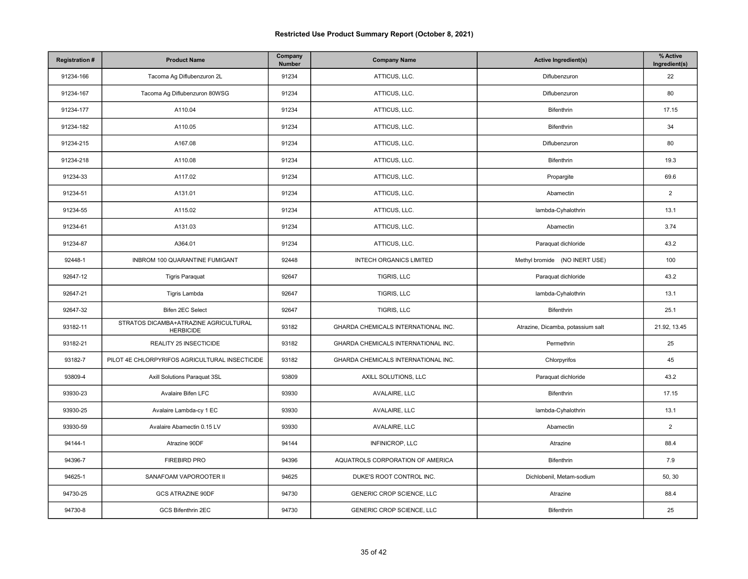| <b>Registration#</b> | <b>Product Name</b>                                       | Company<br>Number | <b>Company Name</b>                 | <b>Active Ingredient(s)</b>       | % Active<br>Ingredient(s) |
|----------------------|-----------------------------------------------------------|-------------------|-------------------------------------|-----------------------------------|---------------------------|
| 91234-166            | Tacoma Ag Diflubenzuron 2L                                | 91234             | ATTICUS, LLC.                       | Diflubenzuron                     | 22                        |
| 91234-167            | Tacoma Ag Diflubenzuron 80WSG                             | 91234             | ATTICUS, LLC.                       | Diflubenzuron                     | 80                        |
| 91234-177            | A110.04                                                   | 91234             | ATTICUS, LLC.                       | Bifenthrin                        | 17.15                     |
| 91234-182            | A110.05                                                   | 91234             | ATTICUS, LLC.                       | <b>Bifenthrin</b>                 | 34                        |
| 91234-215            | A167.08                                                   | 91234             | ATTICUS, LLC.                       | Diflubenzuron                     | 80                        |
| 91234-218            | A110.08                                                   | 91234             | ATTICUS, LLC.                       | Bifenthrin                        | 19.3                      |
| 91234-33             | A117.02                                                   | 91234             | ATTICUS, LLC.                       | Propargite                        | 69.6                      |
| 91234-51             | A131.01                                                   | 91234             | ATTICUS, LLC.                       | Abamectin                         | $\overline{2}$            |
| 91234-55             | A115.02                                                   | 91234             | ATTICUS, LLC.                       | lambda-Cyhalothrin                | 13.1                      |
| 91234-61             | A131.03                                                   | 91234             | ATTICUS, LLC.                       | Abamectin                         | 3.74                      |
| 91234-87             | A364.01                                                   | 91234             | ATTICUS, LLC.                       | Paraquat dichloride               | 43.2                      |
| 92448-1              | INBROM 100 QUARANTINE FUMIGANT                            | 92448             | <b>INTECH ORGANICS LIMITED</b>      | Methyl bromide (NO INERT USE)     | 100                       |
| 92647-12             | <b>Tigris Paraquat</b>                                    | 92647             | TIGRIS, LLC                         | Paraquat dichloride               | 43.2                      |
| 92647-21             | Tigris Lambda                                             | 92647             | TIGRIS, LLC                         | lambda-Cyhalothrin                | 13.1                      |
| 92647-32             | Bifen 2EC Select                                          | 92647             | TIGRIS, LLC                         | Bifenthrin                        | 25.1                      |
| 93182-11             | STRATOS DICAMBA+ATRAZINE AGRICULTURAL<br><b>HERBICIDE</b> | 93182             | GHARDA CHEMICALS INTERNATIONAL INC. | Atrazine, Dicamba, potassium salt | 21.92, 13.45              |
| 93182-21             | REALITY 25 INSECTICIDE                                    | 93182             | GHARDA CHEMICALS INTERNATIONAL INC. | Permethrin                        | 25                        |
| 93182-7              | PILOT 4E CHLORPYRIFOS AGRICULTURAL INSECTICIDE            | 93182             | GHARDA CHEMICALS INTERNATIONAL INC. | Chlorpyrifos                      | 45                        |
| 93809-4              | Axill Solutions Paraquat 3SL                              | 93809             | AXILL SOLUTIONS, LLC                | Paraquat dichloride               | 43.2                      |
| 93930-23             | Avalaire Bifen LFC                                        | 93930             | AVALAIRE, LLC                       | Bifenthrin                        | 17.15                     |
| 93930-25             | Avalaire Lambda-cy 1 EC                                   | 93930             | AVALAIRE, LLC                       | lambda-Cyhalothrin                | 13.1                      |
| 93930-59             | Avalaire Abamectin 0.15 LV                                | 93930             | AVALAIRE, LLC                       | Abamectin                         | $\overline{2}$            |
| 94144-1              | Atrazine 90DF                                             | 94144             | INFINICROP, LLC                     | Atrazine                          | 88.4                      |
| 94396-7              | <b>FIREBIRD PRO</b>                                       | 94396             | AQUATROLS CORPORATION OF AMERICA    | Bifenthrin                        | 7.9                       |
| 94625-1              | SANAFOAM VAPOROOTER II                                    | 94625             | DUKE'S ROOT CONTROL INC.            | Dichlobenil, Metam-sodium         | 50, 30                    |
| 94730-25             | <b>GCS ATRAZINE 90DF</b>                                  | 94730             | GENERIC CROP SCIENCE, LLC           | Atrazine                          | 88.4                      |
| 94730-8              | GCS Bifenthrin 2EC                                        | 94730             | GENERIC CROP SCIENCE, LLC           | Bifenthrin                        | 25                        |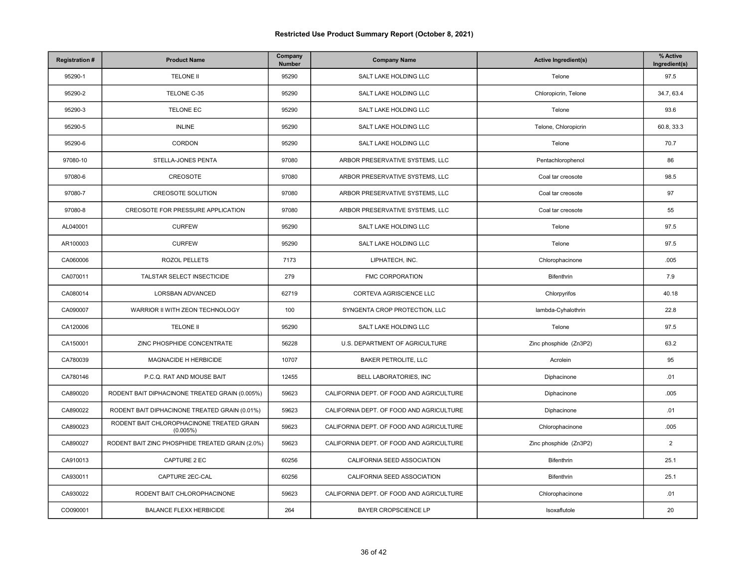| <b>Registration#</b> | <b>Product Name</b>                                   | Company<br>Number | <b>Company Name</b>                      | <b>Active Ingredient(s)</b> | % Active<br>Ingredient(s) |
|----------------------|-------------------------------------------------------|-------------------|------------------------------------------|-----------------------------|---------------------------|
| 95290-1              | <b>TELONE II</b>                                      | 95290             | SALT LAKE HOLDING LLC                    | Telone                      | 97.5                      |
| 95290-2              | TELONE C-35                                           | 95290             | SALT LAKE HOLDING LLC                    | Chloropicrin, Telone        | 34.7, 63.4                |
| 95290-3              | <b>TELONE EC</b>                                      | 95290             | SALT LAKE HOLDING LLC                    | Telone                      | 93.6                      |
| 95290-5              | <b>INLINE</b>                                         | 95290             | SALT LAKE HOLDING LLC                    | Telone, Chloropicrin        | 60.8, 33.3                |
| 95290-6              | CORDON                                                | 95290             | SALT LAKE HOLDING LLC                    | Telone                      | 70.7                      |
| 97080-10             | STELLA-JONES PENTA                                    | 97080             | ARBOR PRESERVATIVE SYSTEMS, LLC          | Pentachlorophenol           | 86                        |
| 97080-6              | CREOSOTE                                              | 97080             | ARBOR PRESERVATIVE SYSTEMS, LLC          | Coal tar creosote           | 98.5                      |
| 97080-7              | <b>CREOSOTE SOLUTION</b>                              | 97080             | ARBOR PRESERVATIVE SYSTEMS, LLC          | Coal tar creosote           | 97                        |
| 97080-8              | CREOSOTE FOR PRESSURE APPLICATION                     | 97080             | ARBOR PRESERVATIVE SYSTEMS, LLC          | Coal tar creosote           | 55                        |
| AL040001             | <b>CURFEW</b>                                         | 95290             | SALT LAKE HOLDING LLC                    | Telone                      | 97.5                      |
| AR100003             | <b>CURFEW</b>                                         | 95290             | SALT LAKE HOLDING LLC                    | Telone                      | 97.5                      |
| CA060006             | ROZOL PELLETS                                         | 7173              | LIPHATECH, INC.                          | Chlorophacinone             | .005                      |
| CA070011             | TALSTAR SELECT INSECTICIDE                            | 279               | <b>FMC CORPORATION</b>                   | Bifenthrin                  | 7.9                       |
| CA080014             | <b>LORSBAN ADVANCED</b>                               | 62719             | CORTEVA AGRISCIENCE LLC                  | Chlorpyrifos                | 40.18                     |
| CA090007             | WARRIOR II WITH ZEON TECHNOLOGY                       | 100               | SYNGENTA CROP PROTECTION, LLC            | lambda-Cyhalothrin          | 22.8                      |
| CA120006             | <b>TELONE II</b>                                      | 95290             | SALT LAKE HOLDING LLC                    | Telone                      | 97.5                      |
| CA150001             | ZINC PHOSPHIDE CONCENTRATE                            | 56228             | U.S. DEPARTMENT OF AGRICULTURE           | Zinc phosphide (Zn3P2)      | 63.2                      |
| CA780039             | MAGNACIDE H HERBICIDE                                 | 10707             | <b>BAKER PETROLITE, LLC</b>              | Acrolein                    | 95                        |
| CA780146             | P.C.Q. RAT AND MOUSE BAIT                             | 12455             | BELL LABORATORIES, INC                   | Diphacinone                 | .01                       |
| CA890020             | RODENT BAIT DIPHACINONE TREATED GRAIN (0.005%)        | 59623             | CALIFORNIA DEPT. OF FOOD AND AGRICULTURE | Diphacinone                 | .005                      |
| CA890022             | RODENT BAIT DIPHACINONE TREATED GRAIN (0.01%)         | 59623             | CALIFORNIA DEPT. OF FOOD AND AGRICULTURE | Diphacinone                 | .01                       |
| CA890023             | RODENT BAIT CHLOROPHACINONE TREATED GRAIN<br>(0.005%) | 59623             | CALIFORNIA DEPT. OF FOOD AND AGRICULTURE | Chlorophacinone             | .005                      |
| CA890027             | RODENT BAIT ZINC PHOSPHIDE TREATED GRAIN (2.0%)       | 59623             | CALIFORNIA DEPT. OF FOOD AND AGRICULTURE | Zinc phosphide (Zn3P2)      | $\overline{2}$            |
| CA910013             | CAPTURE 2 EC                                          | 60256             | CALIFORNIA SEED ASSOCIATION              | Bifenthrin                  | 25.1                      |
| CA930011             | CAPTURE 2EC-CAL                                       | 60256             | CALIFORNIA SEED ASSOCIATION              | Bifenthrin                  | 25.1                      |
| CA930022             | RODENT BAIT CHLOROPHACINONE                           | 59623             | CALIFORNIA DEPT. OF FOOD AND AGRICULTURE | Chlorophacinone             | .01                       |
| CO090001             | <b>BALANCE FLEXX HERBICIDE</b>                        | 264               | BAYER CROPSCIENCE LP                     | Isoxaflutole                | 20                        |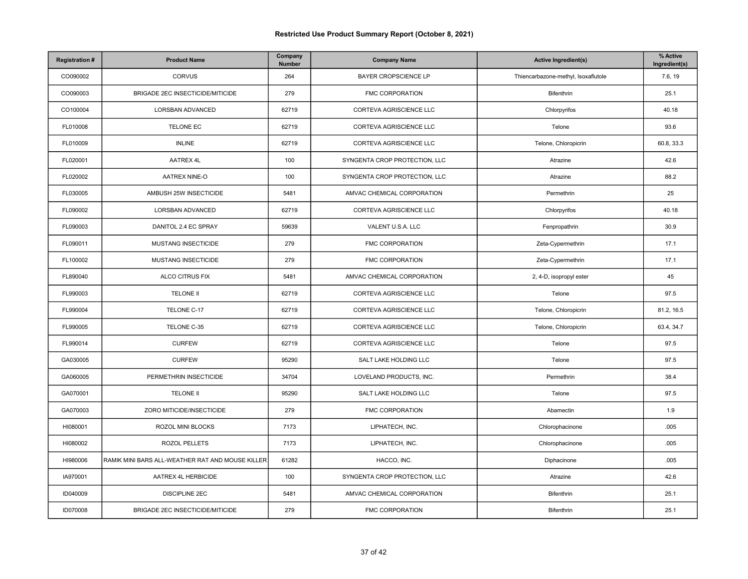| <b>Registration#</b> | <b>Product Name</b>                              | Company<br>Number | <b>Company Name</b>           | <b>Active Ingredient(s)</b>         | % Active<br>Ingredient(s) |
|----------------------|--------------------------------------------------|-------------------|-------------------------------|-------------------------------------|---------------------------|
| CO090002             | <b>CORVUS</b>                                    | 264               | <b>BAYER CROPSCIENCE LP</b>   | Thiencarbazone-methyl, Isoxaflutole | 7.6, 19                   |
| CO090003             | BRIGADE 2EC INSECTICIDE/MITICIDE                 | 279               | FMC CORPORATION               | <b>Bifenthrin</b>                   | 25.1                      |
| CO100004             | LORSBAN ADVANCED                                 | 62719             | CORTEVA AGRISCIENCE LLC       | Chlorpyrifos                        | 40.18                     |
| FL010008             | TELONE EC                                        | 62719             | CORTEVA AGRISCIENCE LLC       | Telone                              | 93.6                      |
| FL010009             | <b>INLINE</b>                                    | 62719             | CORTEVA AGRISCIENCE LLC       | Telone, Chloropicrin                | 60.8, 33.3                |
| FL020001             | AATREX 4L                                        | 100               | SYNGENTA CROP PROTECTION, LLC | Atrazine                            | 42.6                      |
| FL020002             | AATREX NINE-O                                    | 100               | SYNGENTA CROP PROTECTION, LLC | Atrazine                            | 88.2                      |
| FL030005             | AMBUSH 25W INSECTICIDE                           | 5481              | AMVAC CHEMICAL CORPORATION    | Permethrin                          | 25                        |
| FL090002             | LORSBAN ADVANCED                                 | 62719             | CORTEVA AGRISCIENCE LLC       | Chlorpyrifos                        | 40.18                     |
| FL090003             | DANITOL 2.4 EC SPRAY                             | 59639             | VALENT U.S.A. LLC             | Fenpropathrin                       | 30.9                      |
| FL090011             | MUSTANG INSECTICIDE                              | 279               | FMC CORPORATION               | Zeta-Cypermethrin                   | 17.1                      |
| FL100002             | MUSTANG INSECTICIDE                              | 279               | FMC CORPORATION               | Zeta-Cypermethrin                   | 17.1                      |
| FL890040             | ALCO CITRUS FIX                                  | 5481              | AMVAC CHEMICAL CORPORATION    | 2, 4-D, isopropyl ester             | 45                        |
| FL990003             | <b>TELONE II</b>                                 | 62719             | CORTEVA AGRISCIENCE LLC       | Telone                              | 97.5                      |
| FL990004             | TELONE C-17                                      | 62719             | CORTEVA AGRISCIENCE LLC       | Telone, Chloropicrin                | 81.2, 16.5                |
| FL990005             | TELONE C-35                                      | 62719             | CORTEVA AGRISCIENCE LLC       | Telone, Chloropicrin                | 63.4, 34.7                |
| FL990014             | <b>CURFEW</b>                                    | 62719             | CORTEVA AGRISCIENCE LLC       | Telone                              | 97.5                      |
| GA030005             | <b>CURFEW</b>                                    | 95290             | SALT LAKE HOLDING LLC         | Telone                              | 97.5                      |
| GA060005             | PERMETHRIN INSECTICIDE                           | 34704             | LOVELAND PRODUCTS, INC.       | Permethrin                          | 38.4                      |
| GA070001             | <b>TELONE II</b>                                 | 95290             | SALT LAKE HOLDING LLC         | Telone                              | 97.5                      |
| GA070003             | ZORO MITICIDE/INSECTICIDE                        | 279               | <b>FMC CORPORATION</b>        | Abamectin                           | 1.9                       |
| HI080001             | ROZOL MINI BLOCKS                                | 7173              | LIPHATECH, INC.               | Chlorophacinone                     | .005                      |
| HI080002             | ROZOL PELLETS                                    | 7173              | LIPHATECH, INC.               | Chlorophacinone                     | .005                      |
| HI980006             | RAMIK MINI BARS ALL-WEATHER RAT AND MOUSE KILLER | 61282             | HACCO, INC.                   | Diphacinone                         | .005                      |
| IA970001             | AATREX 4L HERBICIDE                              | 100               | SYNGENTA CROP PROTECTION, LLC | Atrazine                            | 42.6                      |
| ID040009             | <b>DISCIPLINE 2EC</b>                            | 5481              | AMVAC CHEMICAL CORPORATION    | Bifenthrin                          | 25.1                      |
| ID070008             | BRIGADE 2EC INSECTICIDE/MITICIDE                 | 279               | FMC CORPORATION               | Bifenthrin                          | 25.1                      |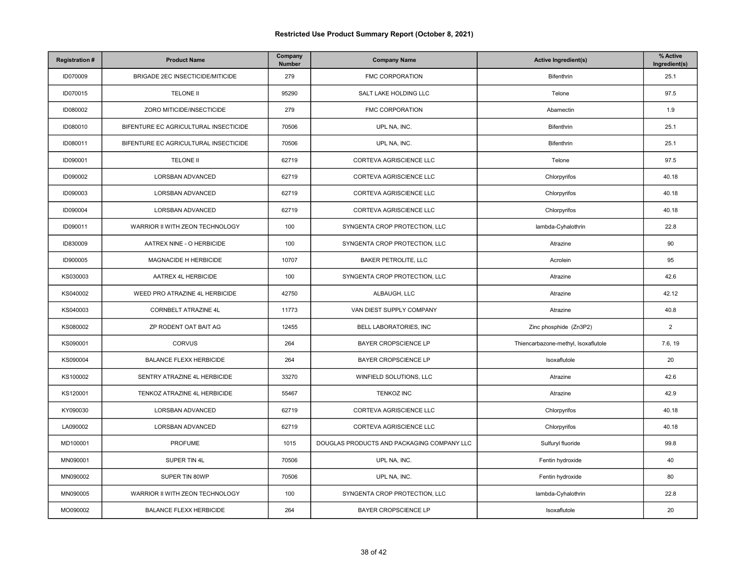| <b>Registration#</b> | <b>Product Name</b>                   | Company<br>Number | <b>Company Name</b>                        | <b>Active Ingredient(s)</b>         | % Active<br>Ingredient(s) |
|----------------------|---------------------------------------|-------------------|--------------------------------------------|-------------------------------------|---------------------------|
| ID070009             | BRIGADE 2EC INSECTICIDE/MITICIDE      | 279               | FMC CORPORATION                            | Bifenthrin                          | 25.1                      |
| ID070015             | <b>TELONE II</b>                      | 95290             | SALT LAKE HOLDING LLC                      | Telone                              | 97.5                      |
| ID080002             | ZORO MITICIDE/INSECTICIDE             | 279               | FMC CORPORATION                            | Abamectin                           | 1.9                       |
| ID080010             | BIFENTURE EC AGRICULTURAL INSECTICIDE | 70506             | UPL NA, INC.                               | Bifenthrin                          | 25.1                      |
| ID080011             | BIFENTURE EC AGRICULTURAL INSECTICIDE | 70506             | UPL NA, INC.                               | Bifenthrin                          | 25.1                      |
| ID090001             | <b>TELONE II</b>                      | 62719             | CORTEVA AGRISCIENCE LLC                    | Telone                              | 97.5                      |
| ID090002             | LORSBAN ADVANCED                      | 62719             | CORTEVA AGRISCIENCE LLC                    | Chlorpyrifos                        | 40.18                     |
| ID090003             | LORSBAN ADVANCED                      | 62719             | CORTEVA AGRISCIENCE LLC                    | Chlorpyrifos                        | 40.18                     |
| ID090004             | LORSBAN ADVANCED                      | 62719             | CORTEVA AGRISCIENCE LLC                    | Chlorpyrifos                        | 40.18                     |
| ID090011             | WARRIOR II WITH ZEON TECHNOLOGY       | 100               | SYNGENTA CROP PROTECTION, LLC              | lambda-Cyhalothrin                  | 22.8                      |
| ID830009             | AATREX NINE - O HERBICIDE             | 100               | SYNGENTA CROP PROTECTION, LLC              | Atrazine                            | 90                        |
| ID900005             | MAGNACIDE H HERBICIDE                 | 10707             | <b>BAKER PETROLITE, LLC</b>                | Acrolein                            | 95                        |
| KS030003             | AATREX 4L HERBICIDE                   | 100               | SYNGENTA CROP PROTECTION, LLC              | Atrazine                            | 42.6                      |
| KS040002             | WEED PRO ATRAZINE 4L HERBICIDE        | 42750             | ALBAUGH, LLC                               | Atrazine                            | 42.12                     |
| KS040003             | <b>CORNBELT ATRAZINE 4L</b>           | 11773             | VAN DIEST SUPPLY COMPANY                   | Atrazine                            | 40.8                      |
| KS080002             | ZP RODENT OAT BAIT AG                 | 12455             | BELL LABORATORIES, INC                     | Zinc phosphide (Zn3P2)              | $\overline{2}$            |
| KS090001             | <b>CORVUS</b>                         | 264               | BAYER CROPSCIENCE LP                       | Thiencarbazone-methyl, Isoxaflutole | 7.6, 19                   |
| KS090004             | <b>BALANCE FLEXX HERBICIDE</b>        | 264               | <b>BAYER CROPSCIENCE LP</b>                | Isoxaflutole                        | 20                        |
| KS100002             | SENTRY ATRAZINE 4L HERBICIDE          | 33270             | WINFIELD SOLUTIONS, LLC                    | Atrazine                            | 42.6                      |
| KS120001             | TENKOZ ATRAZINE 4L HERBICIDE          | 55467             | <b>TENKOZ INC</b>                          | Atrazine                            | 42.9                      |
| KY090030             | LORSBAN ADVANCED                      | 62719             | CORTEVA AGRISCIENCE LLC                    | Chlorpyrifos                        | 40.18                     |
| LA090002             | LORSBAN ADVANCED                      | 62719             | CORTEVA AGRISCIENCE LLC                    | Chlorpyrifos                        | 40.18                     |
| MD100001             | <b>PROFUME</b>                        | 1015              | DOUGLAS PRODUCTS AND PACKAGING COMPANY LLC | Sulfuryl fluoride                   | 99.8                      |
| MN090001             | SUPER TIN 4L                          | 70506             | UPL NA, INC.                               | Fentin hydroxide                    | 40                        |
| MN090002             | SUPER TIN 80WP                        | 70506             | UPL NA, INC.                               | Fentin hydroxide                    | 80                        |
| MN090005             | WARRIOR II WITH ZEON TECHNOLOGY       | 100               | SYNGENTA CROP PROTECTION, LLC              | lambda-Cyhalothrin                  | 22.8                      |
| MO090002             | <b>BALANCE FLEXX HERBICIDE</b>        | 264               | BAYER CROPSCIENCE LP                       | Isoxaflutole                        | 20                        |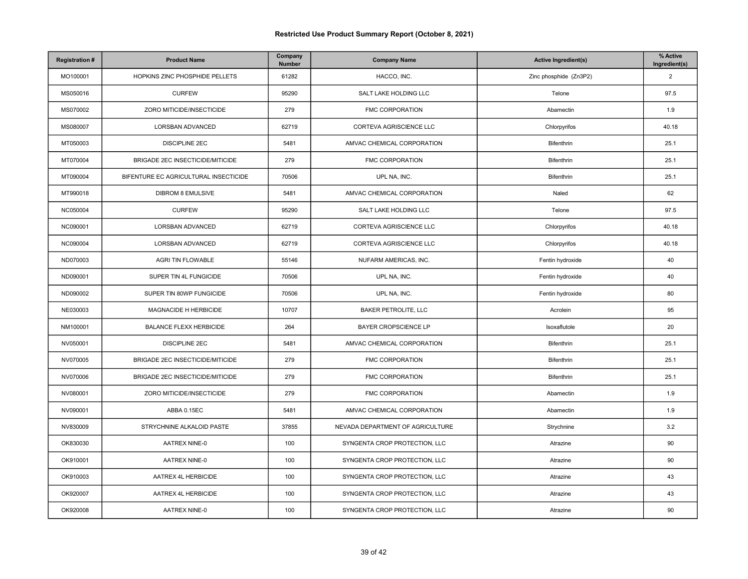| <b>Registration#</b> | <b>Product Name</b>                   | Company<br>Number | <b>Company Name</b>              | <b>Active Ingredient(s)</b> | % Active<br>Ingredient(s) |
|----------------------|---------------------------------------|-------------------|----------------------------------|-----------------------------|---------------------------|
| MO100001             | HOPKINS ZINC PHOSPHIDE PELLETS        | 61282             | HACCO, INC.                      | Zinc phosphide (Zn3P2)      | 2                         |
| MS050016             | <b>CURFEW</b>                         | 95290             | SALT LAKE HOLDING LLC            | Telone                      | 97.5                      |
| MS070002             | ZORO MITICIDE/INSECTICIDE             | 279               | <b>FMC CORPORATION</b>           | Abamectin                   | 1.9                       |
| MS080007             | LORSBAN ADVANCED                      | 62719             | CORTEVA AGRISCIENCE LLC          | Chlorpyrifos                | 40.18                     |
| MT050003             | <b>DISCIPLINE 2EC</b>                 | 5481              | AMVAC CHEMICAL CORPORATION       | Bifenthrin                  | 25.1                      |
| MT070004             | BRIGADE 2EC INSECTICIDE/MITICIDE      | 279               | FMC CORPORATION                  | Bifenthrin                  | 25.1                      |
| MT090004             | BIFENTURE EC AGRICULTURAL INSECTICIDE | 70506             | UPL NA, INC.                     | Bifenthrin                  | 25.1                      |
| MT990018             | DIBROM 8 EMULSIVE                     | 5481              | AMVAC CHEMICAL CORPORATION       | Naled                       | 62                        |
| NC050004             | <b>CURFEW</b>                         | 95290             | SALT LAKE HOLDING LLC            | Telone                      | 97.5                      |
| NC090001             | LORSBAN ADVANCED                      | 62719             | CORTEVA AGRISCIENCE LLC          | Chlorpyrifos                | 40.18                     |
| NC090004             | LORSBAN ADVANCED                      | 62719             | CORTEVA AGRISCIENCE LLC          | Chlorpyrifos                | 40.18                     |
| ND070003             | AGRI TIN FLOWABLE                     | 55146             | NUFARM AMERICAS, INC.            | Fentin hydroxide            | 40                        |
| ND090001             | SUPER TIN 4L FUNGICIDE                | 70506             | UPL NA, INC.                     | Fentin hydroxide            | 40                        |
| ND090002             | SUPER TIN 80WP FUNGICIDE              | 70506             | UPL NA, INC.                     | Fentin hydroxide            | 80                        |
| NE030003             | MAGNACIDE H HERBICIDE                 | 10707             | <b>BAKER PETROLITE, LLC</b>      | Acrolein                    | 95                        |
| NM100001             | <b>BALANCE FLEXX HERBICIDE</b>        | 264               | BAYER CROPSCIENCE LP             | Isoxaflutole                | 20                        |
| NV050001             | <b>DISCIPLINE 2EC</b>                 | 5481              | AMVAC CHEMICAL CORPORATION       | Bifenthrin                  | 25.1                      |
| NV070005             | BRIGADE 2EC INSECTICIDE/MITICIDE      | 279               | <b>FMC CORPORATION</b>           | Bifenthrin                  | 25.1                      |
| NV070006             | BRIGADE 2EC INSECTICIDE/MITICIDE      | 279               | FMC CORPORATION                  | Bifenthrin                  | 25.1                      |
| NV080001             | ZORO MITICIDE/INSECTICIDE             | 279               | <b>FMC CORPORATION</b>           | Abamectin                   | 1.9                       |
| NV090001             | ABBA 0.15EC                           | 5481              | AMVAC CHEMICAL CORPORATION       | Abamectin                   | 1.9                       |
| NV830009             | STRYCHNINE ALKALOID PASTE             | 37855             | NEVADA DEPARTMENT OF AGRICULTURE | Strychnine                  | 3.2                       |
| OK830030             | <b>AATREX NINE-0</b>                  | 100               | SYNGENTA CROP PROTECTION, LLC    | Atrazine                    | 90                        |
| OK910001             | AATREX NINE-0                         | 100               | SYNGENTA CROP PROTECTION, LLC    | Atrazine                    | 90                        |
| OK910003             | AATREX 4L HERBICIDE                   | 100               | SYNGENTA CROP PROTECTION, LLC    | Atrazine                    | 43                        |
| OK920007             | AATREX 4L HERBICIDE                   | 100               | SYNGENTA CROP PROTECTION, LLC    | Atrazine                    | 43                        |
| OK920008             | AATREX NINE-0                         | 100               | SYNGENTA CROP PROTECTION, LLC    | Atrazine                    | 90                        |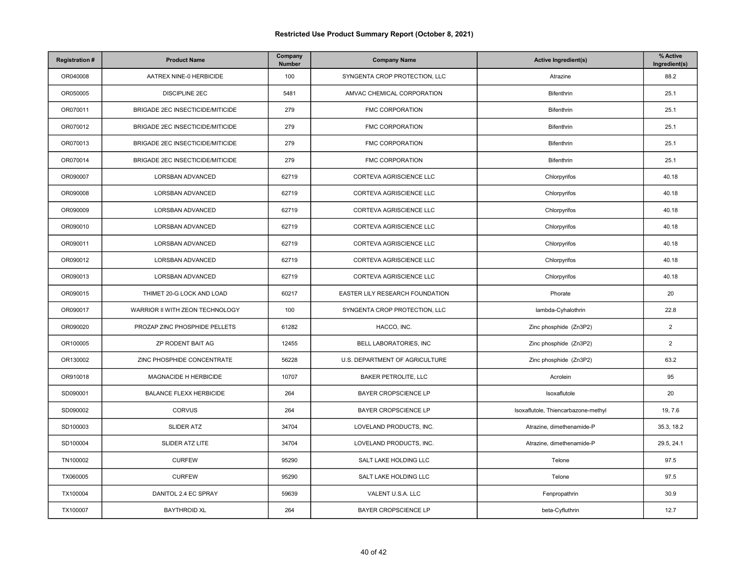| <b>Registration#</b> | <b>Product Name</b>                     | Company<br>Number | <b>Company Name</b>             | <b>Active Ingredient(s)</b>         | % Active<br>Ingredient(s) |
|----------------------|-----------------------------------------|-------------------|---------------------------------|-------------------------------------|---------------------------|
| OR040008             | AATREX NINE-0 HERBICIDE                 | 100               | SYNGENTA CROP PROTECTION, LLC   | Atrazine                            | 88.2                      |
| OR050005             | <b>DISCIPLINE 2EC</b>                   | 5481              | AMVAC CHEMICAL CORPORATION      | Bifenthrin                          | 25.1                      |
| OR070011             | BRIGADE 2EC INSECTICIDE/MITICIDE        | 279               | FMC CORPORATION                 | Bifenthrin                          | 25.1                      |
| OR070012             | <b>BRIGADE 2EC INSECTICIDE/MITICIDE</b> | 279               | <b>FMC CORPORATION</b>          | Bifenthrin                          | 25.1                      |
| OR070013             | BRIGADE 2EC INSECTICIDE/MITICIDE        | 279               | FMC CORPORATION                 | Bifenthrin                          | 25.1                      |
| OR070014             | <b>BRIGADE 2EC INSECTICIDE/MITICIDE</b> | 279               | <b>FMC CORPORATION</b>          | Bifenthrin                          | 25.1                      |
| OR090007             | LORSBAN ADVANCED                        | 62719             | CORTEVA AGRISCIENCE LLC         | Chlorpyrifos                        | 40.18                     |
| OR090008             | LORSBAN ADVANCED                        | 62719             | CORTEVA AGRISCIENCE LLC         | Chlorpyrifos                        | 40.18                     |
| OR090009             | LORSBAN ADVANCED                        | 62719             | CORTEVA AGRISCIENCE LLC         | Chlorpyrifos                        | 40.18                     |
| OR090010             | LORSBAN ADVANCED                        | 62719             | CORTEVA AGRISCIENCE LLC         | Chlorpyrifos                        | 40.18                     |
| OR090011             | LORSBAN ADVANCED                        | 62719             | CORTEVA AGRISCIENCE LLC         | Chlorpyrifos                        | 40.18                     |
| OR090012             | LORSBAN ADVANCED                        | 62719             | CORTEVA AGRISCIENCE LLC         | Chlorpyrifos                        | 40.18                     |
| OR090013             | LORSBAN ADVANCED                        | 62719             | CORTEVA AGRISCIENCE LLC         | Chlorpyrifos                        | 40.18                     |
| OR090015             | THIMET 20-G LOCK AND LOAD               | 60217             | EASTER LILY RESEARCH FOUNDATION | Phorate                             | 20                        |
| OR090017             | WARRIOR II WITH ZEON TECHNOLOGY         | 100               | SYNGENTA CROP PROTECTION, LLC   | lambda-Cyhalothrin                  | 22.8                      |
| OR090020             | PROZAP ZINC PHOSPHIDE PELLETS           | 61282             | HACCO, INC.                     | Zinc phosphide (Zn3P2)              | $\overline{2}$            |
| OR100005             | ZP RODENT BAIT AG                       | 12455             | BELL LABORATORIES, INC          | Zinc phosphide (Zn3P2)              | $\overline{2}$            |
| OR130002             | ZINC PHOSPHIDE CONCENTRATE              | 56228             | U.S. DEPARTMENT OF AGRICULTURE  | Zinc phosphide (Zn3P2)              | 63.2                      |
| OR910018             | MAGNACIDE H HERBICIDE                   | 10707             | <b>BAKER PETROLITE, LLC</b>     | Acrolein                            | 95                        |
| SD090001             | <b>BALANCE FLEXX HERBICIDE</b>          | 264               | <b>BAYER CROPSCIENCE LP</b>     | Isoxaflutole                        | 20                        |
| SD090002             | CORVUS                                  | 264               | BAYER CROPSCIENCE LP            | Isoxaflutole, Thiencarbazone-methyl | 19, 7.6                   |
| SD100003             | SLIDER ATZ                              | 34704             | LOVELAND PRODUCTS, INC.         | Atrazine, dimethenamide-P           | 35.3, 18.2                |
| SD100004             | SLIDER ATZ LITE                         | 34704             | LOVELAND PRODUCTS, INC.         | Atrazine, dimethenamide-P           | 29.5, 24.1                |
| TN100002             | <b>CURFEW</b>                           | 95290             | SALT LAKE HOLDING LLC           | Telone                              | 97.5                      |
| TX060005             | <b>CURFEW</b>                           | 95290             | SALT LAKE HOLDING LLC           | Telone                              | 97.5                      |
| TX100004             | DANITOL 2.4 EC SPRAY                    | 59639             | VALENT U.S.A. LLC               | Fenpropathrin                       | 30.9                      |
| TX100007             | <b>BAYTHROID XL</b>                     | 264               | BAYER CROPSCIENCE LP            | beta-Cyfluthrin                     | 12.7                      |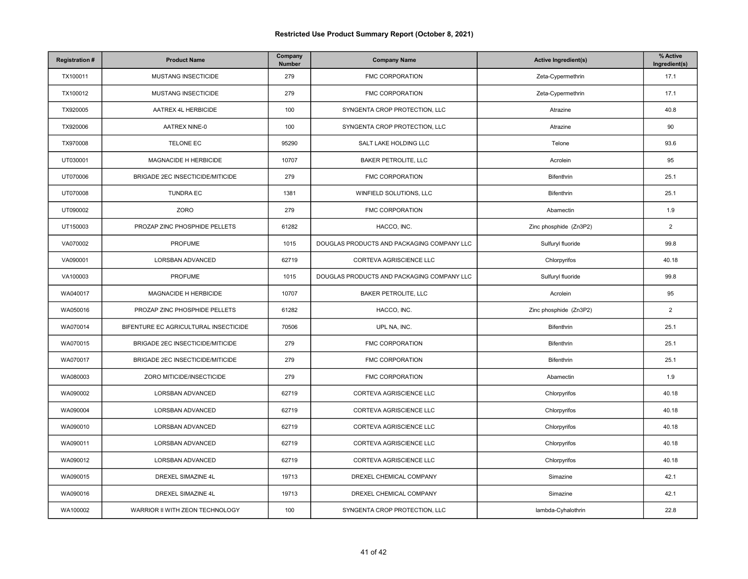| <b>Registration#</b> | <b>Product Name</b>                   | Company<br>Number | <b>Company Name</b>                        | <b>Active Ingredient(s)</b> | % Active<br>Ingredient(s) |
|----------------------|---------------------------------------|-------------------|--------------------------------------------|-----------------------------|---------------------------|
| TX100011             | MUSTANG INSECTICIDE                   | 279               | FMC CORPORATION                            | Zeta-Cypermethrin           | 17.1                      |
| TX100012             | MUSTANG INSECTICIDE                   | 279               | <b>FMC CORPORATION</b>                     | Zeta-Cypermethrin           | 17.1                      |
| TX920005             | AATREX 4L HERBICIDE                   | 100               | SYNGENTA CROP PROTECTION, LLC              | Atrazine                    | 40.8                      |
| TX920006             | AATREX NINE-0                         | 100               | SYNGENTA CROP PROTECTION, LLC              | Atrazine                    | 90                        |
| TX970008             | TELONE EC                             | 95290             | SALT LAKE HOLDING LLC                      | Telone                      | 93.6                      |
| UT030001             | MAGNACIDE H HERBICIDE                 | 10707             | <b>BAKER PETROLITE, LLC</b>                | Acrolein                    | 95                        |
| UT070006             | BRIGADE 2EC INSECTICIDE/MITICIDE      | 279               | <b>FMC CORPORATION</b>                     | Bifenthrin                  | 25.1                      |
| UT070008             | <b>TUNDRA EC</b>                      | 1381              | WINFIELD SOLUTIONS, LLC                    | Bifenthrin                  | 25.1                      |
| UT090002             | ZORO                                  | 279               | <b>FMC CORPORATION</b>                     | Abamectin                   | 1.9                       |
| UT150003             | PROZAP ZINC PHOSPHIDE PELLETS         | 61282             | HACCO, INC.                                | Zinc phosphide (Zn3P2)      | $\overline{2}$            |
| VA070002             | PROFUME                               | 1015              | DOUGLAS PRODUCTS AND PACKAGING COMPANY LLC | Sulfuryl fluoride           | 99.8                      |
| VA090001             | LORSBAN ADVANCED                      | 62719             | CORTEVA AGRISCIENCE LLC                    | Chlorpyrifos                | 40.18                     |
| VA100003             | PROFUME                               | 1015              | DOUGLAS PRODUCTS AND PACKAGING COMPANY LLC | Sulfuryl fluoride           | 99.8                      |
| WA040017             | MAGNACIDE H HERBICIDE                 | 10707             | <b>BAKER PETROLITE, LLC</b>                | Acrolein                    | 95                        |
| WA050016             | PROZAP ZINC PHOSPHIDE PELLETS         | 61282             | HACCO, INC.                                | Zinc phosphide (Zn3P2)      | $\overline{2}$            |
| WA070014             | BIFENTURE EC AGRICULTURAL INSECTICIDE | 70506             | UPL NA, INC.                               | Bifenthrin                  | 25.1                      |
| WA070015             | BRIGADE 2EC INSECTICIDE/MITICIDE      | 279               | FMC CORPORATION                            | Bifenthrin                  | 25.1                      |
| WA070017             | BRIGADE 2EC INSECTICIDE/MITICIDE      | 279               | <b>FMC CORPORATION</b>                     | Bifenthrin                  | 25.1                      |
| WA080003             | ZORO MITICIDE/INSECTICIDE             | 279               | FMC CORPORATION                            | Abamectin                   | 1.9                       |
| WA090002             | LORSBAN ADVANCED                      | 62719             | CORTEVA AGRISCIENCE LLC                    | Chlorpyrifos                | 40.18                     |
| WA090004             | LORSBAN ADVANCED                      | 62719             | CORTEVA AGRISCIENCE LLC                    | Chlorpyrifos                | 40.18                     |
| WA090010             | LORSBAN ADVANCED                      | 62719             | CORTEVA AGRISCIENCE LLC                    | Chlorpyrifos                | 40.18                     |
| WA090011             | LORSBAN ADVANCED                      | 62719             | CORTEVA AGRISCIENCE LLC                    | Chlorpyrifos                | 40.18                     |
| WA090012             | LORSBAN ADVANCED                      | 62719             | CORTEVA AGRISCIENCE LLC                    | Chlorpyrifos                | 40.18                     |
| WA090015             | DREXEL SIMAZINE 4L                    | 19713             | DREXEL CHEMICAL COMPANY                    | Simazine                    | 42.1                      |
| WA090016             | DREXEL SIMAZINE 4L                    | 19713             | DREXEL CHEMICAL COMPANY                    | Simazine                    | 42.1                      |
| WA100002             | WARRIOR II WITH ZEON TECHNOLOGY       | 100               | SYNGENTA CROP PROTECTION, LLC              | lambda-Cyhalothrin          | 22.8                      |